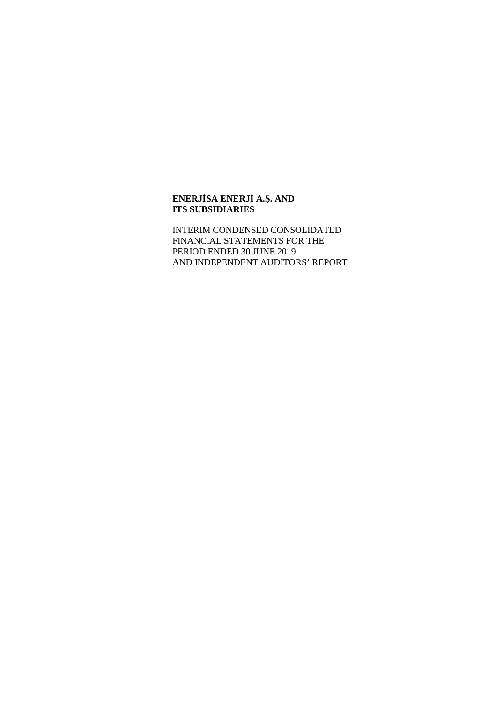INTERIM CONDENSED CONSOLIDATED FINANCIAL STATEMENTS FOR THE PERIOD ENDED 30 JUNE 2019 AND INDEPENDENT AUDITORS' REPORT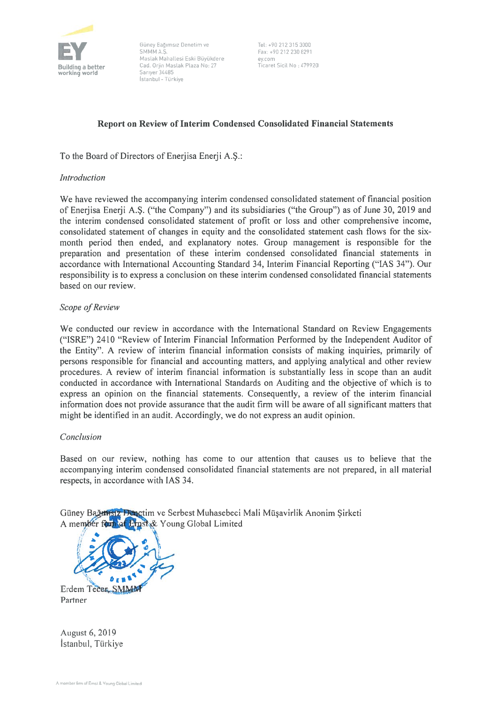

EyP Bağımsız Denetim ve Tel: +90 212 315 3000<br>
SMMM A.Ş. Fax: +90 212 230 8291<br>
Mastak Mahatlesi Eski Büyükdere ey.com<br>
Cad. Oriin Mastak Plaza No: 27 Ficaret Sicil No : 479920 **Building a better** Cad. Orjin Maslak Plaza No: 27<br>**working world** Sariyer 34485 stanbut -Türkiye

# Report on Review of Interim Condensed Consolidated Financial Statements

To the Board of Directors of Enerjisa Enerji A.Ş.:

### **Introduction**

We have reviewed the accompanying interim condensed consolidated statement of financial position of Enerjisa Enerji A.Ş. ("the Company") and its subsidiaries ("the Group") as of June 30, 2019 and the interim condensed consolidated statement of profıt or loss and other comprehensive income, consolidated statement of changes in equity and the consolidated statement cash flows for the sixmonth period then ended, and explanatory notes. Group management is responsible for the preparation and presentation of these interim condensed consolidated financial statements in accordance with international Accounting Standard 34, Interim Financial Reporting ("IAS 34"). Our responsibility is to express a conclusion on these interim condensed consolidated financial statements based on our review.

### Scope of Review

We conducted our review in accordance with the International Standard on Review Engagements ("ISRE") 2410 "Review of Interim Financial Information Performed by the Independent Auditor of the Entity". A review of interim fınancial information consists of making inquiries, primariiy of persons responsible for fınancial and accounting matters, and applying analytical and other review procedures. A review of interim fınancial information is substantially less in scope than an audit conducted in accordance with İnternational Standards on Auditing and the objective of which is to express an opinion on the fınancial statements. Consequently, <sup>a</sup> review of the interim fınancial information does not provide assurance that the audit firm will be aware of all significant matters that might be identifıed in an audit. Accordingly, we do not express an audit opinion.

### Conclusion

Based on our review, nothing has come to our attention that causes us to believe that the accompanying interim condensed consolidated financial statements are not prepared, in all material respects, in accordance with IAS 34.

Güney Bağarisiz Bunetim ve Serbest Muhasebeci Mali Müsavirlik Anonim Sirketi A member foun of Ernst & Young Global Limited



August 6, 2019 İstanbul, Türkiye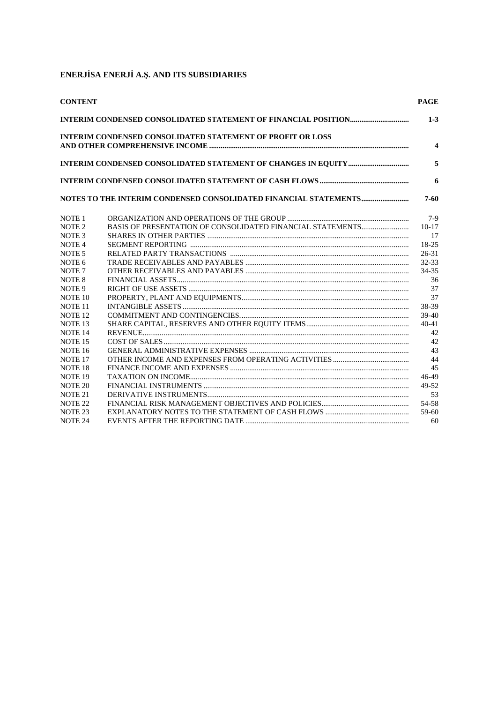| <b>CONTENT</b>     |                                                                   | <b>PAGE</b> |
|--------------------|-------------------------------------------------------------------|-------------|
|                    |                                                                   | $1 - 3$     |
|                    | <b>INTERIM CONDENSED CONSOLIDATED STATEMENT OF PROFIT OR LOSS</b> | 4           |
|                    |                                                                   | 5           |
|                    |                                                                   | 6           |
|                    |                                                                   |             |
|                    |                                                                   | 7-60        |
| NOTE <sub>1</sub>  |                                                                   | $7-9$       |
| NOTE <sub>2</sub>  |                                                                   | $10-17$     |
| NOTE <sub>3</sub>  |                                                                   | 17          |
| NOTE <sub>4</sub>  |                                                                   | 18-25       |
| NOTE <sub>5</sub>  |                                                                   | $26 - 31$   |
| NOTE <sub>6</sub>  |                                                                   | $32 - 33$   |
| NOTE <sub>7</sub>  |                                                                   | 34-35       |
| NOTE <sub>8</sub>  |                                                                   | 36          |
| NOTE <sub>9</sub>  |                                                                   | 37          |
| NOTE 10            |                                                                   | 37          |
| NOTE <sub>11</sub> |                                                                   | 38-39       |
| NOTE <sub>12</sub> |                                                                   | $39-40$     |
| NOTE <sub>13</sub> |                                                                   | $40 - 41$   |
| NOTE <sub>14</sub> |                                                                   | 42          |
| NOTE <sub>15</sub> |                                                                   | 42          |
| NOTE <sub>16</sub> |                                                                   | 43          |
| NOTE <sub>17</sub> |                                                                   | 44          |
| NOTE <sub>18</sub> |                                                                   | 45          |
| NOTE <sub>19</sub> |                                                                   | 46-49       |
| NOTE <sub>20</sub> |                                                                   | 49-52       |
| NOTE <sub>21</sub> |                                                                   | 53          |
| NOTE <sub>22</sub> |                                                                   | 54-58       |
| NOTE <sub>23</sub> |                                                                   | 59-60       |
| NOTE <sub>24</sub> |                                                                   | 60          |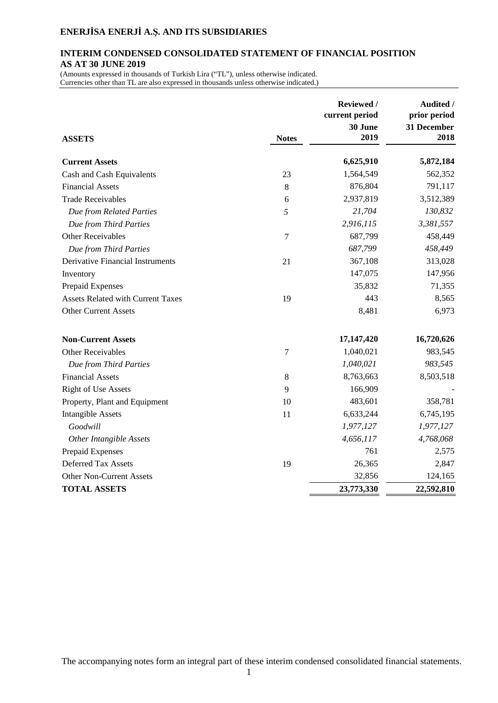### **INTERIM CONDENSED CONSOLIDATED STATEMENT OF FINANCIAL POSITION AS AT 30 JUNE 2019**

(Amounts expressed in thousands of Turkish Lira ("TL"), unless otherwise indicated. Currencies other than TL are also expressed in thousands unless otherwise indicated.)

| <b>ASSETS</b>                            | <b>Notes</b> | Reviewed /<br>current period<br>30 June<br>2019 | Audited /<br>prior period<br>31 December<br>2018 |
|------------------------------------------|--------------|-------------------------------------------------|--------------------------------------------------|
| <b>Current Assets</b>                    |              | 6,625,910                                       | 5,872,184                                        |
| Cash and Cash Equivalents                | 23           | 1,564,549                                       | 562,352                                          |
| <b>Financial Assets</b>                  | $8\,$        | 876,804                                         | 791,117                                          |
| <b>Trade Receivables</b>                 | 6            | 2,937,819                                       | 3,512,389                                        |
| Due from Related Parties                 | 5            | 21,704                                          | 130,832                                          |
| Due from Third Parties                   |              | 2,916,115                                       | 3,381,557                                        |
| <b>Other Receivables</b>                 | 7            | 687,799                                         | 458,449                                          |
| Due from Third Parties                   |              | 687,799                                         | 458,449                                          |
| <b>Derivative Financial Instruments</b>  | 21           | 367,108                                         | 313,028                                          |
| Inventory                                |              | 147,075                                         | 147,956                                          |
| Prepaid Expenses                         |              | 35,832                                          | 71,355                                           |
| <b>Assets Related with Current Taxes</b> | 19           | 443                                             | 8,565                                            |
| <b>Other Current Assets</b>              |              | 8,481                                           | 6,973                                            |
| <b>Non-Current Assets</b>                |              | 17,147,420                                      | 16,720,626                                       |
| <b>Other Receivables</b>                 | 7            | 1,040,021                                       | 983,545                                          |
| Due from Third Parties                   |              | 1,040,021                                       | 983,545                                          |
| <b>Financial Assets</b>                  | $8\,$        | 8,763,663                                       | 8,503,518                                        |
| <b>Right of Use Assets</b>               | 9            | 166,909                                         |                                                  |
| Property, Plant and Equipment            | 10           | 483,601                                         | 358,781                                          |
| <b>Intangible Assets</b>                 | 11           | 6,633,244                                       | 6,745,195                                        |
| Goodwill                                 |              | 1,977,127                                       | 1,977,127                                        |
| <b>Other Intangible Assets</b>           |              | 4,656,117                                       | 4,768,068                                        |
| Prepaid Expenses                         |              | 761                                             | 2,575                                            |
| <b>Deferred Tax Assets</b>               | 19           | 26,365                                          | 2,847                                            |
| Other Non-Current Assets                 |              | 32,856                                          | 124,165                                          |
| <b>TOTAL ASSETS</b>                      |              | 23,773,330                                      | 22,592,810                                       |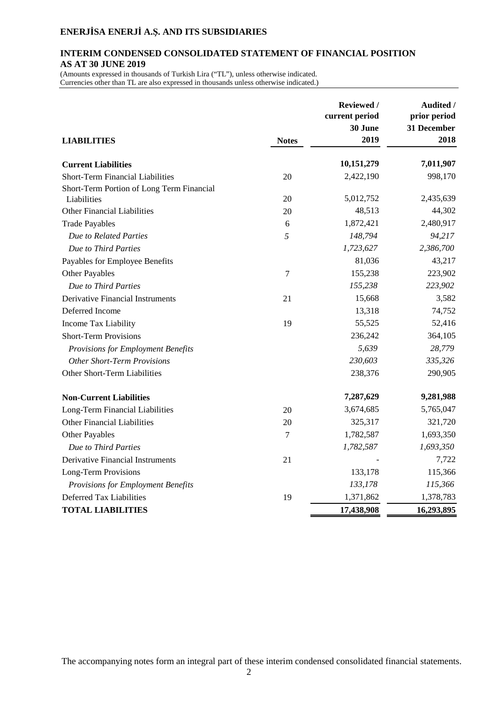### **INTERIM CONDENSED CONSOLIDATED STATEMENT OF FINANCIAL POSITION AS AT 30 JUNE 2019**

(Amounts expressed in thousands of Turkish Lira ("TL"), unless otherwise indicated. Currencies other than TL are also expressed in thousands unless otherwise indicated.)

|                                           |              | Reviewed /<br>current period<br>30 June | Audited /<br>prior period<br>31 December |
|-------------------------------------------|--------------|-----------------------------------------|------------------------------------------|
| <b>LIABILITIES</b>                        | <b>Notes</b> | 2019                                    | 2018                                     |
| <b>Current Liabilities</b>                |              | 10,151,279                              | 7,011,907                                |
| <b>Short-Term Financial Liabilities</b>   | 20           | 2,422,190                               | 998,170                                  |
| Short-Term Portion of Long Term Financial |              |                                         |                                          |
| Liabilities                               | 20           | 5,012,752                               | 2,435,639                                |
| <b>Other Financial Liabilities</b>        | 20           | 48,513                                  | 44,302                                   |
| <b>Trade Payables</b>                     | 6            | 1,872,421                               | 2,480,917                                |
| Due to Related Parties                    | 5            | 148,794                                 | 94,217                                   |
| Due to Third Parties                      |              | 1,723,627                               | 2,386,700                                |
| Payables for Employee Benefits            |              | 81,036                                  | 43,217                                   |
| <b>Other Payables</b>                     | 7            | 155,238                                 | 223,902                                  |
| Due to Third Parties                      |              | 155,238                                 | 223,902                                  |
| <b>Derivative Financial Instruments</b>   | 21           | 15,668                                  | 3,582                                    |
| Deferred Income                           |              | 13,318                                  | 74,752                                   |
| Income Tax Liability                      | 19           | 55,525                                  | 52,416                                   |
| <b>Short-Term Provisions</b>              |              | 236,242                                 | 364,105                                  |
| Provisions for Employment Benefits        |              | 5,639                                   | 28,779                                   |
| <b>Other Short-Term Provisions</b>        |              | 230,603                                 | 335,326                                  |
| Other Short-Term Liabilities              |              | 238,376                                 | 290,905                                  |
| <b>Non-Current Liabilities</b>            |              | 7,287,629                               | 9,281,988                                |
| Long-Term Financial Liabilities           | 20           | 3,674,685                               | 5,765,047                                |
| <b>Other Financial Liabilities</b>        | 20           | 325,317                                 | 321,720                                  |
| Other Payables                            | 7            | 1,782,587                               | 1,693,350                                |
| Due to Third Parties                      |              | 1,782,587                               | 1,693,350                                |
| <b>Derivative Financial Instruments</b>   | 21           |                                         | 7,722                                    |
| <b>Long-Term Provisions</b>               |              | 133,178                                 | 115,366                                  |
| Provisions for Employment Benefits        |              | 133,178                                 | 115,366                                  |
| Deferred Tax Liabilities                  | 19           | 1,371,862                               | 1,378,783                                |
| <b>TOTAL LIABILITIES</b>                  |              | 17,438,908                              | 16,293,895                               |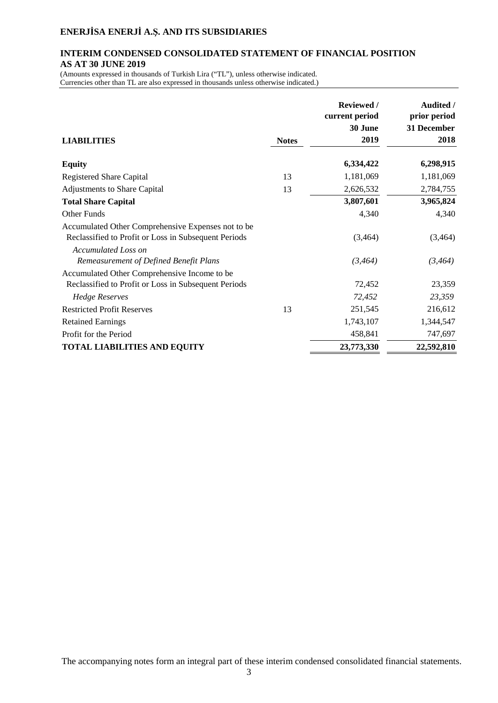### **INTERIM CONDENSED CONSOLIDATED STATEMENT OF FINANCIAL POSITION AS AT 30 JUNE 2019**

(Amounts expressed in thousands of Turkish Lira ("TL"), unless otherwise indicated. Currencies other than TL are also expressed in thousands unless otherwise indicated.)

| <b>LIABILITIES</b>                                                                                         | <b>Notes</b> | <b>Reviewed</b> /<br>current period<br>30 June<br>2019 | <b>Audited /</b><br>prior period<br>31 December<br>2018 |
|------------------------------------------------------------------------------------------------------------|--------------|--------------------------------------------------------|---------------------------------------------------------|
| <b>Equity</b>                                                                                              |              | 6,334,422                                              | 6,298,915                                               |
| <b>Registered Share Capital</b>                                                                            | 13           | 1,181,069                                              | 1,181,069                                               |
| <b>Adjustments to Share Capital</b>                                                                        | 13           | 2,626,532                                              | 2,784,755                                               |
| <b>Total Share Capital</b>                                                                                 |              | 3,807,601                                              | 3,965,824                                               |
| Other Funds                                                                                                |              | 4,340                                                  | 4,340                                                   |
| Accumulated Other Comprehensive Expenses not to be<br>Reclassified to Profit or Loss in Subsequent Periods |              | (3,464)                                                | (3,464)                                                 |
| <b>Accumulated Loss on</b><br>Remeasurement of Defined Benefit Plans                                       |              | (3, 464)                                               | (3, 464)                                                |
| Accumulated Other Comprehensive Income to be                                                               |              |                                                        |                                                         |
| Reclassified to Profit or Loss in Subsequent Periods                                                       |              | 72,452                                                 | 23,359                                                  |
| <b>Hedge Reserves</b>                                                                                      |              | 72,452                                                 | 23,359                                                  |
| <b>Restricted Profit Reserves</b>                                                                          | 13           | 251,545                                                | 216,612                                                 |
| <b>Retained Earnings</b>                                                                                   |              | 1,743,107                                              | 1,344,547                                               |
| Profit for the Period                                                                                      |              | 458,841                                                | 747,697                                                 |
| <b>TOTAL LIABILITIES AND EQUITY</b>                                                                        |              | 23,773,330                                             | 22,592,810                                              |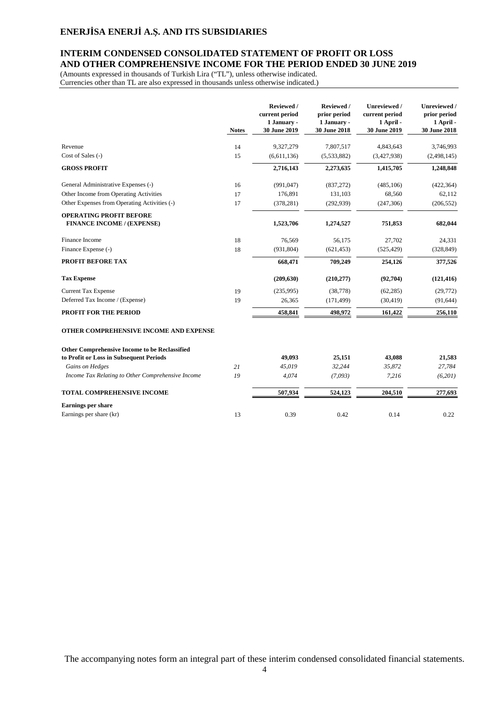## **INTERIM CONDENSED CONSOLIDATED STATEMENT OF PROFIT OR LOSS AND OTHER COMPREHENSIVE INCOME FOR THE PERIOD ENDED 30 JUNE 2019**

(Amounts expressed in thousands of Turkish Lira ("TL"), unless otherwise indicated. Currencies other than TL are also expressed in thousands unless otherwise indicated.)

|                                                                                          | <b>Notes</b> | Reviewed /<br>current period<br>1 January -<br>30 June 2019 | Reviewed /<br>prior period<br>1 January -<br>30 June 2018 | Unreviewed /<br>current period<br>1 April -<br>30 June 2019 | Unreviewed /<br>prior period<br>1 April -<br>30 June 2018 |
|------------------------------------------------------------------------------------------|--------------|-------------------------------------------------------------|-----------------------------------------------------------|-------------------------------------------------------------|-----------------------------------------------------------|
| Revenue                                                                                  | 14           | 9,327,279                                                   | 7,807,517                                                 | 4,843,643                                                   | 3,746,993                                                 |
| Cost of Sales (-)                                                                        | 15           | (6,611,136)                                                 | (5,533,882)                                               | (3,427,938)                                                 | (2,498,145)                                               |
| <b>GROSS PROFIT</b>                                                                      |              | 2,716,143                                                   | 2,273,635                                                 | 1,415,705                                                   | 1,248,848                                                 |
| General Administrative Expenses (-)                                                      | 16           | (991, 047)                                                  | (837,272)                                                 | (485, 106)                                                  | (422, 364)                                                |
| Other Income from Operating Activities                                                   | 17           | 176,891                                                     | 131,103                                                   | 68,560                                                      | 62,112                                                    |
| Other Expenses from Operating Activities (-)                                             | 17           | (378, 281)                                                  | (292, 939)                                                | (247, 306)                                                  | (206, 552)                                                |
| <b>OPERATING PROFIT BEFORE</b><br><b>FINANCE INCOME / (EXPENSE)</b>                      |              | 1,523,706                                                   | 1,274,527                                                 | 751,853                                                     | 682,044                                                   |
| Finance Income                                                                           | 18           | 76,569                                                      | 56,175                                                    | 27,702                                                      | 24,331                                                    |
| Finance Expense (-)                                                                      | 18           | (931, 804)                                                  | (621, 453)                                                | (525, 429)                                                  | (328, 849)                                                |
| PROFIT BEFORE TAX                                                                        |              | 668,471                                                     | 709,249                                                   | 254,126                                                     | 377,526                                                   |
| <b>Tax Expense</b>                                                                       |              | (209, 630)                                                  | (210, 277)                                                | (92,704)                                                    | (121, 416)                                                |
| <b>Current Tax Expense</b>                                                               | 19           | (235,995)                                                   | (38, 778)                                                 | (62, 285)                                                   | (29,772)                                                  |
| Deferred Tax Income / (Expense)                                                          | 19           | 26,365                                                      | (171, 499)                                                | (30, 419)                                                   | (91, 644)                                                 |
| <b>PROFIT FOR THE PERIOD</b>                                                             |              | 458,841                                                     | 498,972                                                   | 161,422                                                     | 256,110                                                   |
| OTHER COMPREHENSIVE INCOME AND EXPENSE                                                   |              |                                                             |                                                           |                                                             |                                                           |
| Other Comprehensive Income to be Reclassified<br>to Profit or Loss in Subsequent Periods |              | 49,093                                                      | 25,151                                                    | 43,088                                                      | 21,583                                                    |
| Gains on Hedges                                                                          | 21           | 45,019                                                      | 32,244                                                    | 35,872                                                      | 27,784                                                    |
| Income Tax Relating to Other Comprehensive Income                                        | 19           | 4,074                                                       | (7,093)                                                   | 7,216                                                       | (6,201)                                                   |
| TOTAL COMPREHENSIVE INCOME                                                               |              | 507,934                                                     | 524,123                                                   | 204,510                                                     | 277,693                                                   |
| <b>Earnings per share</b>                                                                |              |                                                             |                                                           |                                                             |                                                           |
| Earnings per share (kr)                                                                  | 13           | 0.39                                                        | 0.42                                                      | 0.14                                                        | 0.22                                                      |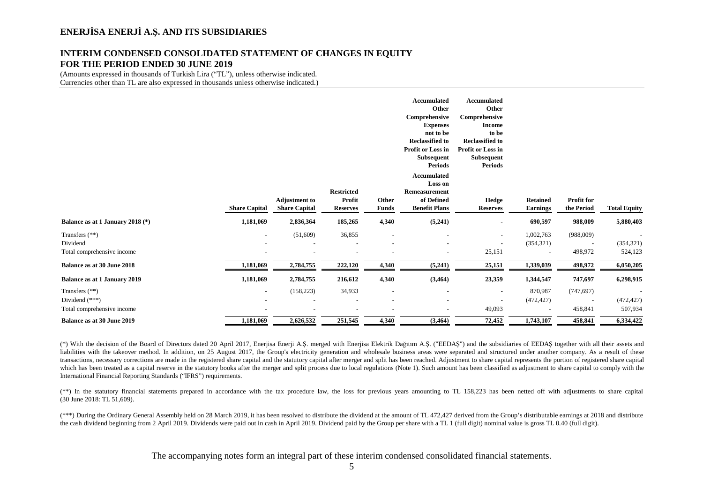### **INTERIM CONDENSED CONSOLIDATED STATEMENT OF CHANGES IN EQUITY FOR THE PERIOD ENDED 30 JUNE 2019**

(Amounts expressed in thousands of Turkish Lira ("TL"), unless otherwise indicated. Currencies other than TL are also expressed in thousands unless otherwise indicated.)

|                                                                    |                      |                                              |                                                |                                                                                  | <b>Accumulated</b><br>Other<br>Comprehensive<br><b>Expenses</b><br>not to be<br><b>Reclassified to</b><br>Profit or Loss in<br>Subsequent<br><b>Periods</b> | Accumulated<br>Other<br>Comprehensive<br><b>Income</b><br>to be<br><b>Reclassified to</b><br>Profit or Loss in<br><b>Subsequent</b><br><b>Periods</b> |                                                   |                          |                                                   |
|--------------------------------------------------------------------|----------------------|----------------------------------------------|------------------------------------------------|----------------------------------------------------------------------------------|-------------------------------------------------------------------------------------------------------------------------------------------------------------|-------------------------------------------------------------------------------------------------------------------------------------------------------|---------------------------------------------------|--------------------------|---------------------------------------------------|
|                                                                    | <b>Share Capital</b> | <b>Adjustment to</b><br><b>Share Capital</b> | <b>Restricted</b><br>Profit<br><b>Reserves</b> | Other<br>Funds                                                                   | <b>Accumulated</b><br>Loss on<br>Remeasurement<br>of Defined<br><b>Benefit Plans</b>                                                                        | Hedge<br><b>Reserves</b>                                                                                                                              | <b>Retained</b><br><b>Earnings</b>                | Profit for<br>the Period | <b>Total Equity</b>                               |
| Balance as at 1 January 2018 (*)                                   | 1,181,069            | 2,836,364                                    | 185,265                                        | 4,340                                                                            | (5,241)                                                                                                                                                     | ٠                                                                                                                                                     | 690,597                                           | 988,009                  | 5,880,403                                         |
| Transfers (**)<br>Dividend<br>Total comprehensive income           | $\sim$               | (51,609)                                     | 36,855                                         | $\overline{\phantom{a}}$<br>$\overline{\phantom{a}}$                             | $\overline{\phantom{a}}$                                                                                                                                    | $\overline{\phantom{a}}$<br>$\overline{\phantom{a}}$<br>25,151                                                                                        | 1,002,763<br>(354, 321)                           | (988,009)<br>498,972     | (354, 321)<br>524,123                             |
| Balance as at 30 June 2018                                         | 1,181,069            | 2,784,755                                    | 222,120                                        | 4,340                                                                            | (5,241)                                                                                                                                                     | 25,151                                                                                                                                                | 1,339,039                                         | 498,972                  | 6,050,205                                         |
| <b>Balance as at 1 January 2019</b>                                | 1,181,069            | 2,784,755                                    | 216,612                                        | 4,340                                                                            | (3, 464)                                                                                                                                                    | 23,359                                                                                                                                                | 1,344,547                                         | 747,697                  | 6,298,915                                         |
| Transfers $(**)$<br>Dividend $(***)$<br>Total comprehensive income | $\sim$               | (158, 223)                                   | 34,933                                         | $\overline{\phantom{a}}$<br>$\overline{\phantom{a}}$<br>$\overline{\phantom{a}}$ | $\overline{\phantom{a}}$                                                                                                                                    | $\overline{\phantom{a}}$<br>$\overline{\phantom{a}}$<br>49,093                                                                                        | 870,987<br>(472, 427)<br>$\overline{\phantom{a}}$ | (747, 697)<br>458,841    | $\overline{\phantom{a}}$<br>(472, 427)<br>507,934 |
| Balance as at 30 June 2019                                         | 1,181,069            | 2,626,532                                    | 251,545                                        | 4,340                                                                            | (3,464)                                                                                                                                                     | 72,452                                                                                                                                                | 1,743,107                                         | 458,841                  | 6,334,422                                         |

(\*) With the decision of the Board of Directors dated 20 April 2017, Enerjisa Enerji A.Ş. merged with Enerjisa Elektrik Dağıtım A.Ş. ("EEDAŞ") and the subsidiaries of EEDAŞ together with all their assets and liabilities with the takeover method. In addition, on 25 August 2017, the Group's electricity generation and wholesale business areas were separated and structured under another company. As a result of these transactions, necessary corrections are made in the registered share capital and the statutory capital after merger and split has been reached. Adjustment to share capital represents the portion of registered share capital which has been treated as a capital reserve in the statutory books after the merger and split process due to local regulations (Note 1). Such amount has been classified as adjustment to share capital to comply with the International Financial Reporting Standards ("IFRS") requirements.

(\*\*) In the statutory financial statements prepared in accordance with the tax procedure law, the loss for previous years amounting to TL 158,223 has been netted off with adjustments to share capital (30 June 2018: TL 51,609).

(\*\*\*) During the Ordinary General Assembly held on 28 March 2019, it has been resolved to distribute the dividend at the amount of TL 472,427 derived from the Group's distributable earnings at 2018 and distribute the cash dividend beginning from 2 April 2019. Dividends were paid out in cash in April 2019. Dividend paid by the Group per share with a TL 1 (full digit) nominal value is gross TL 0.40 (full digit).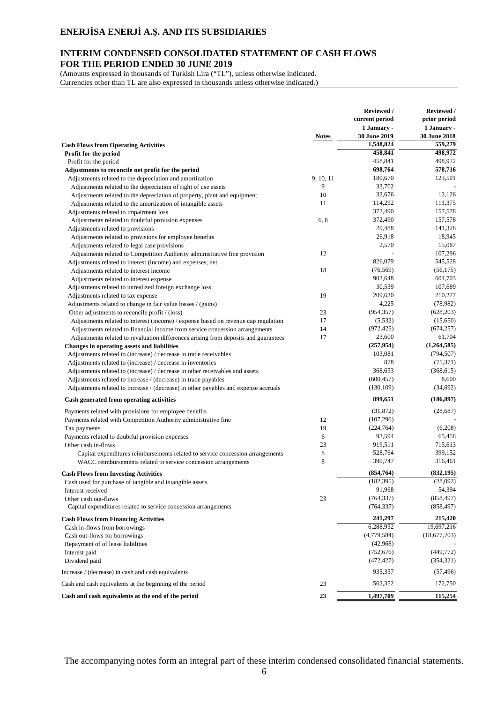### **INTERIM CONDENSED CONSOLIDATED STATEMENT OF CASH FLOWS FOR THE PERIOD ENDED 30 JUNE 2019**

(Amounts expressed in thousands of Turkish Lira ("TL"), unless otherwise indicated. Currencies other than TL are also expressed in thousands unless otherwise indicated.)

|                                                                                     |              | <b>Reviewed</b> /<br>current period | <b>Reviewed</b> /<br>prior period |
|-------------------------------------------------------------------------------------|--------------|-------------------------------------|-----------------------------------|
|                                                                                     |              | 1 January -                         | 1 January -                       |
|                                                                                     | <b>Notes</b> | <b>30 June 2019</b>                 | 30 June 2018                      |
| <b>Cash Flows from Operating Activities</b>                                         |              | 1,548,824                           | 559,279                           |
| Profit for the period                                                               |              | 458,841                             | 498,972                           |
| Profit for the period                                                               |              | 458,841                             | 498,972                           |
| Adjustments to reconcile net profit for the period                                  |              | 698,764                             | 578,716                           |
| Adjustments related to the depreciation and amortization                            | 9, 10, 11    | 180,670                             | 123,501                           |
| Adjustments related to the depreciation of right of use assets                      | 9            | 33,702                              |                                   |
| Adjustments related to the depreciation of property, plant and equipment            | 10           | 32,676                              | 12,126                            |
| Adjustments related to the amortization of intangible assets                        | 11           | 114,292                             | 111,375                           |
| Adjustments related to impairment loss                                              |              | 372,490                             | 157,578                           |
| Adjustments related to doubtful provision expenses                                  | 6,8          | 372,490                             | 157,578                           |
| Adjustments related to provisions                                                   |              | 29,488                              | 141,328                           |
| Adjustments related to provisions for employee benefits                             |              | 26,918                              | 18,945                            |
| Adjustments related to legal case provisions                                        |              | 2,570                               | 15,087                            |
| Adjustments related to Competition Authority administrative fine provision          | 12           |                                     | 107,296                           |
| Adjustments related to interest (income) and expenses, net                          |              | 826,079                             | 545,528                           |
| Adjustments related to interest income                                              | 18           | (76, 569)                           | (56, 175)                         |
| Adjustments related to interest expense                                             |              | 902,648                             | 601,703                           |
| Adjustments related to unrealized foreign exchange loss                             |              | 30,539                              | 107,689                           |
| Adjustments related to tax expense                                                  | 19           | 209,630                             | 210,277                           |
| Adjustments related to change in fair value losses / (gains)                        |              | 4,225                               | (78,982)                          |
| Other adjustments to reconcile profit / (loss)                                      | 23           | (954, 357)                          | (628, 203)                        |
| Adjustments related to interest (income) / expense based on revenue cap regulation  | 17           | (5, 532)                            | (15,650)                          |
| Adjustments related to financial income from service concession arrangements        | 14           | (972, 425)                          | (674, 257)                        |
| Adjustments related to revaluation differences arising from deposits and guarantees | 17           | 23,600                              | 61,704                            |
| Changes in operating assets and liabilities                                         |              | (257, 954)                          | (1,264,585)                       |
| Adjustments related to (increase) / decrease in trade receivables                   |              | 103,081                             | (794, 507)                        |
| Adjustments related to (increase) / decrease in inventories                         |              | 878                                 | (75, 371)                         |
| Adjustments related to (increase) / decrease in other receivables and assets        |              | 368,653                             | (368, 615)                        |
| Adjustments related to increase / (decrease) in trade payables                      |              | (600, 457)                          | 8,600                             |
| Adjustments related to increase / (decrease) in other payables and expense accruals |              | (130, 109)                          | (34,692)                          |
| Cash generated from operating activities                                            |              | 899,651                             | (186, 897)                        |
| Payments related with provisions for employee benefits                              |              | (31, 872)                           | (28, 687)                         |
| Payments related with Competition Authority administrative fine                     | 12           | (107, 296)                          |                                   |
| Tax payments                                                                        | 19           | (224, 764)                          | (6,208)                           |
| Payments related to doubtful provision expenses                                     | 6            | 93,594                              | 65,458                            |
| Other cash in-flows                                                                 | 23           | 919,511                             | 715,613                           |
| Capital expenditures reimbursements related to service concession arrangements      | 8            | 528,764                             | 399,152                           |
| WACC reimbursements related to service concession arrangements                      | 8            | 390,747                             | 316,461                           |
| <b>Cash Flows from Investing Activities</b>                                         |              | (854,764)                           | (832, 195)                        |
| Cash used for purchase of tangible and intangible assets                            |              | (182, 395)                          | (28,092)                          |
| Interest received                                                                   |              | 91,968                              | 54,394                            |
| Other cash out-flows                                                                | 23           | (764, 337)                          | (858, 497)                        |
| Capital expenditures related to service concession arrangements                     |              | (764, 337)                          | (858, 497)                        |
| <b>Cash Flows from Financing Activities</b>                                         |              | 241,297                             | 215,420                           |
| Cash in-flows from borrowings                                                       |              | 6,288,952                           | 19,697,216                        |
| Cash out-flows for borrowings                                                       |              | (4,779,584)                         | (18,677,703)                      |
| Repayment of of lease liabilities                                                   |              | (42,968)                            |                                   |
| Interest paid                                                                       |              | (752, 676)                          | (449, 772)                        |
| Dividend paid                                                                       |              | (472, 427)                          | (354, 321)                        |
| Increase / (decrease) in cash and cash equivalents                                  |              | 935,357                             | (57, 496)                         |
| Cash and cash equivalents at the beginning of the period                            | 23           | 562,352                             | 172,750                           |
| Cash and cash equivalents at the end of the period                                  | 23           | 1,497,709                           | 115,254                           |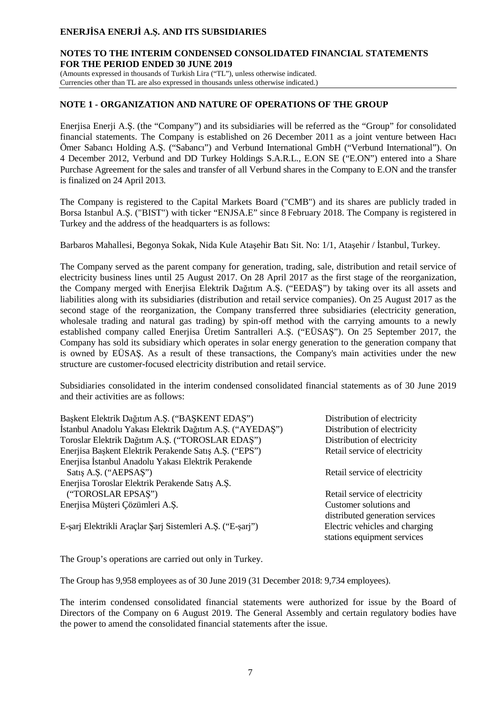### **NOTES TO THE INTERIM CONDENSED CONSOLIDATED FINANCIAL STATEMENTS FOR THE PERIOD ENDED 30 JUNE 2019**

(Amounts expressed in thousands of Turkish Lira ("TL"), unless otherwise indicated. Currencies other than TL are also expressed in thousands unless otherwise indicated.)

#### **NOTE 1 - ORGANIZATION AND NATURE OF OPERATIONS OF THE GROUP**

Enerjisa Enerji A.Ş. (the "Company") and its subsidiaries will be referred as the "Group" for consolidated financial statements. The Company is established on 26 December 2011 as a joint venture between Hacı Ömer Sabancı Holding A.Ş. ("Sabancı") and Verbund International GmbH ("Verbund International"). On 4 December 2012, Verbund and DD Turkey Holdings S.A.R.L., E.ON SE ("E.ON") entered into a Share Purchase Agreement for the sales and transfer of all Verbund shares in the Company to E.ON and the transfer is finalized on 24 April 2013.

The Company is registered to the Capital Markets Board ("CMB") and its shares are publicly traded in Borsa Istanbul A.Ş. ("BIST") with ticker "ENJSA.E" since 8 February 2018. The Company is registered in Turkey and the address of the headquarters is as follows:

Barbaros Mahallesi, Begonya Sokak, Nida Kule Ataşehir Batı Sit. No: 1/1, Ataşehir / İstanbul, Turkey.

The Company served as the parent company for generation, trading, sale, distribution and retail service of electricity business lines until 25 August 2017. On 28 April 2017 as the first stage of the reorganization, the Company merged with Enerjisa Elektrik Dağıtım A.Ş. ("EEDAŞ") by taking over its all assets and liabilities along with its subsidiaries (distribution and retail service companies). On 25 August 2017 as the second stage of the reorganization, the Company transferred three subsidiaries (electricity generation, wholesale trading and natural gas trading) by spin-off method with the carrying amounts to a newly established company called Enerjisa Üretim Santralleri A.Ş. ("EÜSAŞ"). On 25 September 2017, the Company has sold its subsidiary which operates in solar energy generation to the generation company that is owned by EÜSAŞ. As a result of these transactions, the Company's main activities under the new structure are customer-focused electricity distribution and retail service.

Subsidiaries consolidated in the interim condensed consolidated financial statements as of 30 June 2019 and their activities are as follows:

| Başkent Elektrik Dağıtım A.Ş. ("BAŞKENT EDAŞ")            | Distribution of electricity                                   |
|-----------------------------------------------------------|---------------------------------------------------------------|
| İstanbul Anadolu Yakası Elektrik Dağıtım A.Ş. ("AYEDAŞ")  | Distribution of electricity                                   |
| Toroslar Elektrik Dağıtım A.Ş. ("TOROSLAR EDAŞ")          | Distribution of electricity                                   |
| Enerjisa Başkent Elektrik Perakende Satış A.Ş. ("EPS")    | Retail service of electricity                                 |
| Enerjisa İstanbul Anadolu Yakası Elektrik Perakende       |                                                               |
| Satış A.Ş. ("AEPSAŞ")                                     | Retail service of electricity                                 |
| Enerjisa Toroslar Elektrik Perakende Satış A.Ş.           |                                                               |
| ("TOROSLAR EPSAS")                                        | Retail service of electricity                                 |
| Enerjisa Müşteri Çözümleri A.Ş.                           | Customer solutions and                                        |
|                                                           | distributed generation services                               |
| E-şarj Elektrikli Araçlar Şarj Sistemleri A.Ş. ("E-şarj") | Electric vehicles and charging<br>stations equipment services |

The Group's operations are carried out only in Turkey.

The Group has 9,958 employees as of 30 June 2019 (31 December 2018: 9,734 employees).

The interim condensed consolidated financial statements were authorized for issue by the Board of Directors of the Company on 6 August 2019. The General Assembly and certain regulatory bodies have the power to amend the consolidated financial statements after the issue.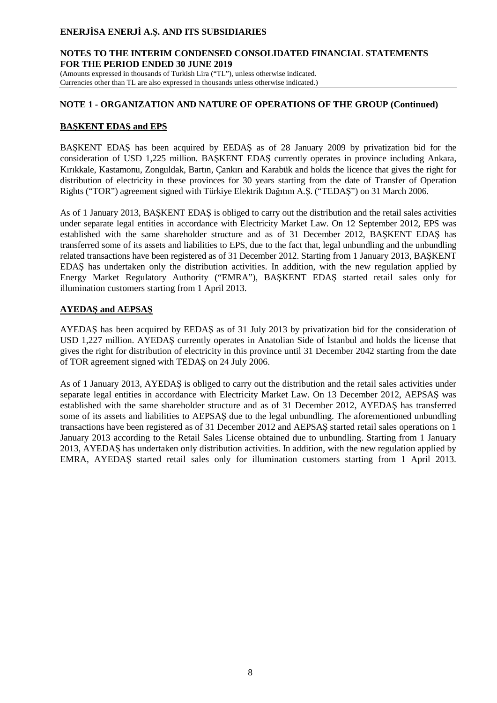### **NOTES TO THE INTERIM CONDENSED CONSOLIDATED FINANCIAL STATEMENTS FOR THE PERIOD ENDED 30 JUNE 2019**

(Amounts expressed in thousands of Turkish Lira ("TL"), unless otherwise indicated. Currencies other than TL are also expressed in thousands unless otherwise indicated.)

### **NOTE 1 - ORGANIZATION AND NATURE OF OPERATIONS OF THE GROUP (Continued)**

### **BAŞKENT EDAŞ and EPS**

BAŞKENT EDAŞ has been acquired by EEDAŞ as of 28 January 2009 by privatization bid for the consideration of USD 1,225 million. BAŞKENT EDAŞ currently operates in province including Ankara, Kırıkkale, Kastamonu, Zonguldak, Bartın, Çankırı and Karabük and holds the licence that gives the right for distribution of electricity in these provinces for 30 years starting from the date of Transfer of Operation Rights ("TOR") agreement signed with Türkiye Elektrik Dağıtım A.Ş. ("TEDAŞ") on 31 March 2006.

As of 1 January 2013, BAŞKENT EDAŞ is obliged to carry out the distribution and the retail sales activities under separate legal entities in accordance with Electricity Market Law. On 12 September 2012, EPS was established with the same shareholder structure and as of 31 December 2012, BAŞKENT EDAŞ has transferred some of its assets and liabilities to EPS, due to the fact that, legal unbundling and the unbundling related transactions have been registered as of 31 December 2012. Starting from 1 January 2013, BAŞKENT EDAŞ has undertaken only the distribution activities. In addition, with the new regulation applied by Energy Market Regulatory Authority ("EMRA"), BAŞKENT EDAŞ started retail sales only for illumination customers starting from 1 April 2013.

### **AYEDAŞ and AEPSAŞ**

AYEDAŞ has been acquired by EEDAŞ as of 31 July 2013 by privatization bid for the consideration of USD 1,227 million. AYEDAŞ currently operates in Anatolian Side of İstanbul and holds the license that gives the right for distribution of electricity in this province until 31 December 2042 starting from the date of TOR agreement signed with TEDAŞ on 24 July 2006.

As of 1 January 2013, AYEDAŞ is obliged to carry out the distribution and the retail sales activities under separate legal entities in accordance with Electricity Market Law. On 13 December 2012, AEPSAŞ was established with the same shareholder structure and as of 31 December 2012, AYEDAŞ has transferred some of its assets and liabilities to AEPSAŞ due to the legal unbundling. The aforementioned unbundling transactions have been registered as of 31 December 2012 and AEPSAŞ started retail sales operations on 1 January 2013 according to the Retail Sales License obtained due to unbundling. Starting from 1 January 2013, AYEDAŞ has undertaken only distribution activities. In addition, with the new regulation applied by EMRA, AYEDAŞ started retail sales only for illumination customers starting from 1 April 2013.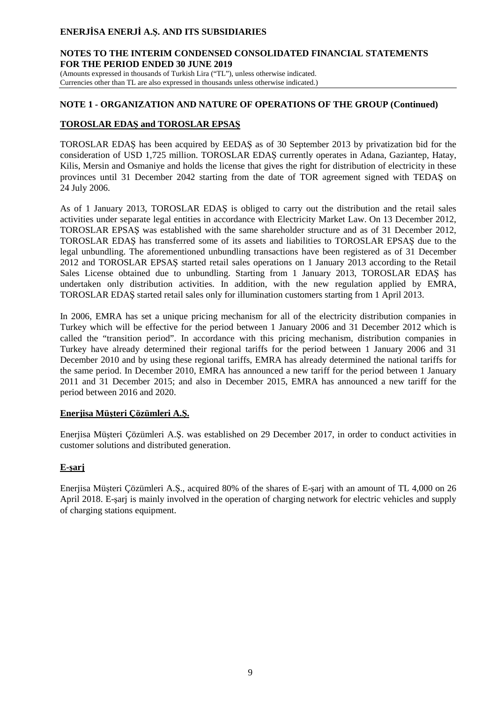### **NOTES TO THE INTERIM CONDENSED CONSOLIDATED FINANCIAL STATEMENTS FOR THE PERIOD ENDED 30 JUNE 2019**

(Amounts expressed in thousands of Turkish Lira ("TL"), unless otherwise indicated. Currencies other than TL are also expressed in thousands unless otherwise indicated.)

### **NOTE 1 - ORGANIZATION AND NATURE OF OPERATIONS OF THE GROUP (Continued)**

### **TOROSLAR EDAŞ and TOROSLAR EPSAŞ**

TOROSLAR EDAŞ has been acquired by EEDAŞ as of 30 September 2013 by privatization bid for the consideration of USD 1,725 million. TOROSLAR EDAŞ currently operates in Adana, Gaziantep, Hatay, Kilis, Mersin and Osmaniye and holds the license that gives the right for distribution of electricity in these provinces until 31 December 2042 starting from the date of TOR agreement signed with TEDAŞ on 24 July 2006.

As of 1 January 2013, TOROSLAR EDAŞ is obliged to carry out the distribution and the retail sales activities under separate legal entities in accordance with Electricity Market Law. On 13 December 2012, TOROSLAR EPSAŞ was established with the same shareholder structure and as of 31 December 2012, TOROSLAR EDAŞ has transferred some of its assets and liabilities to TOROSLAR EPSAŞ due to the legal unbundling. The aforementioned unbundling transactions have been registered as of 31 December 2012 and TOROSLAR EPSAŞ started retail sales operations on 1 January 2013 according to the Retail Sales License obtained due to unbundling. Starting from 1 January 2013, TOROSLAR EDAŞ has undertaken only distribution activities. In addition, with the new regulation applied by EMRA, TOROSLAR EDAŞ started retail sales only for illumination customers starting from 1 April 2013.

In 2006, EMRA has set a unique pricing mechanism for all of the electricity distribution companies in Turkey which will be effective for the period between 1 January 2006 and 31 December 2012 which is called the "transition period". In accordance with this pricing mechanism, distribution companies in Turkey have already determined their regional tariffs for the period between 1 January 2006 and 31 December 2010 and by using these regional tariffs, EMRA has already determined the national tariffs for the same period. In December 2010, EMRA has announced a new tariff for the period between 1 January 2011 and 31 December 2015; and also in December 2015, EMRA has announced a new tariff for the period between 2016 and 2020.

### **Enerjisa Müşteri Çözümleri A.Ş.**

Enerjisa Müşteri Çözümleri A.Ş. was established on 29 December 2017, in order to conduct activities in customer solutions and distributed generation.

# **E-şarj**

Enerjisa Müşteri Çözümleri A.Ş., acquired 80% of the shares of E-şarj with an amount of TL 4,000 on 26 April 2018. E-şarj is mainly involved in the operation of charging network for electric vehicles and supply of charging stations equipment.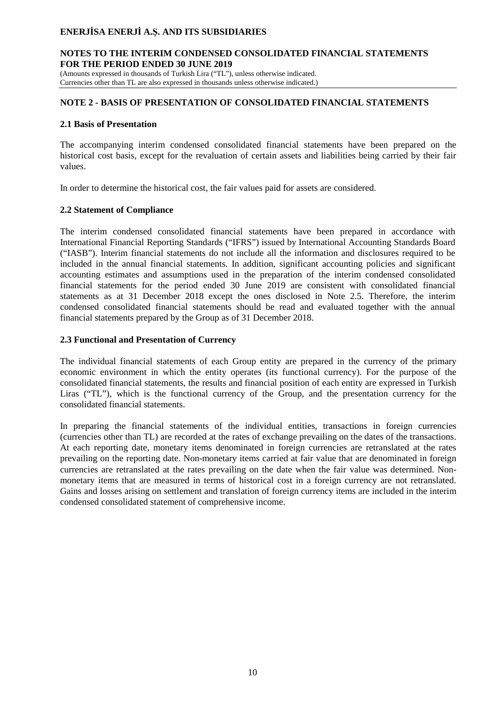### **NOTES TO THE INTERIM CONDENSED CONSOLIDATED FINANCIAL STATEMENTS FOR THE PERIOD ENDED 30 JUNE 2019**

(Amounts expressed in thousands of Turkish Lira ("TL"), unless otherwise indicated. Currencies other than TL are also expressed in thousands unless otherwise indicated.)

### **NOTE 2 - BASIS OF PRESENTATION OF CONSOLIDATED FINANCIAL STATEMENTS**

### **2.1 Basis of Presentation**

The accompanying interim condensed consolidated financial statements have been prepared on the historical cost basis, except for the revaluation of certain assets and liabilities being carried by their fair values.

In order to determine the historical cost, the fair values paid for assets are considered.

### **2.2 Statement of Compliance**

The interim condensed consolidated financial statements have been prepared in accordance with International Financial Reporting Standards ("IFRS") issued by International Accounting Standards Board ("IASB"). Interim financial statements do not include all the information and disclosures required to be included in the annual financial statements. In addition, significant accounting policies and significant accounting estimates and assumptions used in the preparation of the interim condensed consolidated financial statements for the period ended 30 June 2019 are consistent with consolidated financial statements as at 31 December 2018 except the ones disclosed in Note 2.5. Therefore, the interim condensed consolidated financial statements should be read and evaluated together with the annual financial statements prepared by the Group as of 31 December 2018.

### **2.3 Functional and Presentation of Currency**

The individual financial statements of each Group entity are prepared in the currency of the primary economic environment in which the entity operates (its functional currency). For the purpose of the consolidated financial statements, the results and financial position of each entity are expressed in Turkish Liras ("TL"), which is the functional currency of the Group, and the presentation currency for the consolidated financial statements.

In preparing the financial statements of the individual entities, transactions in foreign currencies (currencies other than TL) are recorded at the rates of exchange prevailing on the dates of the transactions. At each reporting date, monetary items denominated in foreign currencies are retranslated at the rates prevailing on the reporting date. Non-monetary items carried at fair value that are denominated in foreign currencies are retranslated at the rates prevailing on the date when the fair value was determined. Nonmonetary items that are measured in terms of historical cost in a foreign currency are not retranslated. Gains and losses arising on settlement and translation of foreign currency items are included in the interim condensed consolidated statement of comprehensive income.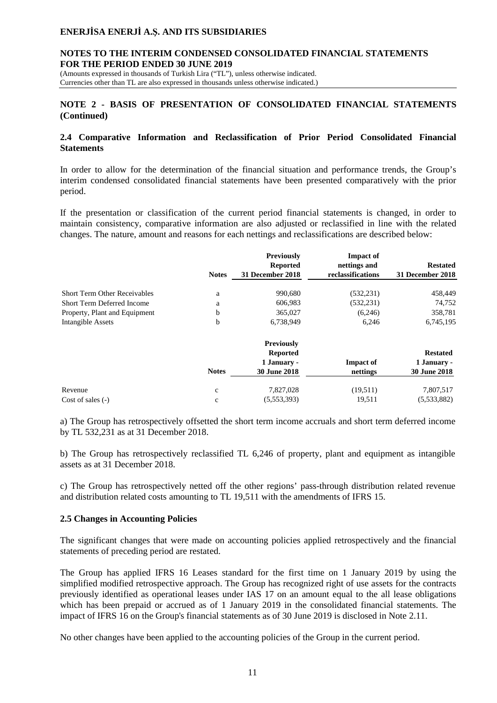### **NOTES TO THE INTERIM CONDENSED CONSOLIDATED FINANCIAL STATEMENTS FOR THE PERIOD ENDED 30 JUNE 2019**

(Amounts expressed in thousands of Turkish Lira ("TL"), unless otherwise indicated. Currencies other than TL are also expressed in thousands unless otherwise indicated.)

### **NOTE 2 - BASIS OF PRESENTATION OF CONSOLIDATED FINANCIAL STATEMENTS (Continued)**

#### **2.4 Comparative Information and Reclassification of Prior Period Consolidated Financial Statements**

In order to allow for the determination of the financial situation and performance trends, the Group's interim condensed consolidated financial statements have been presented comparatively with the prior period.

If the presentation or classification of the current period financial statements is changed, in order to maintain consistency, comparative information are also adjusted or reclassified in line with the related changes. The nature, amount and reasons for each nettings and reclassifications are described below:

|                                     | <b>Notes</b> | <b>Previously</b><br><b>Reported</b><br>31 December 2018 | <b>Impact of</b><br>nettings and<br>reclassifications | <b>Restated</b><br>31 December 2018 |
|-------------------------------------|--------------|----------------------------------------------------------|-------------------------------------------------------|-------------------------------------|
| <b>Short Term Other Receivables</b> | a            | 990,680                                                  | (532, 231)                                            | 458,449                             |
| Short Term Deferred Income          | a            | 606,983                                                  | (532, 231)                                            | 74,752                              |
| Property, Plant and Equipment       | b            | 365,027                                                  | (6,246)                                               | 358,781                             |
| Intangible Assets                   | b            | 6,738,949                                                | 6,246                                                 | 6,745,195                           |
|                                     |              | <b>Previously</b>                                        |                                                       |                                     |
|                                     |              | <b>Reported</b>                                          |                                                       | <b>Restated</b>                     |
|                                     |              | 1 January -                                              | <b>Impact of</b>                                      | 1 January -                         |
|                                     | <b>Notes</b> | <b>30 June 2018</b>                                      | nettings                                              | 30 June 2018                        |
| Revenue                             | $\mathbf c$  | 7,827,028                                                | (19.511)                                              | 7,807,517                           |
| Cost of sales $(-)$                 | $\mathbf c$  | (5,553,393)                                              | 19,511                                                | (5,533,882)                         |

a) The Group has retrospectively offsetted the short term income accruals and short term deferred income by TL 532,231 as at 31 December 2018.

b) The Group has retrospectively reclassified TL 6,246 of property, plant and equipment as intangible assets as at 31 December 2018.

c) The Group has retrospectively netted off the other regions' pass-through distribution related revenue and distribution related costs amounting to TL 19,511 with the amendments of IFRS 15.

### **2.5 Changes in Accounting Policies**

The significant changes that were made on accounting policies applied retrospectively and the financial statements of preceding period are restated.

The Group has applied IFRS 16 Leases standard for the first time on 1 January 2019 by using the simplified modified retrospective approach. The Group has recognized right of use assets for the contracts previously identified as operational leases under IAS 17 on an amount equal to the all lease obligations which has been prepaid or accrued as of 1 January 2019 in the consolidated financial statements. The impact of IFRS 16 on the Group's financial statements as of 30 June 2019 is disclosed in Note 2.11.

No other changes have been applied to the accounting policies of the Group in the current period.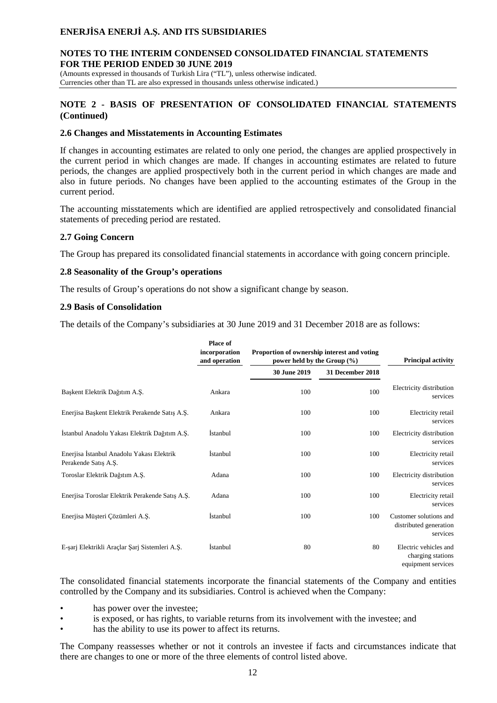### **NOTES TO THE INTERIM CONDENSED CONSOLIDATED FINANCIAL STATEMENTS FOR THE PERIOD ENDED 30 JUNE 2019**

(Amounts expressed in thousands of Turkish Lira ("TL"), unless otherwise indicated. Currencies other than TL are also expressed in thousands unless otherwise indicated.)

### **NOTE 2 - BASIS OF PRESENTATION OF CONSOLIDATED FINANCIAL STATEMENTS (Continued)**

#### **2.6 Changes and Misstatements in Accounting Estimates**

If changes in accounting estimates are related to only one period, the changes are applied prospectively in the current period in which changes are made. If changes in accounting estimates are related to future periods, the changes are applied prospectively both in the current period in which changes are made and also in future periods. No changes have been applied to the accounting estimates of the Group in the current period.

The accounting misstatements which are identified are applied retrospectively and consolidated financial statements of preceding period are restated.

### **2.7 Going Concern**

The Group has prepared its consolidated financial statements in accordance with going concern principle.

#### **2.8 Seasonality of the Group's operations**

The results of Group's operations do not show a significant change by season.

#### **2.9 Basis of Consolidation**

The details of the Company's subsidiaries at 30 June 2019 and 31 December 2018 are as follows:

|                                                                   | Place of<br>incorporation<br>and operation | Proportion of ownership interest and voting<br>power held by the Group $(\% )$ |                  | <b>Principal activity</b>                                        |
|-------------------------------------------------------------------|--------------------------------------------|--------------------------------------------------------------------------------|------------------|------------------------------------------------------------------|
|                                                                   |                                            | <b>30 June 2019</b>                                                            | 31 December 2018 |                                                                  |
| Başkent Elektrik Dağıtım A.Ş.                                     | Ankara                                     | 100                                                                            | 100              | Electricity distribution<br>services                             |
| Enerjisa Başkent Elektrik Perakende Satış A.Ş.                    | Ankara                                     | 100                                                                            | 100              | Electricity retail<br>services                                   |
| İstanbul Anadolu Yakası Elektrik Dağıtım A.Ş.                     | <i>Istanbul</i>                            | 100                                                                            | 100              | Electricity distribution<br>services                             |
| Enerjisa İstanbul Anadolu Yakası Elektrik<br>Perakende Satış A.Ş. | <i>Istanbul</i>                            | 100                                                                            | 100              | Electricity retail<br>services                                   |
| Toroslar Elektrik Dağıtım A.Ş.                                    | Adana                                      | 100                                                                            | 100              | Electricity distribution<br>services                             |
| Enerjisa Toroslar Elektrik Perakende Satış A.Ş.                   | Adana                                      | 100                                                                            | 100              | Electricity retail<br>services                                   |
| Enerjisa Müşteri Çözümleri A.Ş.                                   | <i>Istanbul</i>                            | 100                                                                            | 100              | Customer solutions and<br>distributed generation<br>services     |
| E-şarj Elektrikli Araçlar Şarj Sistemleri A.Ş.                    | <i>Istanbul</i>                            | 80                                                                             | 80               | Electric vehicles and<br>charging stations<br>equipment services |

The consolidated financial statements incorporate the financial statements of the Company and entities controlled by the Company and its subsidiaries. Control is achieved when the Company:

- has power over the investee;
- is exposed, or has rights, to variable returns from its involvement with the investee; and
- has the ability to use its power to affect its returns.

The Company reassesses whether or not it controls an investee if facts and circumstances indicate that there are changes to one or more of the three elements of control listed above.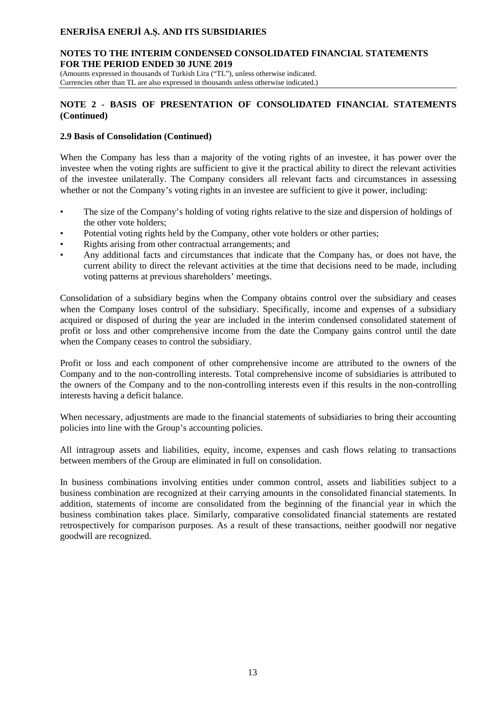#### **NOTES TO THE INTERIM CONDENSED CONSOLIDATED FINANCIAL STATEMENTS FOR THE PERIOD ENDED 30 JUNE 2019**

(Amounts expressed in thousands of Turkish Lira ("TL"), unless otherwise indicated. Currencies other than TL are also expressed in thousands unless otherwise indicated.)

### **NOTE 2 - BASIS OF PRESENTATION OF CONSOLIDATED FINANCIAL STATEMENTS (Continued)**

#### **2.9 Basis of Consolidation (Continued)**

When the Company has less than a majority of the voting rights of an investee, it has power over the investee when the voting rights are sufficient to give it the practical ability to direct the relevant activities of the investee unilaterally. The Company considers all relevant facts and circumstances in assessing whether or not the Company's voting rights in an investee are sufficient to give it power, including:

- The size of the Company's holding of voting rights relative to the size and dispersion of holdings of the other vote holders;
- Potential voting rights held by the Company, other vote holders or other parties;
- Rights arising from other contractual arrangements; and
- Any additional facts and circumstances that indicate that the Company has, or does not have, the current ability to direct the relevant activities at the time that decisions need to be made, including voting patterns at previous shareholders' meetings.

Consolidation of a subsidiary begins when the Company obtains control over the subsidiary and ceases when the Company loses control of the subsidiary. Specifically, income and expenses of a subsidiary acquired or disposed of during the year are included in the interim condensed consolidated statement of profit or loss and other comprehensive income from the date the Company gains control until the date when the Company ceases to control the subsidiary.

Profit or loss and each component of other comprehensive income are attributed to the owners of the Company and to the non-controlling interests. Total comprehensive income of subsidiaries is attributed to the owners of the Company and to the non-controlling interests even if this results in the non-controlling interests having a deficit balance.

When necessary, adjustments are made to the financial statements of subsidiaries to bring their accounting policies into line with the Group's accounting policies.

All intragroup assets and liabilities, equity, income, expenses and cash flows relating to transactions between members of the Group are eliminated in full on consolidation.

In business combinations involving entities under common control, assets and liabilities subject to a business combination are recognized at their carrying amounts in the consolidated financial statements. In addition, statements of income are consolidated from the beginning of the financial year in which the business combination takes place. Similarly, comparative consolidated financial statements are restated retrospectively for comparison purposes. As a result of these transactions, neither goodwill nor negative goodwill are recognized.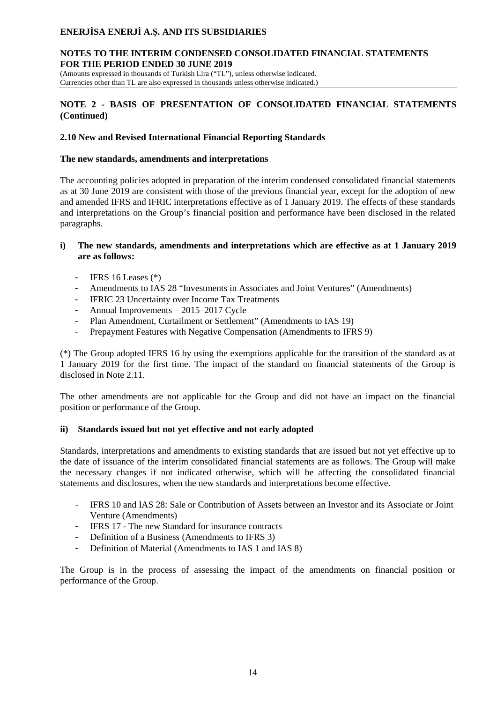#### **NOTES TO THE INTERIM CONDENSED CONSOLIDATED FINANCIAL STATEMENTS FOR THE PERIOD ENDED 30 JUNE 2019**

(Amounts expressed in thousands of Turkish Lira ("TL"), unless otherwise indicated. Currencies other than TL are also expressed in thousands unless otherwise indicated.)

### **NOTE 2 - BASIS OF PRESENTATION OF CONSOLIDATED FINANCIAL STATEMENTS (Continued)**

### **2.10 New and Revised International Financial Reporting Standards**

### **The new standards, amendments and interpretations**

The accounting policies adopted in preparation of the interim condensed consolidated financial statements as at 30 June 2019 are consistent with those of the previous financial year, except for the adoption of new and amended IFRS and IFRIC interpretations effective as of 1 January 2019. The effects of these standards and interpretations on the Group's financial position and performance have been disclosed in the related paragraphs.

### **i) The new standards, amendments and interpretations which are effective as at 1 January 2019 are as follows:**

- IFRS 16 Leases (\*)
- Amendments to IAS 28 "Investments in Associates and Joint Ventures" (Amendments)
- IFRIC 23 Uncertainty over Income Tax Treatments
- Annual Improvements 2015–2017 Cycle
- [Plan Amendment, Curtailment or Settlement"](https://www.iasplus.com/en/news/2018/02/ias-19) (Amendments to IAS 19)
- Prepayment Features with Negative Compensation (Amendments to IFRS 9)

(\*) The Group adopted IFRS 16 by using the exemptions applicable for the transition of the standard as at 1 January 2019 for the first time. The impact of the standard on financial statements of the Group is disclosed in Note 2.11.

The other amendments are not applicable for the Group and did not have an impact on the financial position or performance of the Group.

# **ii) Standards issued but not yet effective and not early adopted**

Standards, interpretations and amendments to existing standards that are issued but not yet effective up to the date of issuance of the interim consolidated financial statements are as follows. The Group will make the necessary changes if not indicated otherwise, which will be affecting the consolidated financial statements and disclosures, when the new standards and interpretations become effective.

- IFRS 10 and IAS 28: Sale or Contribution of Assets between an Investor and its Associate or Joint Venture (Amendments)
- IFRS 17 The new Standard for insurance contracts
- Definition of a Business (Amendments to IFRS 3)
- Definition of Material (Amendments to IAS 1 and IAS 8)

The Group is in the process of assessing the impact of the amendments on financial position or performance of the Group.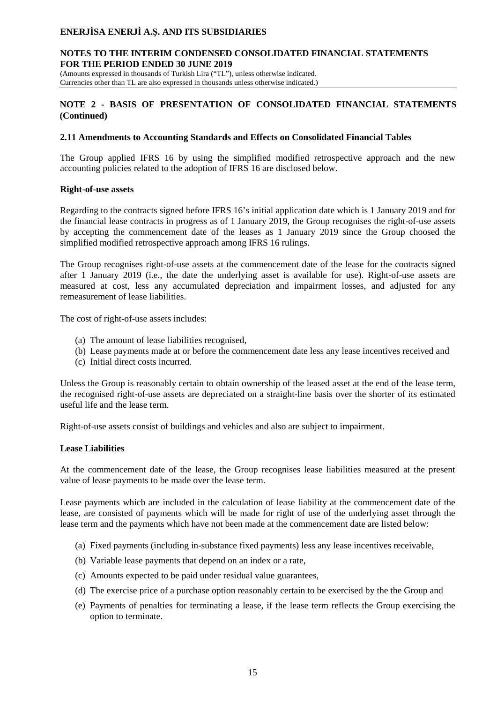#### **NOTES TO THE INTERIM CONDENSED CONSOLIDATED FINANCIAL STATEMENTS FOR THE PERIOD ENDED 30 JUNE 2019**

(Amounts expressed in thousands of Turkish Lira ("TL"), unless otherwise indicated. Currencies other than TL are also expressed in thousands unless otherwise indicated.)

### **NOTE 2 - BASIS OF PRESENTATION OF CONSOLIDATED FINANCIAL STATEMENTS (Continued)**

#### **2.11 Amendments to Accounting Standards and Effects on Consolidated Financial Tables**

The Group applied IFRS 16 by using the simplified modified retrospective approach and the new accounting policies related to the adoption of IFRS 16 are disclosed below.

#### **Right-of-use assets**

Regarding to the contracts signed before IFRS 16's initial application date which is 1 January 2019 and for the financial lease contracts in progress as of 1 January 2019, the Group recognises the right-of-use assets by accepting the commencement date of the leases as 1 January 2019 since the Group choosed the simplified modified retrospective approach among IFRS 16 rulings.

The Group recognises right-of-use assets at the commencement date of the lease for the contracts signed after 1 January 2019 (i.e., the date the underlying asset is available for use). Right-of-use assets are measured at cost, less any accumulated depreciation and impairment losses, and adjusted for any remeasurement of lease liabilities.

The cost of right-of-use assets includes:

- (a) The amount of lease liabilities recognised,
- (b) Lease payments made at or before the commencement date less any lease incentives received and
- (c) Initial direct costs incurred.

Unless the Group is reasonably certain to obtain ownership of the leased asset at the end of the lease term, the recognised right-of-use assets are depreciated on a straight-line basis over the shorter of its estimated useful life and the lease term.

Right-of-use assets consist of buildings and vehicles and also are subject to impairment.

### **Lease Liabilities**

At the commencement date of the lease, the Group recognises lease liabilities measured at the present value of lease payments to be made over the lease term.

Lease payments which are included in the calculation of lease liability at the commencement date of the lease, are consisted of payments which will be made for right of use of the underlying asset through the lease term and the payments which have not been made at the commencement date are listed below:

- (a) Fixed payments (including in-substance fixed payments) less any lease incentives receivable,
- (b) Variable lease payments that depend on an index or a rate,
- (c) Amounts expected to be paid under residual value guarantees,
- (d) The exercise price of a purchase option reasonably certain to be exercised by the the Group and
- (e) Payments of penalties for terminating a lease, if the lease term reflects the Group exercising the option to terminate.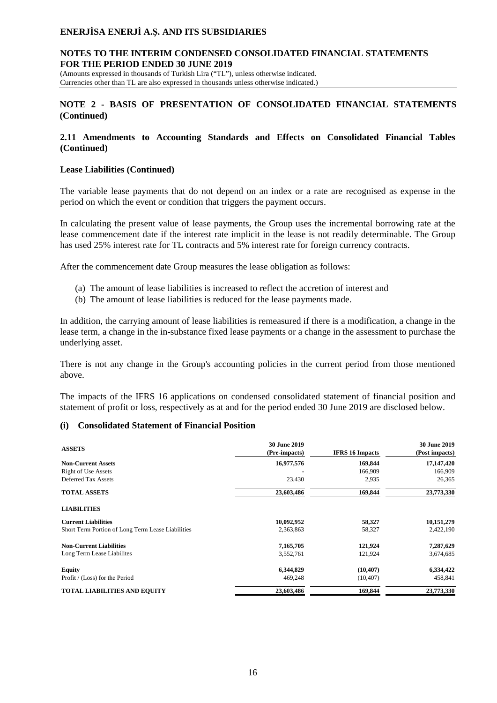#### **NOTES TO THE INTERIM CONDENSED CONSOLIDATED FINANCIAL STATEMENTS FOR THE PERIOD ENDED 30 JUNE 2019**

(Amounts expressed in thousands of Turkish Lira ("TL"), unless otherwise indicated. Currencies other than TL are also expressed in thousands unless otherwise indicated.)

### **NOTE 2 - BASIS OF PRESENTATION OF CONSOLIDATED FINANCIAL STATEMENTS (Continued)**

#### **2.11 Amendments to Accounting Standards and Effects on Consolidated Financial Tables (Continued)**

#### **Lease Liabilities (Continued)**

The variable lease payments that do not depend on an index or a rate are recognised as expense in the period on which the event or condition that triggers the payment occurs.

In calculating the present value of lease payments, the Group uses the incremental borrowing rate at the lease commencement date if the interest rate implicit in the lease is not readily determinable. The Group has used 25% interest rate for TL contracts and 5% interest rate for foreign currency contracts.

After the commencement date Group measures the lease obligation as follows:

- (a) The amount of lease liabilities is increased to reflect the accretion of interest and
- (b) The amount of lease liabilities is reduced for the lease payments made.

In addition, the carrying amount of lease liabilities is remeasured if there is a modification, a change in the lease term, a change in the in-substance fixed lease payments or a change in the assessment to purchase the underlying asset.

There is not any change in the Group's accounting policies in the current period from those mentioned above.

The impacts of the IFRS 16 applications on condensed consolidated statement of financial position and statement of profit or loss, respectively as at and for the period ended 30 June 2019 are disclosed below.

#### **(i) Consolidated Statement of Financial Position**

| <b>ASSETS</b>                                     | 30 June 2019<br>(Pre-impacts) | <b>IFRS 16 Impacts</b> | 30 June 2019<br>(Post impacts) |
|---------------------------------------------------|-------------------------------|------------------------|--------------------------------|
| <b>Non-Current Assets</b>                         | 16,977,576                    | 169,844                | 17,147,420                     |
| <b>Right of Use Assets</b>                        |                               | 166,909                | 166,909                        |
| Deferred Tax Assets                               | 23,430                        | 2,935                  | 26,365                         |
| <b>TOTAL ASSETS</b>                               | 23,603,486                    | 169,844                | 23,773,330                     |
| <b>LIABILITIES</b>                                |                               |                        |                                |
| <b>Current Liabilities</b>                        | 10,092,952                    | 58,327                 | 10,151,279                     |
| Short Term Portion of Long Term Lease Liabilities | 2,363,863                     | 58,327                 | 2,422,190                      |
| <b>Non-Current Liabilities</b>                    | 7,165,705                     | 121,924                | 7,287,629                      |
| Long Term Lease Liabilites                        | 3,552,761                     | 121,924                | 3,674,685                      |
| <b>Equity</b>                                     | 6,344,829                     | (10, 407)              | 6,334,422                      |
| Profit / (Loss) for the Period                    | 469,248                       | (10, 407)              | 458,841                        |
| <b>TOTAL LIABILITIES AND EQUITY</b>               | 23,603,486                    | 169,844                | 23,773,330                     |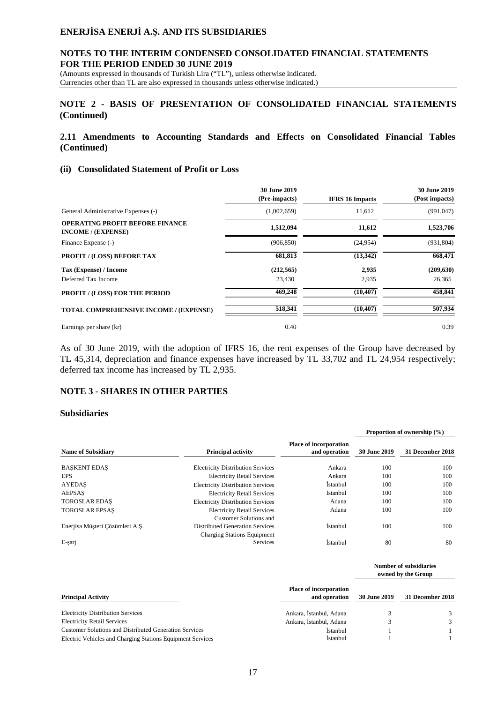### **NOTES TO THE INTERIM CONDENSED CONSOLIDATED FINANCIAL STATEMENTS FOR THE PERIOD ENDED 30 JUNE 2019**

(Amounts expressed in thousands of Turkish Lira ("TL"), unless otherwise indicated. Currencies other than TL are also expressed in thousands unless otherwise indicated.)

### **NOTE 2 - BASIS OF PRESENTATION OF CONSOLIDATED FINANCIAL STATEMENTS (Continued)**

### **2.11 Amendments to Accounting Standards and Effects on Consolidated Financial Tables (Continued)**

### **(ii) Consolidated Statement of Profit or Loss**

|                                                                     | <b>30 June 2019</b><br>(Pre-impacts) | <b>IFRS 16 Impacts</b> | <b>30 June 2019</b><br>(Post impacts) |
|---------------------------------------------------------------------|--------------------------------------|------------------------|---------------------------------------|
| General Administrative Expenses (-)                                 | (1,002,659)                          | 11,612                 | (991, 047)                            |
| <b>OPERATING PROFIT BEFORE FINANCE</b><br><b>INCOME</b> / (EXPENSE) | 1,512,094                            | 11,612                 | 1,523,706                             |
| Finance Expense (-)                                                 | (906, 850)                           | (24, 954)              | (931, 804)                            |
| <b>PROFIT / (LOSS) BEFORE TAX</b>                                   | 681,813                              | (13, 342)              | 668,471                               |
| Tax (Expense) / Income                                              | (212, 565)                           | 2,935                  | (209, 630)                            |
| Deferred Tax Income                                                 | 23,430                               | 2,935                  | 26,365                                |
| <b>PROFIT / (LOSS) FOR THE PERIOD</b>                               | 469,248                              | (10, 407)              | 458,841                               |
| TOTAL COMPREHENSIVE INCOME / (EXPENSE)                              | 518.341                              | (10, 407)              | 507,934                               |
| Earnings per share (kr)                                             | 0.40                                 |                        | 0.39                                  |

As of 30 June 2019, with the adoption of IFRS 16, the rent expenses of the Group have decreased by TL 45,314, depreciation and finance expenses have increased by TL 33,702 and TL 24,954 respectively; deferred tax income has increased by TL 2,935.

### **NOTE 3 - SHARES IN OTHER PARTIES**

#### **Subsidiaries**

|                                 |                                                                       |                                                | Proportion of ownership (%) |                  |  |
|---------------------------------|-----------------------------------------------------------------------|------------------------------------------------|-----------------------------|------------------|--|
| <b>Name of Subsidiary</b>       | <b>Principal activity</b>                                             | <b>Place of incorporation</b><br>and operation | <b>30 June 2019</b>         | 31 December 2018 |  |
| <b>BASKENT EDAS</b>             | <b>Electricity Distribution Services</b>                              | Ankara                                         | 100                         | 100              |  |
| <b>EPS</b>                      | <b>Electricity Retail Services</b>                                    | Ankara                                         | 100                         | 100              |  |
| <b>AYEDAS</b>                   | <b>Electricity Distribution Services</b>                              | Istanbul                                       | 100                         | 100              |  |
| <b>AEPSAS</b>                   | <b>Electricity Retail Services</b>                                    | <i>Istanbul</i>                                | 100                         | 100              |  |
| <b>TOROSLAR EDAS</b>            | <b>Electricity Distribution Services</b>                              | Adana                                          | 100                         | 100              |  |
| <b>TOROSLAR EPSAS</b>           | <b>Electricity Retail Services</b><br>Customer Solutions and          | Adana                                          | 100                         | 100              |  |
| Enerjisa Müsteri Cözümleri A.S. | Distributed Generation Services<br><b>Charging Stations Equipment</b> | <i>Istanbul</i>                                | 100                         | 100              |  |
| E-sarj                          | Services                                                              | <i>Istanbul</i>                                | 80                          | 80               |  |

|                                                               |                                                | Number of subsidiaries<br>owned by the Group |                  |  |
|---------------------------------------------------------------|------------------------------------------------|----------------------------------------------|------------------|--|
| <b>Principal Activity</b>                                     | <b>Place of incorporation</b><br>and operation | <b>30 June 2019</b>                          | 31 December 2018 |  |
| <b>Electricity Distribution Services</b>                      | Ankara, Istanbul, Adana                        |                                              | 3                |  |
| <b>Electricity Retail Services</b>                            | Ankara, İstanbul, Adana                        |                                              | $\mathcal{F}$    |  |
| <b>Customer Solutions and Distributed Generation Services</b> | <i>Istanbul</i>                                |                                              |                  |  |
| Electric Vehicles and Charging Stations Equipment Services    | <i>Istanbul</i>                                |                                              |                  |  |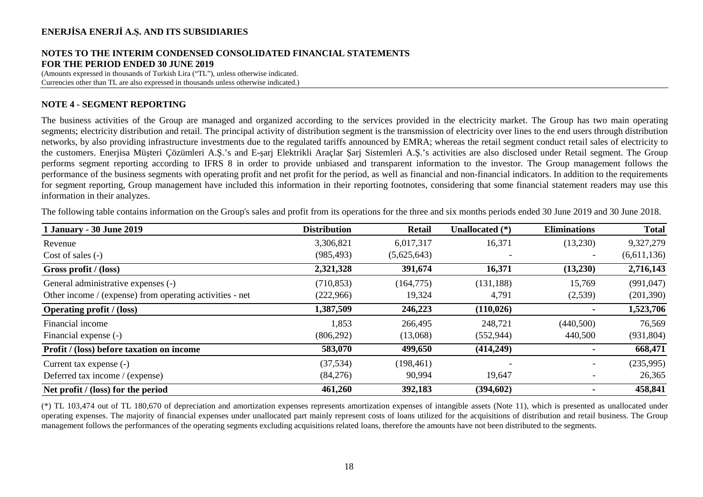#### **NOTES TO THE INTERIM CONDENSED CONSOLIDATED FINANCIAL STATEMENTS FOR THE PERIOD ENDED 30 JUNE 2019**

(Amounts expressed in thousands of Turkish Lira ("TL"), unless otherwise indicated. Currencies other than TL are also expressed in thousands unless otherwise indicated.)

### **NOTE 4 - SEGMENT REPORTING**

The business activities of the Group are managed and organized according to the services provided in the electricity market. The Group has two main operating segments; electricity distribution and retail. The principal activity of distribution segment is the transmission of electricity over lines to the end users through distribution networks, by also providing infrastructure investments due to the regulated tariffs announced by EMRA; whereas the retail segment conduct retail sales of electricity to the customers. Enerjisa Müşteri Çözümleri A.Ş.'s and E-şarj Elektrikli Araçlar Şarj Sistemleri A.Ş.'s activities are also disclosed under Retail segment. The Group performs segment reporting according to IFRS 8 in order to provide unbiased and transparent information to the investor. The Group management follows the performance of the business segments with operating profit and net profit for the period, as well as financial and non-financial indicators. In addition to the requirements for segment reporting, Group management have included this information in their reporting footnotes, considering that some financial statement readers may use this information in their analyzes.

| <b>1 January - 30 June 2019</b>                          | <b>Distribution</b> | <b>Retail</b> | Unallocated (*) | <b>Eliminations</b> | <b>Total</b> |
|----------------------------------------------------------|---------------------|---------------|-----------------|---------------------|--------------|
| Revenue                                                  | 3,306,821           | 6,017,317     | 16,371          | (13,230)            | 9,327,279    |
| Cost of sales $(-)$                                      | (985, 493)          | (5,625,643)   |                 |                     | (6,611,136)  |
| Gross profit / (loss)                                    | 2,321,328           | 391,674       | 16,371          | (13,230)            | 2,716,143    |
| General administrative expenses (-)                      | (710, 853)          | (164, 775)    | (131, 188)      | 15,769              | (991, 047)   |
| Other income / (expense) from operating activities - net | (222,966)           | 19,324        | 4,791           | (2,539)             | (201, 390)   |
| <b>Operating profit</b> / (loss)                         | 1,387,509           | 246,223       | (110, 026)      |                     | 1,523,706    |
| Financial income                                         | 1,853               | 266,495       | 248,721         | (440,500)           | 76,569       |
| Financial expense (-)                                    | (806, 292)          | (13,068)      | (552, 944)      | 440,500             | (931, 804)   |
| Profit / (loss) before taxation on income                | 583,070             | 499,650       | (414,249)       | $\blacksquare$      | 668,471      |
| Current tax expense (-)                                  | (37, 534)           | (198, 461)    |                 |                     | (235,995)    |
| Deferred tax income / (expense)                          | (84,276)            | 90,994        | 19,647          |                     | 26,365       |
| Net profit / (loss) for the period                       | 461,260             | 392,183       | (394, 602)      |                     | 458,841      |

The following table contains information on the Group's sales and profit from its operations for the three and six months periods ended 30 June 2019 and 30 June 2018.

(\*) TL 103,474 out of TL 180,670 of depreciation and amortization expenses represents amortization expenses of intangible assets (Note 11), which is presented as unallocated under operating expenses. The majority of financial expenses under unallocated part mainly represent costs of loans utilized for the acquisitions of distribution and retail business. The Group management follows the performances of the operating segments excluding acquisitions related loans, therefore the amounts have not been distributed to the segments.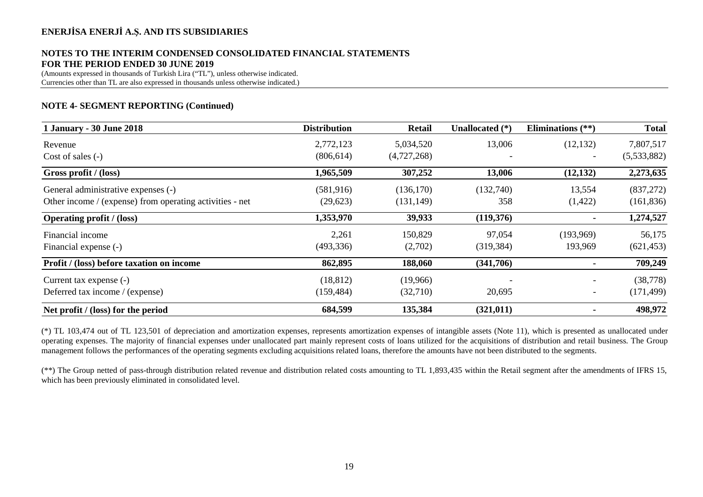# **NOTES TO THE INTERIM CONDENSED CONSOLIDATED FINANCIAL STATEMENTS FOR THE PERIOD ENDED 30 JUNE 2019**

(Amounts expressed in thousands of Turkish Lira ("TL"), unless otherwise indicated. Currencies other than TL are also expressed in thousands unless otherwise indicated.)

## **NOTE 4- SEGMENT REPORTING (Continued)**

| 1 January - 30 June 2018                                 | <b>Distribution</b> | <b>Retail</b> | Unallocated (*) | Eliminations $(**)$      | <b>Total</b> |
|----------------------------------------------------------|---------------------|---------------|-----------------|--------------------------|--------------|
| Revenue                                                  | 2,772,123           | 5,034,520     | 13,006          | (12, 132)                | 7,807,517    |
| Cost of sales $(-)$                                      | (806, 614)          | (4,727,268)   |                 |                          | (5,533,882)  |
| Gross profit / (loss)                                    | 1,965,509           | 307,252       | 13,006          | (12, 132)                | 2,273,635    |
| General administrative expenses (-)                      | (581,916)           | (136, 170)    | (132,740)       | 13,554                   | (837,272)    |
| Other income / (expense) from operating activities - net | (29,623)            | (131, 149)    | 358             | (1,422)                  | (161, 836)   |
| <b>Operating profit</b> / (loss)                         | 1,353,970           | 39,933        | (119,376)       |                          | 1,274,527    |
| Financial income                                         | 2,261               | 150,829       | 97,054          | (193,969)                | 56,175       |
| Financial expense (-)                                    | (493, 336)          | (2,702)       | (319, 384)      | 193,969                  | (621, 453)   |
| Profit / (loss) before taxation on income                | 862,895             | 188,060       | (341,706)       | $\blacksquare$           | 709,249      |
| Current tax expense (-)                                  | (18, 812)           | (19,966)      |                 | $\overline{\phantom{a}}$ | (38, 778)    |
| Deferred tax income / (expense)                          | (159, 484)          | (32,710)      | 20,695          | $\overline{\phantom{a}}$ | (171, 499)   |
| Net profit / (loss) for the period                       | 684,599             | 135,384       | (321, 011)      |                          | 498,972      |

(\*) TL 103,474 out of TL 123,501 of depreciation and amortization expenses, represents amortization expenses of intangible assets (Note 11), which is presented as unallocated under operating expenses. The majority of financial expenses under unallocated part mainly represent costs of loans utilized for the acquisitions of distribution and retail business. The Group management follows the performances of the operating segments excluding acquisitions related loans, therefore the amounts have not been distributed to the segments.

(\*\*) The Group netted of pass-through distribution related revenue and distribution related costs amounting to TL 1,893,435 within the Retail segment after the amendments of IFRS 15, which has been previously eliminated in consolidated level.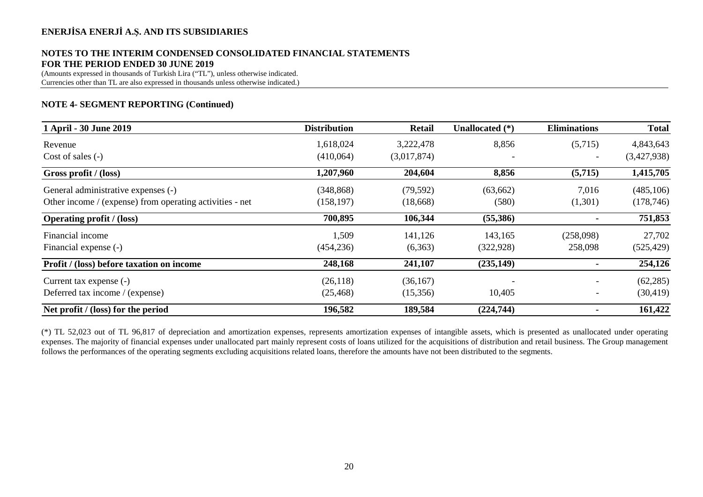## **NOTES TO THE INTERIM CONDENSED CONSOLIDATED FINANCIAL STATEMENTS FOR THE PERIOD ENDED 30 JUNE 2019**

(Amounts expressed in thousands of Turkish Lira ("TL"), unless otherwise indicated. Currencies other than TL are also expressed in thousands unless otherwise indicated.)

### **NOTE 4- SEGMENT REPORTING (Continued)**

| 1 April - 30 June 2019                                   | <b>Distribution</b> | <b>Retail</b> | Unallocated (*) | <b>Eliminations</b> | <b>Total</b> |
|----------------------------------------------------------|---------------------|---------------|-----------------|---------------------|--------------|
| Revenue                                                  | 1,618,024           | 3,222,478     | 8,856           | (5,715)             | 4,843,643    |
| Cost of sales $(-)$                                      | (410,064)           | (3,017,874)   |                 |                     | (3,427,938)  |
| Gross profit / (loss)                                    | 1,207,960           | 204,604       | 8,856           | (5,715)             | 1,415,705    |
| General administrative expenses (-)                      | (348, 868)          | (79, 592)     | (63, 662)       | 7,016               | (485,106)    |
| Other income / (expense) from operating activities - net | (158, 197)          | (18,668)      | (580)           | (1,301)             | (178, 746)   |
| <b>Operating profit / (loss)</b>                         | 700,895             | 106,344       | (55,386)        |                     | 751,853      |
| Financial income                                         | 1,509               | 141,126       | 143,165         | (258,098)           | 27,702       |
| Financial expense (-)                                    | (454, 236)          | (6,363)       | (322, 928)      | 258,098             | (525, 429)   |
| Profit / (loss) before taxation on income                | 248,168             | 241,107       | (235, 149)      | ۰                   | 254,126      |
| Current tax expense (-)                                  | (26, 118)           | (36, 167)     |                 |                     | (62, 285)    |
| Deferred tax income / (expense)                          | (25, 468)           | (15,356)      | 10,405          |                     | (30, 419)    |
| Net profit / (loss) for the period                       | 196,582             | 189,584       | (224,744)       |                     | 161,422      |

(\*) TL 52,023 out of TL 96,817 of depreciation and amortization expenses, represents amortization expenses of intangible assets, which is presented as unallocated under operating expenses. The majority of financial expenses under unallocated part mainly represent costs of loans utilized for the acquisitions of distribution and retail business. The Group management follows the performances of the operating segments excluding acquisitions related loans, therefore the amounts have not been distributed to the segments.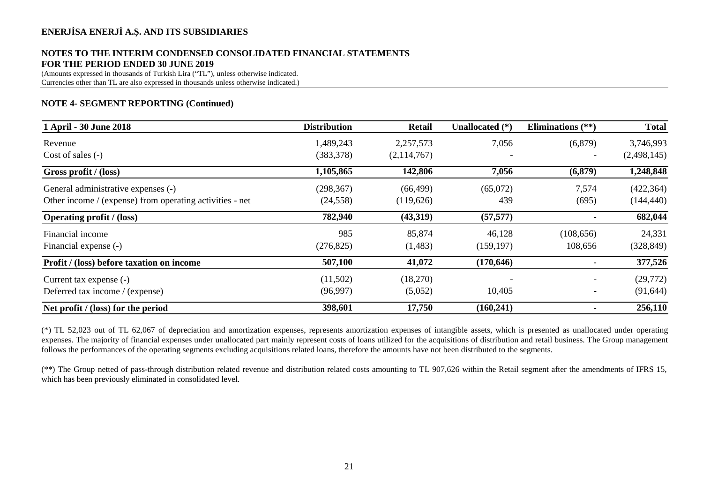## **NOTES TO THE INTERIM CONDENSED CONSOLIDATED FINANCIAL STATEMENTS FOR THE PERIOD ENDED 30 JUNE 2019**

(Amounts expressed in thousands of Turkish Lira ("TL"), unless otherwise indicated. Currencies other than TL are also expressed in thousands unless otherwise indicated.)

### **NOTE 4- SEGMENT REPORTING (Continued)**

| 1 April - 30 June 2018                                   | <b>Distribution</b> | <b>Retail</b> | Unallocated (*) | Eliminations $(**)$      | <b>Total</b> |
|----------------------------------------------------------|---------------------|---------------|-----------------|--------------------------|--------------|
| Revenue                                                  | 1,489,243           | 2,257,573     | 7,056           | (6,879)                  | 3,746,993    |
| Cost of sales $(-)$                                      | (383, 378)          | (2,114,767)   |                 |                          | (2,498,145)  |
| Gross profit / (loss)                                    | 1,105,865           | 142,806       | 7,056           | (6,879)                  | 1,248,848    |
| General administrative expenses (-)                      | (298, 367)          | (66, 499)     | (65,072)        | 7,574                    | (422, 364)   |
| Other income / (expense) from operating activities - net | (24, 558)           | (119,626)     | 439             | (695)                    | (144, 440)   |
| <b>Operating profit</b> / (loss)                         | 782,940             | (43,319)      | (57, 577)       |                          | 682,044      |
| Financial income                                         | 985                 | 85,874        | 46,128          | (108, 656)               | 24,331       |
| Financial expense (-)                                    | (276, 825)          | (1,483)       | (159, 197)      | 108,656                  | (328, 849)   |
| Profit / (loss) before taxation on income                | 507,100             | 41,072        | (170, 646)      | ۰                        | 377,526      |
| Current tax expense (-)                                  | (11,502)            | (18,270)      |                 | $\overline{\phantom{a}}$ | (29,772)     |
| Deferred tax income / (expense)                          | (96,997)            | (5,052)       | 10,405          | $\overline{\phantom{a}}$ | (91, 644)    |
| Net profit / (loss) for the period                       | 398,601             | 17,750        | (160, 241)      |                          | 256,110      |

(\*) TL 52,023 out of TL 62,067 of depreciation and amortization expenses, represents amortization expenses of intangible assets, which is presented as unallocated under operating expenses. The majority of financial expenses under unallocated part mainly represent costs of loans utilized for the acquisitions of distribution and retail business. The Group management follows the performances of the operating segments excluding acquisitions related loans, therefore the amounts have not been distributed to the segments.

(\*\*) The Group netted of pass-through distribution related revenue and distribution related costs amounting to TL 907,626 within the Retail segment after the amendments of IFRS 15, which has been previously eliminated in consolidated level.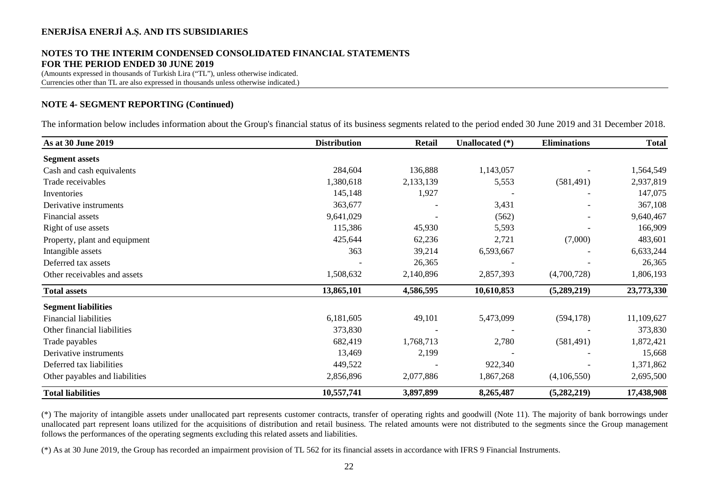# **NOTES TO THE INTERIM CONDENSED CONSOLIDATED FINANCIAL STATEMENTS FOR THE PERIOD ENDED 30 JUNE 2019**

(Amounts expressed in thousands of Turkish Lira ("TL"), unless otherwise indicated. Currencies other than TL are also expressed in thousands unless otherwise indicated.)

### **NOTE 4- SEGMENT REPORTING (Continued)**

The information below includes information about the Group's financial status of its business segments related to the period ended 30 June 2019 and 31 December 2018.

| As at 30 June 2019             | <b>Distribution</b> | <b>Retail</b> | Unallocated (*) | <b>Eliminations</b> | <b>Total</b> |
|--------------------------------|---------------------|---------------|-----------------|---------------------|--------------|
| <b>Segment assets</b>          |                     |               |                 |                     |              |
| Cash and cash equivalents      | 284,604             | 136,888       | 1,143,057       |                     | 1,564,549    |
| Trade receivables              | 1,380,618           | 2,133,139     | 5,553           | (581, 491)          | 2,937,819    |
| Inventories                    | 145,148             | 1,927         |                 |                     | 147,075      |
| Derivative instruments         | 363,677             |               | 3,431           |                     | 367,108      |
| Financial assets               | 9,641,029           |               | (562)           |                     | 9,640,467    |
| Right of use assets            | 115,386             | 45,930        | 5,593           |                     | 166,909      |
| Property, plant and equipment  | 425,644             | 62,236        | 2,721           | (7,000)             | 483,601      |
| Intangible assets              | 363                 | 39,214        | 6,593,667       |                     | 6,633,244    |
| Deferred tax assets            |                     | 26,365        |                 |                     | 26,365       |
| Other receivables and assets   | 1,508,632           | 2,140,896     | 2,857,393       | (4,700,728)         | 1,806,193    |
| <b>Total assets</b>            | 13,865,101          | 4,586,595     | 10,610,853      | (5,289,219)         | 23,773,330   |
| <b>Segment liabilities</b>     |                     |               |                 |                     |              |
| <b>Financial liabilities</b>   | 6,181,605           | 49,101        | 5,473,099       | (594, 178)          | 11,109,627   |
| Other financial liabilities    | 373,830             |               |                 |                     | 373,830      |
| Trade payables                 | 682,419             | 1,768,713     | 2,780           | (581, 491)          | 1,872,421    |
| Derivative instruments         | 13,469              | 2,199         |                 |                     | 15,668       |
| Deferred tax liabilities       | 449,522             |               | 922,340         |                     | 1,371,862    |
| Other payables and liabilities | 2,856,896           | 2,077,886     | 1,867,268       | (4,106,550)         | 2,695,500    |
| <b>Total liabilities</b>       | 10,557,741          | 3,897,899     | 8,265,487       | (5, 282, 219)       | 17,438,908   |

(\*) The majority of intangible assets under unallocated part represents customer contracts, transfer of operating rights and goodwill (Note 11). The majority of bank borrowings under unallocated part represent loans utilized for the acquisitions of distribution and retail business. The related amounts were not distributed to the segments since the Group management follows the performances of the operating segments excluding this related assets and liabilities.

(\*) As at 30 June 2019, the Group has recorded an impairment provision of TL 562 for its financial assets in accordance with IFRS 9 Financial Instruments.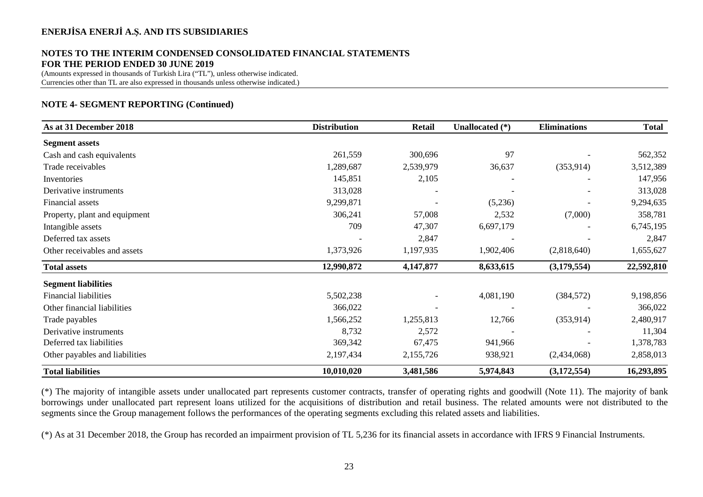# **NOTES TO THE INTERIM CONDENSED CONSOLIDATED FINANCIAL STATEMENTS FOR THE PERIOD ENDED 30 JUNE 2019**

(Amounts expressed in thousands of Turkish Lira ("TL"), unless otherwise indicated. Currencies other than TL are also expressed in thousands unless otherwise indicated.)

### **NOTE 4- SEGMENT REPORTING (Continued)**

| As at 31 December 2018         | <b>Distribution</b> | <b>Retail</b> | Unallocated (*) | <b>Eliminations</b> | <b>Total</b> |
|--------------------------------|---------------------|---------------|-----------------|---------------------|--------------|
| <b>Segment assets</b>          |                     |               |                 |                     |              |
| Cash and cash equivalents      | 261,559             | 300,696       | 97              |                     | 562,352      |
| Trade receivables              | 1,289,687           | 2,539,979     | 36,637          | (353, 914)          | 3,512,389    |
| Inventories                    | 145,851             | 2,105         |                 |                     | 147,956      |
| Derivative instruments         | 313,028             |               |                 |                     | 313,028      |
| Financial assets               | 9,299,871           |               | (5,236)         |                     | 9,294,635    |
| Property, plant and equipment  | 306,241             | 57,008        | 2,532           | (7,000)             | 358,781      |
| Intangible assets              | 709                 | 47,307        | 6,697,179       |                     | 6,745,195    |
| Deferred tax assets            |                     | 2,847         |                 |                     | 2,847        |
| Other receivables and assets   | 1,373,926           | 1,197,935     | 1,902,406       | (2,818,640)         | 1,655,627    |
| <b>Total assets</b>            | 12,990,872          | 4,147,877     | 8,633,615       | (3,179,554)         | 22,592,810   |
| <b>Segment liabilities</b>     |                     |               |                 |                     |              |
| <b>Financial liabilities</b>   | 5,502,238           |               | 4,081,190       | (384, 572)          | 9,198,856    |
| Other financial liabilities    | 366,022             |               |                 |                     | 366,022      |
| Trade payables                 | 1,566,252           | 1,255,813     | 12,766          | (353, 914)          | 2,480,917    |
| Derivative instruments         | 8,732               | 2,572         |                 |                     | 11,304       |
| Deferred tax liabilities       | 369,342             | 67,475        | 941,966         |                     | 1,378,783    |
| Other payables and liabilities | 2,197,434           | 2,155,726     | 938,921         | (2,434,068)         | 2,858,013    |
| <b>Total liabilities</b>       | 10,010,020          | 3,481,586     | 5,974,843       | (3, 172, 554)       | 16,293,895   |

(\*) The majority of intangible assets under unallocated part represents customer contracts, transfer of operating rights and goodwill (Note 11). The majority of bank borrowings under unallocated part represent loans utilized for the acquisitions of distribution and retail business. The related amounts were not distributed to the segments since the Group management follows the performances of the operating segments excluding this related assets and liabilities.

(\*) As at 31 December 2018, the Group has recorded an impairment provision of TL 5,236 for its financial assets in accordance with IFRS 9 Financial Instruments.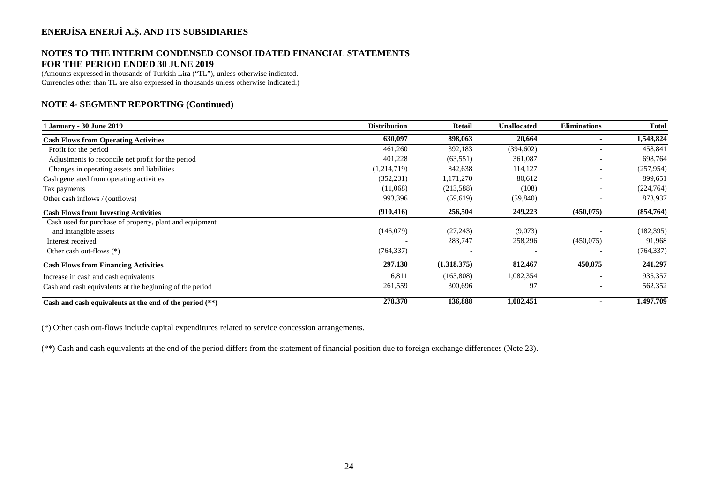# **NOTES TO THE INTERIM CONDENSED CONSOLIDATED FINANCIAL STATEMENTS FOR THE PERIOD ENDED 30 JUNE 2019**

(Amounts expressed in thousands of Turkish Lira ("TL"), unless otherwise indicated. Currencies other than TL are also expressed in thousands unless otherwise indicated.)

# **NOTE 4- SEGMENT REPORTING (Continued)**

| 1 January - 30 June 2019                                  | <b>Distribution</b> | Retail      | <b>Unallocated</b> | <b>Eliminations</b> | <b>Total</b> |
|-----------------------------------------------------------|---------------------|-------------|--------------------|---------------------|--------------|
| <b>Cash Flows from Operating Activities</b>               | 630,097             | 898,063     | 20,664             |                     | 1,548,824    |
| Profit for the period                                     | 461,260             | 392,183     | (394, 602)         |                     | 458,841      |
| Adjustments to reconcile net profit for the period        | 401,228             | (63, 551)   | 361,087            |                     | 698,764      |
| Changes in operating assets and liabilities               | (1,214,719)         | 842,638     | 114,127            |                     | (257, 954)   |
| Cash generated from operating activities                  | (352, 231)          | 1,171,270   | 80,612             |                     | 899,651      |
| Tax payments                                              | (11,068)            | (213,588)   | (108)              |                     | (224, 764)   |
| Other cash inflows / (outflows)                           | 993,396             | (59,619)    | (59, 840)          |                     | 873,937      |
| <b>Cash Flows from Investing Activities</b>               | (910, 416)          | 256,504     | 249,223            | (450, 075)          | (854, 764)   |
| Cash used for purchase of property, plant and equipment   |                     |             |                    |                     |              |
| and intangible assets                                     | (146,079)           | (27, 243)   | (9,073)            |                     | (182, 395)   |
| Interest received                                         |                     | 283,747     | 258,296            | (450,075)           | 91,968       |
| Other cash out-flows $(*)$                                | (764, 337)          |             |                    |                     | (764, 337)   |
| <b>Cash Flows from Financing Activities</b>               | 297,130             | (1,318,375) | 812,467            | 450,075             | 241,297      |
| Increase in cash and cash equivalents                     | 16,811              | (163,808)   | 1,082,354          |                     | 935,357      |
| Cash and cash equivalents at the beginning of the period  | 261,559             | 300,696     | 97                 |                     | 562,352      |
| Cash and cash equivalents at the end of the period $(**)$ | 278,370             | 136,888     | 1,082,451          |                     | 1,497,709    |

(\*) Other cash out-flows include capital expenditures related to service concession arrangements.

(\*\*) Cash and cash equivalents at the end of the period differs from the statement of financial position due to foreign exchange differences (Note 23).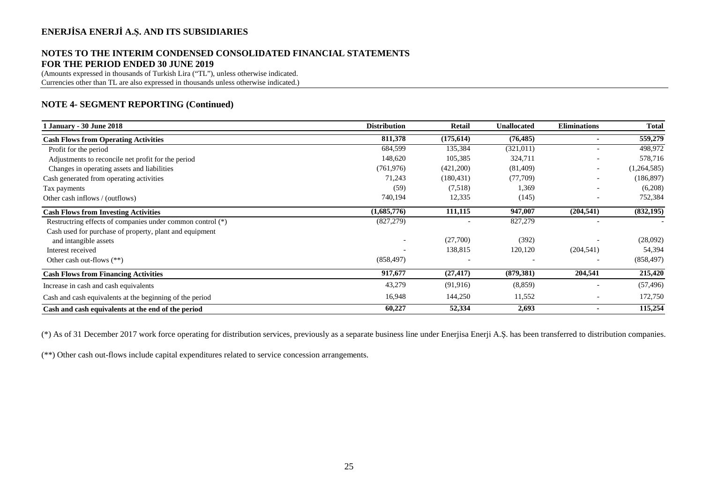### **NOTES TO THE INTERIM CONDENSED CONSOLIDATED FINANCIAL STATEMENTS FOR THE PERIOD ENDED 30 JUNE 2019**

(Amounts expressed in thousands of Turkish Lira ("TL"), unless otherwise indicated. Currencies other than TL are also expressed in thousands unless otherwise indicated.)

# **NOTE 4- SEGMENT REPORTING (Continued)**

| <b>January - 30 June 2018</b>                              | <b>Distribution</b> | <b>Retail</b> | <b>Unallocated</b> | <b>Eliminations</b>      | Total       |
|------------------------------------------------------------|---------------------|---------------|--------------------|--------------------------|-------------|
| <b>Cash Flows from Operating Activities</b>                | 811,378             | (175, 614)    | (76, 485)          | $\blacksquare$           | 559,279     |
| Profit for the period                                      | 684,599             | 135,384       | (321, 011)         |                          | 498,972     |
| Adjustments to reconcile net profit for the period         | 148,620             | 105,385       | 324,711            |                          | 578,716     |
| Changes in operating assets and liabilities                | (761, 976)          | (421,200)     | (81,409)           | $\overline{\phantom{a}}$ | (1,264,585) |
| Cash generated from operating activities                   | 71,243              | (180, 431)    | (77,709)           | $\overline{\phantom{0}}$ | (186, 897)  |
| Tax payments                                               | (59)                | (7,518)       | 1,369              | $\overline{\phantom{0}}$ | (6,208)     |
| Other cash inflows / (outflows)                            | 740,194             | 12,335        | (145)              | $\overline{\phantom{a}}$ | 752,384     |
| <b>Cash Flows from Investing Activities</b>                | (1,685,776)         | 111,115       | 947,007            | (204, 541)               | (832, 195)  |
| Restructring effects of companies under common control (*) | (827, 279)          |               | 827,279            |                          |             |
| Cash used for purchase of property, plant and equipment    |                     |               |                    |                          |             |
| and intangible assets                                      |                     | (27,700)      | (392)              |                          | (28,092)    |
| Interest received                                          |                     | 138,815       | 120,120            | (204, 541)               | 54,394      |
| Other cash out-flows (**)                                  | (858, 497)          |               |                    |                          | (858, 497)  |
| <b>Cash Flows from Financing Activities</b>                | 917,677             | (27, 417)     | (879, 381)         | 204,541                  | 215,420     |
| Increase in cash and cash equivalents                      | 43,279              | (91, 916)     | (8,859)            |                          | (57, 496)   |
| Cash and cash equivalents at the beginning of the period   | 16,948              | 144,250       | 11,552             |                          | 172,750     |
| Cash and cash equivalents at the end of the period         | 60,227              | 52,334        | 2,693              | $\blacksquare$           | 115,254     |

(\*) As of 31 December 2017 work force operating for distribution services, previously as a separate business line under Enerjisa Enerji A.Ş. has been transferred to distribution companies.

(\*\*) Other cash out-flows include capital expenditures related to service concession arrangements.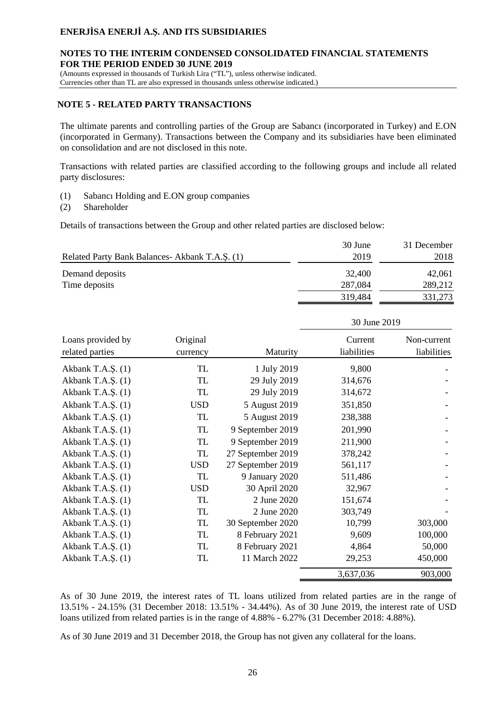#### **NOTES TO THE INTERIM CONDENSED CONSOLIDATED FINANCIAL STATEMENTS FOR THE PERIOD ENDED 30 JUNE 2019**

(Amounts expressed in thousands of Turkish Lira ("TL"), unless otherwise indicated.

Currencies other than TL are also expressed in thousands unless otherwise indicated.)

### **NOTE 5 - RELATED PARTY TRANSACTIONS**

The ultimate parents and controlling parties of the Group are Sabancı (incorporated in Turkey) and E.ON (incorporated in Germany). Transactions between the Company and its subsidiaries have been eliminated on consolidation and are not disclosed in this note.

Transactions with related parties are classified according to the following groups and include all related party disclosures:

- (1) Sabancı Holding and E.ON group companies
- (2) Shareholder

Details of transactions between the Group and other related parties are disclosed below:

|                                                 | 30 June | 31 December |
|-------------------------------------------------|---------|-------------|
| Related Party Bank Balances - Akbank T.A.Ş. (1) | 2019    | 2018        |
| Demand deposits                                 | 32,400  | 42,061      |
| Time deposits                                   | 287,084 | 289,212     |
|                                                 | 319,484 | 331,273     |

|                                      |                      |                   | 30 June 2019           |                            |
|--------------------------------------|----------------------|-------------------|------------------------|----------------------------|
| Loans provided by<br>related parties | Original<br>currency | Maturity          | Current<br>liabilities | Non-current<br>liabilities |
| Akbank T.A.Ş. (1)                    | <b>TL</b>            | 1 July 2019       | 9,800                  |                            |
| Akbank T.A.Ş. (1)                    | TL                   | 29 July 2019      | 314,676                |                            |
| Akbank T.A.Ş. (1)                    | TL                   | 29 July 2019      | 314,672                |                            |
| Akbank T.A.Ş. (1)                    | <b>USD</b>           | 5 August 2019     | 351,850                |                            |
| Akbank T.A.S. (1)                    | TL                   | 5 August 2019     | 238,388                |                            |
| Akbank T.A.S. (1)                    | <b>TL</b>            | 9 September 2019  | 201,990                |                            |
| Akbank T.A.Ş. (1)                    | TL                   | 9 September 2019  | 211,900                |                            |
| Akbank T.A.S. (1)                    | TL                   | 27 September 2019 | 378,242                |                            |
| Akbank T.A.Ş. (1)                    | <b>USD</b>           | 27 September 2019 | 561,117                |                            |
| Akbank T.A.Ş. (1)                    | TL                   | 9 January 2020    | 511,486                |                            |
| Akbank T.A.Ş. (1)                    | <b>USD</b>           | 30 April 2020     | 32,967                 |                            |
| Akbank T.A.Ş. (1)                    | TL                   | 2 June 2020       | 151,674                |                            |
| Akbank T.A.Ş. (1)                    | TL                   | 2 June 2020       | 303,749                |                            |
| Akbank T.A.Ş. (1)                    | TL                   | 30 September 2020 | 10,799                 | 303,000                    |
| Akbank T.A.Ş. (1)                    | TL                   | 8 February 2021   | 9,609                  | 100,000                    |
| Akbank T.A.Ş. (1)                    | TL                   | 8 February 2021   | 4,864                  | 50,000                     |
| Akbank T.A.Ş. (1)                    | TL                   | 11 March 2022     | 29,253                 | 450,000                    |
|                                      |                      |                   | 3,637,036              | 903,000                    |

As of 30 June 2019, the interest rates of TL loans utilized from related parties are in the range of 13.51% - 24.15% (31 December 2018: 13.51% - 34.44%). As of 30 June 2019, the interest rate of USD loans utilized from related parties is in the range of 4.88% - 6.27% (31 December 2018: 4.88%).

As of 30 June 2019 and 31 December 2018, the Group has not given any collateral for the loans.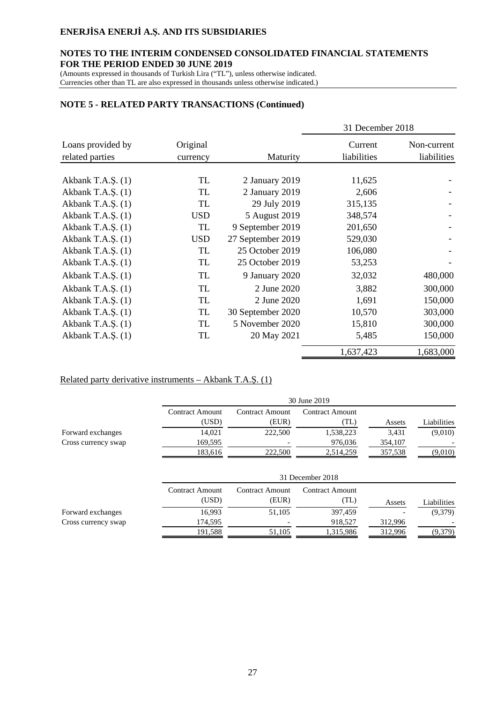### **NOTES TO THE INTERIM CONDENSED CONSOLIDATED FINANCIAL STATEMENTS FOR THE PERIOD ENDED 30 JUNE 2019**

(Amounts expressed in thousands of Turkish Lira ("TL"), unless otherwise indicated. Currencies other than TL are also expressed in thousands unless otherwise indicated.)

### **NOTE 5 - RELATED PARTY TRANSACTIONS (Continued)**

|                                      |                      |                   | 31 December 2018       |                            |
|--------------------------------------|----------------------|-------------------|------------------------|----------------------------|
| Loans provided by<br>related parties | Original<br>currency | Maturity          | Current<br>liabilities | Non-current<br>liabilities |
|                                      |                      |                   |                        |                            |
| Akbank T.A.S. $(1)$                  | TL                   | 2 January 2019    | 11,625                 |                            |
| Akbank T.A.S. (1)                    | TL                   | 2 January 2019    | 2,606                  |                            |
| Akbank T.A.S. (1)                    | TL                   | 29 July 2019      | 315,135                |                            |
| Akbank T.A.S. $(1)$                  | <b>USD</b>           | 5 August 2019     | 348,574                |                            |
| Akbank T.A.S. (1)                    | TL                   | 9 September 2019  | 201,650                |                            |
| Akbank T.A.S. (1)                    | <b>USD</b>           | 27 September 2019 | 529,030                |                            |
| Akbank T.A.Ş. (1)                    | TL                   | 25 October 2019   | 106,080                |                            |
| Akbank T.A.Ş. (1)                    | TL                   | 25 October 2019   | 53,253                 |                            |
| Akbank T.A.S. (1)                    | TL                   | 9 January 2020    | 32,032                 | 480,000                    |
| Akbank T.A.S. $(1)$                  | TL                   | 2 June 2020       | 3,882                  | 300,000                    |
| Akbank T.A.Ş. (1)                    | TL                   | 2 June 2020       | 1,691                  | 150,000                    |
| Akbank T.A.S. $(1)$                  | TL                   | 30 September 2020 | 10,570                 | 303,000                    |
| Akbank T.A.Ş. (1)                    | TL                   | 5 November 2020   | 15,810                 | 300,000                    |
| Akbank T.A.Ş. (1)                    | TL                   | 20 May 2021       | 5,485                  | 150,000                    |
|                                      |                      |                   | 1,637,423              | 1,683,000                  |

# Related party derivative instruments – Akbank T.A.Ş. (1)

|                     |                        |                        | 30 June 2019           |         |             |
|---------------------|------------------------|------------------------|------------------------|---------|-------------|
|                     | <b>Contract Amount</b> | <b>Contract Amount</b> | Contract Amount        |         |             |
|                     | (USD)                  | (EUR)                  | (TL)                   | Assets  | Liabilities |
| Forward exchanges   | 14,021                 | 222,500                | 1,538,223              | 3,431   | (9,010)     |
| Cross currency swap | 169,595                |                        | 976,036                | 354,107 |             |
|                     | 183,616                | 222,500                | 2,514,259              | 357,538 | (9,010)     |
|                     |                        |                        | 31 December 2018       |         |             |
|                     | <b>Contract Amount</b> | <b>Contract Amount</b> | <b>Contract Amount</b> |         |             |
|                     | (USD)                  | (EUR)                  | (TL)                   | Assets  | Liabilities |
| Forward exchanges   | 16,993                 | 51,105                 | 397,459                |         | (9,379)     |
| Cross currency swap | 174,595                |                        | 918,527                | 312,996 |             |
|                     | 191.588                | 51.105                 | 1,315,986              | 312.996 | (9,379)     |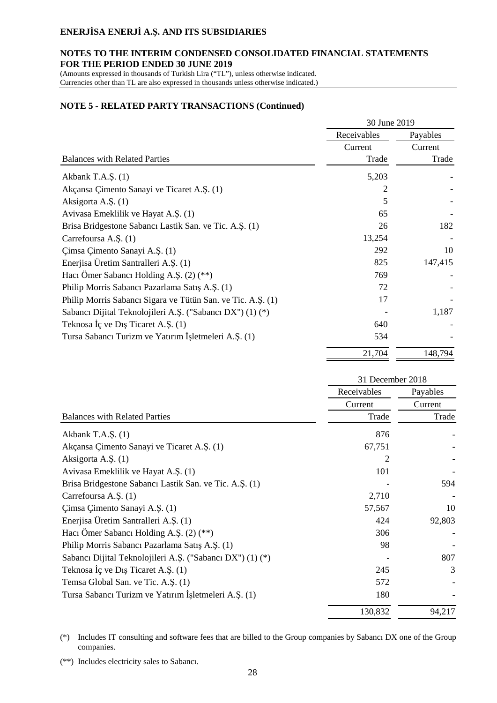### **NOTES TO THE INTERIM CONDENSED CONSOLIDATED FINANCIAL STATEMENTS FOR THE PERIOD ENDED 30 JUNE 2019**

(Amounts expressed in thousands of Turkish Lira ("TL"), unless otherwise indicated. Currencies other than TL are also expressed in thousands unless otherwise indicated.)

#### **NOTE 5 - RELATED PARTY TRANSACTIONS (Continued)**

|                                                             | 30 June 2019 |          |
|-------------------------------------------------------------|--------------|----------|
|                                                             | Receivables  | Payables |
|                                                             | Current      | Current  |
| <b>Balances with Related Parties</b>                        | Trade        | Trade    |
| Akbank T.A.Ş. (1)                                           | 5,203        |          |
| Akçansa Çimento Sanayi ve Ticaret A.Ş. (1)                  | 2            |          |
| Aksigorta A.Ş. (1)                                          | 5            |          |
| Avivasa Emeklilik ve Hayat A.Ş. (1)                         | 65           |          |
| Brisa Bridgestone Sabancı Lastik San. ve Tic. A.Ş. (1)      | 26           | 182      |
| Carrefoursa A.S. (1)                                        | 13,254       |          |
| Çimsa Çimento Sanayi A.Ş. (1)                               | 292          | 10       |
| Enerjisa Üretim Santralleri A.Ş. (1)                        | 825          | 147,415  |
| Hacı Ömer Sabancı Holding A.Ş. (2) (**)                     | 769          |          |
| Philip Morris Sabancı Pazarlama Satış A.Ş. (1)              | 72           |          |
| Philip Morris Sabancı Sigara ve Tütün San. ve Tic. A.Ş. (1) | 17           |          |
| Sabancı Dijital Teknolojileri A.Ş. ("Sabancı DX") (1) (*)   |              | 1,187    |
| Teknosa İç ve Dış Ticaret A.Ş. (1)                          | 640          |          |
| Tursa Sabancı Turizm ve Yatırım İşletmeleri A.Ş. (1)        | 534          |          |
|                                                             | 21,704       | 148,794  |

|                                                           | 31 December 2018 |          |  |
|-----------------------------------------------------------|------------------|----------|--|
|                                                           | Receivables      | Payables |  |
|                                                           | Current          | Current  |  |
| <b>Balances with Related Parties</b>                      | Trade            | Trade    |  |
| Akbank T.A.Ş. (1)                                         | 876              |          |  |
| Akçansa Çimento Sanayi ve Ticaret A.Ş. (1)                | 67,751           |          |  |
| Aksigorta A.Ş. (1)                                        | 2                |          |  |
| Avivasa Emeklilik ve Hayat A.Ş. (1)                       | 101              |          |  |
| Brisa Bridgestone Sabancı Lastik San. ve Tic. A.Ş. (1)    |                  | 594      |  |
| Carrefoursa A.Ş. (1)                                      | 2,710            |          |  |
| Çimsa Çimento Sanayi A.Ş. (1)                             | 57,567           | 10       |  |
| Enerjisa Üretim Santralleri A.Ş. (1)                      | 424              | 92,803   |  |
| Hacı Ömer Sabancı Holding A.Ş. $(2)$ (**)                 | 306              |          |  |
| Philip Morris Sabancı Pazarlama Satış A.Ş. (1)            | 98               |          |  |
| Sabancı Dijital Teknolojileri A.Ş. ("Sabancı DX") (1) (*) |                  | 807      |  |
| Teknosa İç ve Dış Ticaret A.Ş. (1)                        | 245              | 3        |  |
| Temsa Global San. ve Tic. A.Ş. (1)                        | 572              |          |  |
| Tursa Sabancı Turizm ve Yatırım İşletmeleri A.Ş. (1)      | 180              |          |  |
|                                                           | 130,832          | 94,217   |  |

(\*) Includes IT consulting and software fees that are billed to the Group companies by Sabancı DX one of the Group companies.

(\*\*) Includes electricity sales to Sabancı.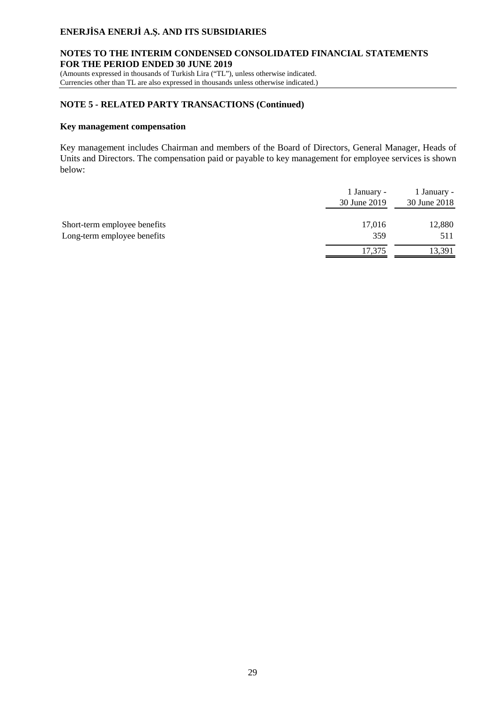### **NOTES TO THE INTERIM CONDENSED CONSOLIDATED FINANCIAL STATEMENTS FOR THE PERIOD ENDED 30 JUNE 2019**

(Amounts expressed in thousands of Turkish Lira ("TL"), unless otherwise indicated. Currencies other than TL are also expressed in thousands unless otherwise indicated.)

### **NOTE 5 - RELATED PARTY TRANSACTIONS (Continued)**

#### **Key management compensation**

Key management includes Chairman and members of the Board of Directors, General Manager, Heads of Units and Directors. The compensation paid or payable to key management for employee services is shown below:

|                                                             | 1 January -<br>30 June 2019 | 1 January -<br>30 June 2018 |
|-------------------------------------------------------------|-----------------------------|-----------------------------|
| Short-term employee benefits<br>Long-term employee benefits | 17,016<br>359               | 12,880<br>511               |
|                                                             | 17.375                      | 13,391                      |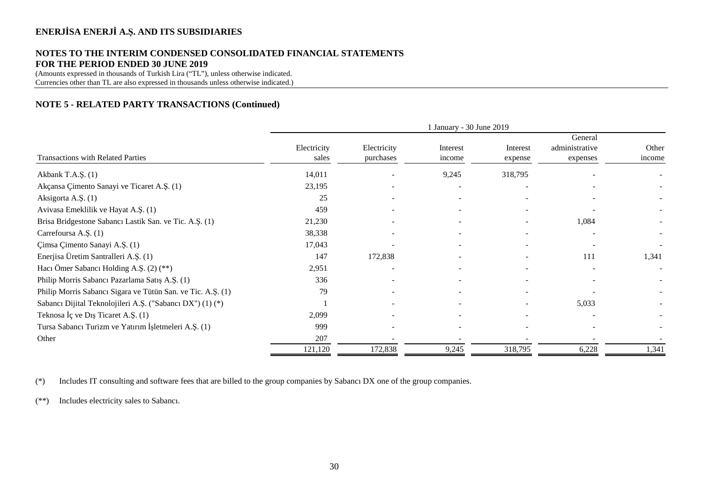## **NOTES TO THE INTERIM CONDENSED CONSOLIDATED FINANCIAL STATEMENTS FOR THE PERIOD ENDED 30 JUNE 2019**

(Amounts expressed in thousands of Turkish Lira ("TL"), unless otherwise indicated. Currencies other than TL are also expressed in thousands unless otherwise indicated.)

### **NOTE 5 - RELATED PARTY TRANSACTIONS (Continued)**

|                                                             |                      |                          | 1 January - 30 June 2019 |                     |                                       |                 |
|-------------------------------------------------------------|----------------------|--------------------------|--------------------------|---------------------|---------------------------------------|-----------------|
| <b>Transactions with Related Parties</b>                    | Electricity<br>sales | Electricity<br>purchases | Interest<br>income       | Interest<br>expense | General<br>administrative<br>expenses | Other<br>income |
| Akbank T.A.Ş. (1)                                           | 14,011               |                          | 9,245                    | 318,795             |                                       |                 |
| Akçansa Çimento Sanayi ve Ticaret A.Ş. (1)                  | 23,195               |                          |                          |                     |                                       |                 |
| Aksigorta A.Ş. (1)                                          | 25                   | $\overline{\phantom{a}}$ | $\overline{\phantom{a}}$ |                     |                                       |                 |
| Avivasa Emeklilik ve Hayat A.Ş. (1)                         | 459                  |                          |                          |                     |                                       |                 |
| Brisa Bridgestone Sabancı Lastik San. ve Tic. A.Ş. (1)      | 21,230               |                          |                          |                     | 1,084                                 |                 |
| Carrefoursa A.Ş. (1)                                        | 38,338               |                          |                          |                     |                                       |                 |
| Çimsa Çimento Sanayi A.Ş. (1)                               | 17,043               |                          | $\sim$                   |                     |                                       |                 |
| Enerjisa Üretim Santralleri A.Ş. (1)                        | 147                  | 172,838                  |                          |                     | 111                                   | 1,341           |
| Hacı Ömer Sabancı Holding A.Ş. (2) (**)                     | 2,951                | $\overline{\phantom{a}}$ |                          |                     |                                       |                 |
| Philip Morris Sabancı Pazarlama Satış A.Ş. (1)              | 336                  |                          |                          |                     |                                       |                 |
| Philip Morris Sabancı Sigara ve Tütün San. ve Tic. A.Ş. (1) | 79                   |                          |                          |                     |                                       |                 |
| Sabancı Dijital Teknolojileri A.Ş. ("Sabancı DX") (1) (*)   |                      | $\overline{\phantom{a}}$ | $\overline{\phantom{a}}$ |                     | 5,033                                 |                 |
| Teknosa İç ve Dış Ticaret A.Ş. (1)                          | 2,099                |                          |                          |                     |                                       |                 |
| Tursa Sabancı Turizm ve Yatırım İşletmeleri A.Ş. (1)        | 999                  | ۰                        | $\overline{\phantom{a}}$ |                     |                                       |                 |
| Other                                                       | 207                  |                          |                          |                     |                                       |                 |
|                                                             | 121,120              | 172,838                  | 9,245                    | 318,795             | 6,228                                 | 1,341           |

(\*) Includes IT consulting and software fees that are billed to the group companies by Sabancı DX one of the group companies.

(\*\*) Includes electricity sales to Sabancı.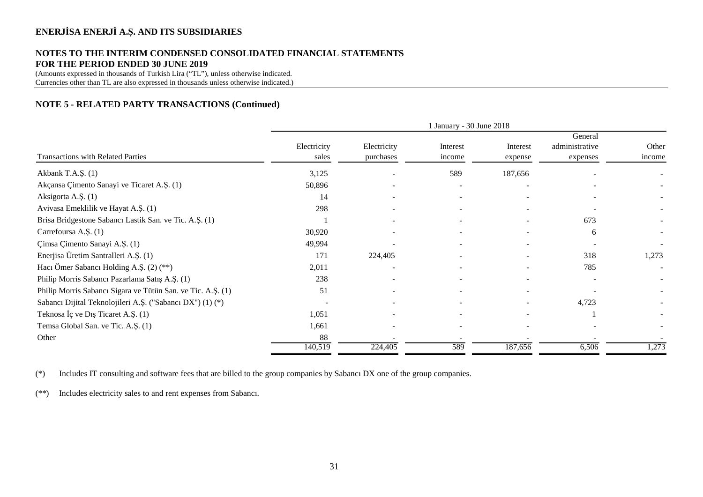### **NOTES TO THE INTERIM CONDENSED CONSOLIDATED FINANCIAL STATEMENTS FOR THE PERIOD ENDED 30 JUNE 2019**

(Amounts expressed in thousands of Turkish Lira ("TL"), unless otherwise indicated. Currencies other than TL are also expressed in thousands unless otherwise indicated.)

### **NOTE 5 - RELATED PARTY TRANSACTIONS (Continued)**

|                                                             | 1 January - 30 June 2018 |                          |                          |                          |                                       |                 |
|-------------------------------------------------------------|--------------------------|--------------------------|--------------------------|--------------------------|---------------------------------------|-----------------|
| Transactions with Related Parties                           | Electricity<br>sales     | Electricity<br>purchases | Interest<br>income       | Interest<br>expense      | General<br>administrative<br>expenses | Other<br>income |
| Akbank T.A.Ş. (1)                                           | 3,125                    |                          | 589                      | 187,656                  |                                       |                 |
| Akçansa Çimento Sanayi ve Ticaret A.Ş. (1)                  | 50,896                   |                          | $\overline{\phantom{a}}$ | $\overline{\phantom{a}}$ |                                       |                 |
| Aksigorta A.Ş. (1)                                          | 14                       | $\overline{\phantom{a}}$ | $\overline{\phantom{a}}$ | $\overline{\phantom{a}}$ | $\overline{\phantom{a}}$              |                 |
| Avivasa Emeklilik ve Hayat A.Ş. (1)                         | 298                      |                          | $\overline{\phantom{a}}$ |                          |                                       |                 |
| Brisa Bridgestone Sabancı Lastik San. ve Tic. A.Ş. (1)      |                          |                          |                          |                          | 673                                   |                 |
| Carrefoursa A.S. (1)                                        | 30,920                   |                          |                          |                          | 6                                     |                 |
| Çimsa Çimento Sanayi A.Ş. (1)                               | 49,994                   |                          |                          |                          |                                       |                 |
| Enerjisa Üretim Santralleri A.Ş. (1)                        | 171                      | 224,405                  |                          |                          | 318                                   | 1,273           |
| Hacı Ömer Sabancı Holding A.Ş. (2) (**)                     | 2,011                    |                          |                          |                          | 785                                   |                 |
| Philip Morris Sabancı Pazarlama Satış A.Ş. (1)              | 238                      |                          |                          |                          |                                       |                 |
| Philip Morris Sabancı Sigara ve Tütün San. ve Tic. A.Ş. (1) | 51                       |                          | $\overline{\phantom{a}}$ | $\sim$                   |                                       |                 |
| Sabancı Dijital Teknolojileri A.Ş. ("Sabancı DX") (1) (*)   | $\overline{a}$           | $\overline{\phantom{a}}$ | $\overline{\phantom{a}}$ |                          | 4,723                                 |                 |
| Teknosa İç ve Dış Ticaret A.Ş. (1)                          | 1,051                    |                          |                          |                          |                                       |                 |
| Temsa Global San. ve Tic. A.Ş. (1)                          | 1,661                    |                          | $\overline{\phantom{a}}$ |                          |                                       |                 |
| Other                                                       | 88                       |                          |                          |                          |                                       |                 |
|                                                             | 140,519                  | 224,405                  | 589                      | 187,656                  | 6,506                                 | 1,273           |

(\*) Includes IT consulting and software fees that are billed to the group companies by Sabancı DX one of the group companies.

(\*\*) Includes electricity sales to and rent expenses from Sabancı.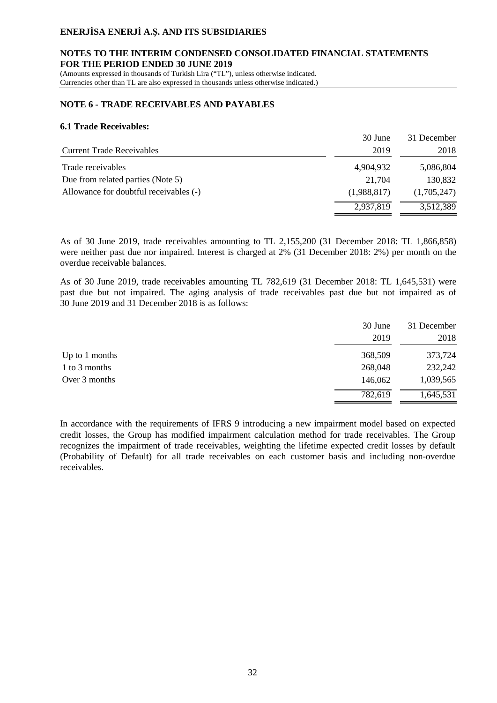#### **NOTES TO THE INTERIM CONDENSED CONSOLIDATED FINANCIAL STATEMENTS FOR THE PERIOD ENDED 30 JUNE 2019**

(Amounts expressed in thousands of Turkish Lira ("TL"), unless otherwise indicated. Currencies other than TL are also expressed in thousands unless otherwise indicated.)

#### **NOTE 6 - TRADE RECEIVABLES AND PAYABLES**

#### **6.1 Trade Receivables:**

|                                        | 30 June     | 31 December |
|----------------------------------------|-------------|-------------|
| Current Trade Receivables              | 2019        | 2018        |
| Trade receivables                      | 4,904,932   | 5,086,804   |
| Due from related parties (Note 5)      | 21.704      | 130,832     |
| Allowance for doubtful receivables (-) | (1,988,817) | (1,705,247) |
|                                        | 2,937,819   | 3,512,389   |

As of 30 June 2019, trade receivables amounting to TL 2,155,200 (31 December 2018: TL 1,866,858) were neither past due nor impaired. Interest is charged at 2% (31 December 2018: 2%) per month on the overdue receivable balances.

As of 30 June 2019, trade receivables amounting TL 782,619 (31 December 2018: TL 1,645,531) were past due but not impaired. The aging analysis of trade receivables past due but not impaired as of 30 June 2019 and 31 December 2018 is as follows:

|                  | 30 June<br>2019 | 31 December<br>2018 |
|------------------|-----------------|---------------------|
| Up to $1$ months | 368,509         | 373,724             |
| 1 to 3 months    | 268,048         | 232,242             |
| Over 3 months    | 146,062         | 1,039,565           |
|                  | 782,619         | 1,645,531           |

In accordance with the requirements of IFRS 9 introducing a new impairment model based on expected credit losses, the Group has modified impairment calculation method for trade receivables. The Group recognizes the impairment of trade receivables, weighting the lifetime expected credit losses by default (Probability of Default) for all trade receivables on each customer basis and including non-overdue receivables.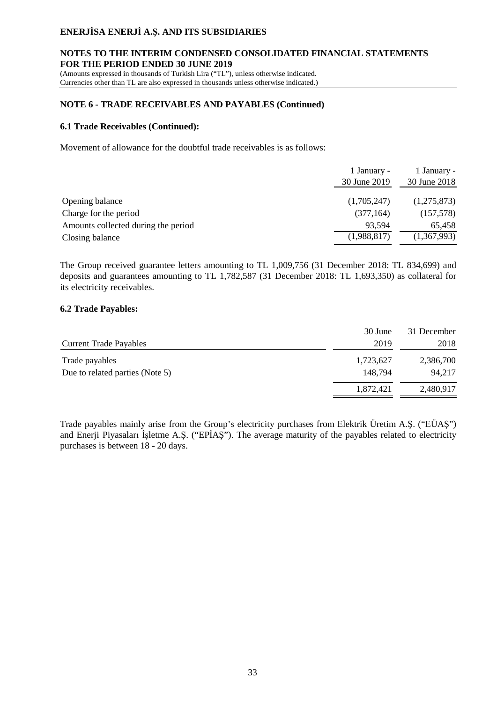### **NOTES TO THE INTERIM CONDENSED CONSOLIDATED FINANCIAL STATEMENTS FOR THE PERIOD ENDED 30 JUNE 2019**

(Amounts expressed in thousands of Turkish Lira ("TL"), unless otherwise indicated. Currencies other than TL are also expressed in thousands unless otherwise indicated.)

### **NOTE 6 - TRADE RECEIVABLES AND PAYABLES (Continued)**

### **6.1 Trade Receivables (Continued):**

Movement of allowance for the doubtful trade receivables is as follows:

|                                     | 1 January -  | 1 January -  |
|-------------------------------------|--------------|--------------|
|                                     | 30 June 2019 | 30 June 2018 |
|                                     |              |              |
| Opening balance                     | (1,705,247)  | (1,275,873)  |
| Charge for the period               | (377, 164)   | (157,578)    |
| Amounts collected during the period | 93,594       | 65,458       |
| Closing balance                     | (1,988,817)  | (1,367,993)  |

The Group received guarantee letters amounting to TL 1,009,756 (31 December 2018: TL 834,699) and deposits and guarantees amounting to TL 1,782,587 (31 December 2018: TL 1,693,350) as collateral for its electricity receivables.

### **6.2 Trade Payables:**

|                                 | 30 June   | 31 December |
|---------------------------------|-----------|-------------|
| <b>Current Trade Payables</b>   | 2019      | 2018        |
| Trade payables                  | 1,723,627 | 2,386,700   |
| Due to related parties (Note 5) | 148.794   | 94.217      |
|                                 | 1,872,421 | 2,480,917   |

Trade payables mainly arise from the Group's electricity purchases from Elektrik Üretim A.Ş. ("EÜAŞ") and Enerji Piyasaları İşletme A.Ş. ("EPİAŞ"). The average maturity of the payables related to electricity purchases is between 18 - 20 days.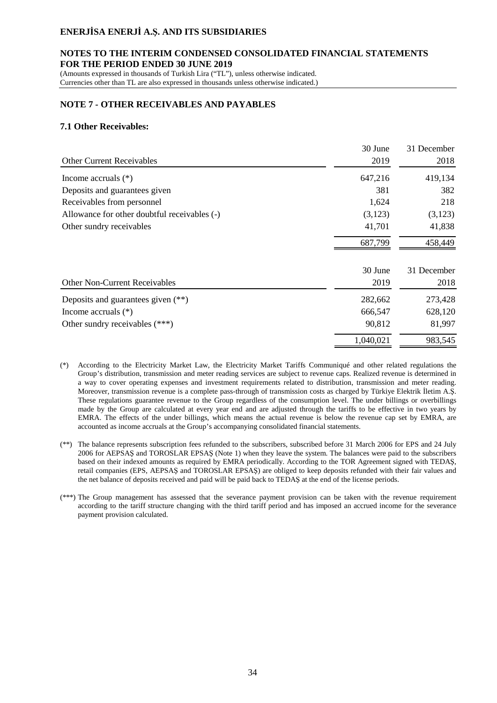#### **NOTES TO THE INTERIM CONDENSED CONSOLIDATED FINANCIAL STATEMENTS FOR THE PERIOD ENDED 30 JUNE 2019**

(Amounts expressed in thousands of Turkish Lira ("TL"), unless otherwise indicated. Currencies other than TL are also expressed in thousands unless otherwise indicated.)

#### **NOTE 7 - OTHER RECEIVABLES AND PAYABLES**

#### **7.1 Other Receivables:**

|                                              | 30 June   | 31 December |
|----------------------------------------------|-----------|-------------|
| <b>Other Current Receivables</b>             | 2019      | 2018        |
| Income accruals $(*)$                        | 647,216   | 419,134     |
| Deposits and guarantees given                | 381       | 382         |
| Receivables from personnel                   | 1,624     | 218         |
| Allowance for other doubtful receivables (-) | (3,123)   | (3,123)     |
| Other sundry receivables                     | 41,701    | 41,838      |
|                                              | 687,799   | 458,449     |
|                                              | 30 June   | 31 December |
| <b>Other Non-Current Receivables</b>         | 2019      | 2018        |
| Deposits and guarantees given $(**)$         | 282,662   | 273,428     |
| Income accruals $(*)$                        | 666,547   | 628,120     |
| Other sundry receivables $(***)$             | 90,812    | 81,997      |
|                                              | 1,040,021 | 983,545     |

- (\*) According to the Electricity Market Law, the Electricity Market Tariffs Communiqué and other related regulations the Group's distribution, transmission and meter reading services are subject to revenue caps. Realized revenue is determined in a way to cover operating expenses and investment requirements related to distribution, transmission and meter reading. Moreover, transmission revenue is a complete pass-through of transmission costs as charged by Türkiye Elektrik İletim A.Ş. These regulations guarantee revenue to the Group regardless of the consumption level. The under billings or overbillings made by the Group are calculated at every year end and are adjusted through the tariffs to be effective in two years by EMRA. The effects of the under billings, which means the actual revenue is below the revenue cap set by EMRA, are accounted as income accruals at the Group's accompanying consolidated financial statements.
- (\*\*) The balance represents subscription fees refunded to the subscribers, subscribed before 31 March 2006 for EPS and 24 July 2006 for AEPSAŞ and TOROSLAR EPSAŞ (Note 1) when they leave the system. The balances were paid to the subscribers based on their indexed amounts as required by EMRA periodically. According to the TOR Agreement signed with TEDAŞ, retail companies (EPS, AEPSAŞ and TOROSLAR EPSAŞ) are obliged to keep deposits refunded with their fair values and the net balance of deposits received and paid will be paid back to TEDAŞ at the end of the license periods.
- (\*\*\*) The Group management has assessed that the severance payment provision can be taken with the revenue requirement according to the tariff structure changing with the third tariff period and has imposed an accrued income for the severance payment provision calculated.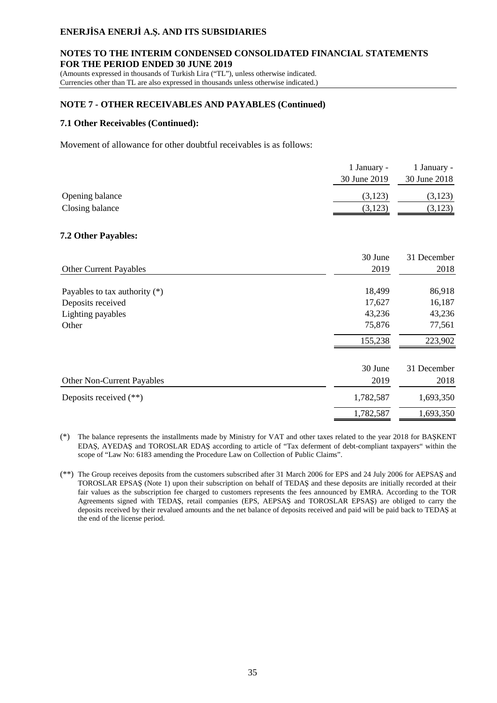### **NOTES TO THE INTERIM CONDENSED CONSOLIDATED FINANCIAL STATEMENTS FOR THE PERIOD ENDED 30 JUNE 2019**

(Amounts expressed in thousands of Turkish Lira ("TL"), unless otherwise indicated. Currencies other than TL are also expressed in thousands unless otherwise indicated.)

### **NOTE 7 - OTHER RECEIVABLES AND PAYABLES (Continued)**

#### **7.1 Other Receivables (Continued):**

Movement of allowance for other doubtful receivables is as follows:

|                 | 1 January -<br>30 June 2019 | 1 January -<br>30 June 2018 |
|-----------------|-----------------------------|-----------------------------|
| Opening balance | (3,123)                     | (3,123)                     |
| Closing balance | (3,123)                     | (3,123)                     |

### **7.2 Other Payables:**

|                                 | 30 June   | 31 December |
|---------------------------------|-----------|-------------|
| <b>Other Current Payables</b>   | 2019      | 2018        |
| Payables to tax authority $(*)$ | 18,499    | 86,918      |
| Deposits received               | 17,627    | 16,187      |
| Lighting payables               | 43,236    | 43,236      |
| Other                           | 75,876    | 77,561      |
|                                 | 155,238   | 223,902     |
|                                 | 30 June   | 31 December |
| Other Non-Current Payables      | 2019      | 2018        |
| Deposits received $(**)$        | 1,782,587 | 1,693,350   |
|                                 | 1,782,587 | 1,693,350   |

(\*) The balance represents the installments made by Ministry for VAT and other taxes related to the year 2018 for BAŞKENT EDAŞ, AYEDAŞ and TOROSLAR EDAŞ according to article of "Tax deferment of debt-compliant taxpayers" within the scope of "Law No: 6183 amending the Procedure Law on Collection of Public Claims".

(\*\*) The Group receives deposits from the customers subscribed after 31 March 2006 for EPS and 24 July 2006 for AEPSAŞ and TOROSLAR EPSAŞ (Note 1) upon their subscription on behalf of TEDAŞ and these deposits are initially recorded at their fair values as the subscription fee charged to customers represents the fees announced by EMRA. According to the TOR Agreements signed with TEDAŞ, retail companies (EPS, AEPSAŞ and TOROSLAR EPSAŞ) are obliged to carry the deposits received by their revalued amounts and the net balance of deposits received and paid will be paid back to TEDAŞ at the end of the license period.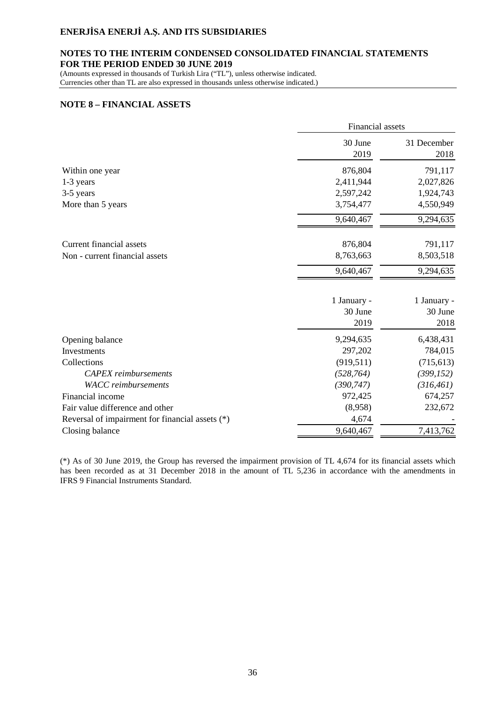### **NOTES TO THE INTERIM CONDENSED CONSOLIDATED FINANCIAL STATEMENTS FOR THE PERIOD ENDED 30 JUNE 2019**

(Amounts expressed in thousands of Turkish Lira ("TL"), unless otherwise indicated. Currencies other than TL are also expressed in thousands unless otherwise indicated.)

#### **NOTE 8 – FINANCIAL ASSETS**

|                                                 | Financial assets       |                        |  |
|-------------------------------------------------|------------------------|------------------------|--|
|                                                 | 30 June<br>2019        | 31 December<br>2018    |  |
| Within one year                                 | 876,804                | 791,117                |  |
| 1-3 years                                       | 2,411,944              | 2,027,826              |  |
| 3-5 years                                       | 2,597,242              | 1,924,743              |  |
| More than 5 years                               | 3,754,477              | 4,550,949              |  |
|                                                 | 9,640,467              | 9,294,635              |  |
| <b>Current financial assets</b>                 | 876,804                | 791,117                |  |
| Non - current financial assets                  | 8,763,663              | 8,503,518              |  |
|                                                 | 9,640,467              | 9,294,635              |  |
|                                                 | 1 January -<br>30 June | 1 January -<br>30 June |  |
|                                                 | 2019                   | 2018                   |  |
| Opening balance                                 | 9,294,635              | 6,438,431              |  |
| Investments                                     | 297,202                | 784,015                |  |
| Collections                                     | (919, 511)             | (715, 613)             |  |
| <b>CAPEX</b> reimbursements                     | (528, 764)             | (399, 152)             |  |
| <b>WACC</b> reimbursements                      | (390, 747)             | (316, 461)             |  |
| Financial income                                | 972,425                | 674,257                |  |
| Fair value difference and other                 | (8,958)                | 232,672                |  |
| Reversal of impairment for financial assets (*) | 4,674                  |                        |  |
| Closing balance                                 | 9,640,467              | 7,413,762              |  |

(\*) As of 30 June 2019, the Group has reversed the impairment provision of TL 4,674 for its financial assets which has been recorded as at 31 December 2018 in the amount of TL 5,236 in accordance with the amendments in IFRS 9 Financial Instruments Standard.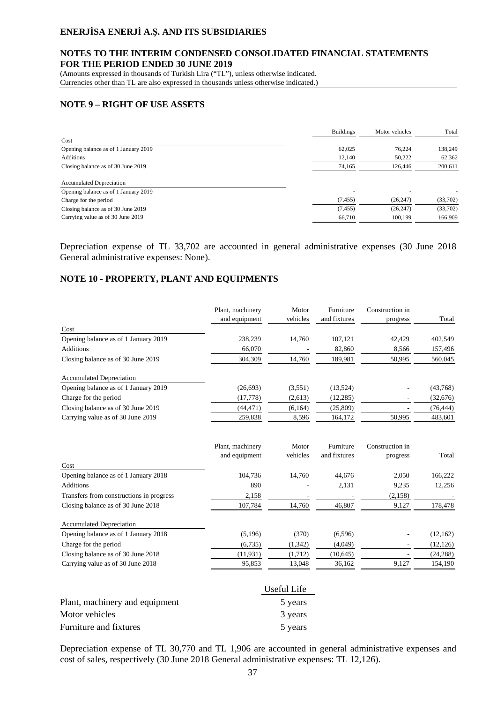### **NOTES TO THE INTERIM CONDENSED CONSOLIDATED FINANCIAL STATEMENTS FOR THE PERIOD ENDED 30 JUNE 2019**

(Amounts expressed in thousands of Turkish Lira ("TL"), unless otherwise indicated. Currencies other than TL are also expressed in thousands unless otherwise indicated.)

### **NOTE 9 – RIGHT OF USE ASSETS**

|                                      | <b>Buildings</b> | Motor vehicles | Total    |
|--------------------------------------|------------------|----------------|----------|
| Cost                                 |                  |                |          |
| Opening balance as of 1 January 2019 | 62,025           | 76.224         | 138,249  |
| <b>Additions</b>                     | 12,140           | 50,222         | 62,362   |
| Closing balance as of 30 June 2019   | 74,165           | 126,446        | 200,611  |
| <b>Accumulated Depreciation</b>      |                  |                |          |
| Opening balance as of 1 January 2019 |                  |                |          |
| Charge for the period                | (7, 455)         | (26, 247)      | (33,702) |
| Closing balance as of 30 June 2019   | (7, 455)         | (26, 247)      | (33,702) |
| Carrying value as of 30 June 2019    | 66,710           | 100,199        | 166,909  |
|                                      |                  |                |          |

Depreciation expense of TL 33,702 are accounted in general administrative expenses (30 June 2018 General administrative expenses: None).

# **NOTE 10 - PROPERTY, PLANT AND EQUIPMENTS**

|                                      | Plant, machinery<br>and equipment | Motor<br>vehicles | Furniture<br>and fixtures | Construction in<br>progress | Total     |
|--------------------------------------|-----------------------------------|-------------------|---------------------------|-----------------------------|-----------|
| Cost                                 |                                   |                   |                           |                             |           |
| Opening balance as of 1 January 2019 | 238,239                           | 14.760            | 107.121                   | 42.429                      | 402,549   |
| <b>Additions</b>                     | 66,070                            |                   | 82,860                    | 8,566                       | 157,496   |
| Closing balance as of 30 June 2019   | 304,309                           | 14.760            | 189,981                   | 50,995                      | 560,045   |
| <b>Accumulated Depreciation</b>      |                                   |                   |                           |                             |           |
| Opening balance as of 1 January 2019 | (26, 693)                         | (3,551)           | (13,524)                  | ۰                           | (43,768)  |
| Charge for the period                | (17, 778)                         | (2,613)           | (12, 285)                 |                             | (32,676)  |
| Closing balance as of 30 June 2019   | (44, 471)                         | (6,164)           | (25,809)                  |                             | (76, 444) |
| Carrying value as of 30 June 2019    | 259.838                           | 8.596             | 164,172                   | 50,995                      | 483,601   |

|                                          | Plant, machinery | Motor    | Furniture    | Construction in |           |
|------------------------------------------|------------------|----------|--------------|-----------------|-----------|
|                                          | and equipment    | vehicles | and fixtures | progress        | Total     |
| Cost                                     |                  |          |              |                 |           |
| Opening balance as of 1 January 2018     | 104.736          | 14.760   | 44,676       | 2.050           | 166,222   |
| <b>Additions</b>                         | 890              |          | 2,131        | 9,235           | 12,256    |
| Transfers from constructions in progress | 2,158            |          |              | (2,158)         |           |
| Closing balance as of 30 June 2018       | 107,784          | 14,760   | 46,807       | 9,127           | 178,478   |
| <b>Accumulated Depreciation</b>          |                  |          |              |                 |           |
| Opening balance as of 1 January 2018     | (5,196)          | (370)    | (6,596)      | ۰               | (12, 162) |
| Charge for the period                    | (6,735)          | (1, 342) | (4,049)      |                 | (12, 126) |
| Closing balance as of 30 June 2018       | (11, 931)        | (1,712)  | (10,645)     |                 | (24, 288) |
| Carrying value as of 30 June 2018        | 95,853           | 13.048   | 36,162       | 9,127           | 154,190   |

|                                | Useful Life |
|--------------------------------|-------------|
| Plant, machinery and equipment | 5 years     |
| Motor vehicles                 | 3 years     |
| Furniture and fixtures         | 5 years     |

Depreciation expense of TL 30,770 and TL 1,906 are accounted in general administrative expenses and cost of sales, respectively (30 June 2018 General administrative expenses: TL 12,126).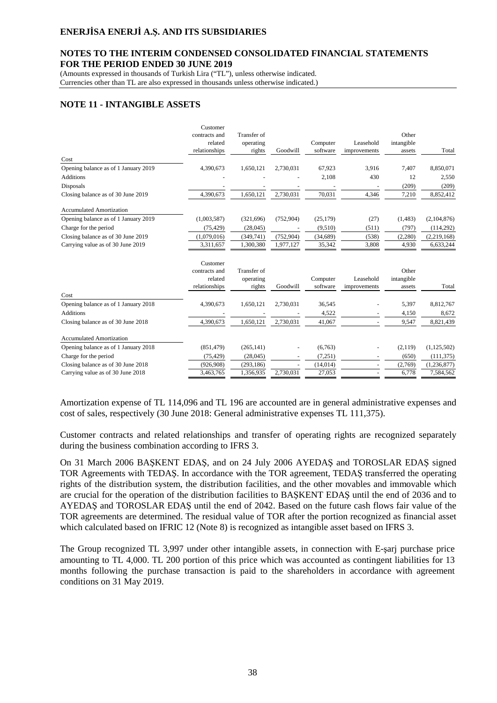#### **NOTES TO THE INTERIM CONDENSED CONSOLIDATED FINANCIAL STATEMENTS FOR THE PERIOD ENDED 30 JUNE 2019**

(Amounts expressed in thousands of Turkish Lira ("TL"), unless otherwise indicated.

Currencies other than TL are also expressed in thousands unless otherwise indicated.)

# **NOTE 11 - INTANGIBLE ASSETS**

|                                      | Customer      |             |            |           |              |            |               |
|--------------------------------------|---------------|-------------|------------|-----------|--------------|------------|---------------|
|                                      | contracts and | Transfer of |            |           |              | Other      |               |
|                                      | related       | operating   |            | Computer  | Leasehold    | intangible |               |
|                                      | relationships | rights      | Goodwill   | software  | improvements | assets     | Total         |
| Cost                                 |               |             |            |           |              |            |               |
| Opening balance as of 1 January 2019 | 4,390,673     | 1,650,121   | 2,730,031  | 67,923    | 3,916        | 7,407      | 8,850,071     |
| <b>Additions</b>                     |               |             |            | 2,108     | 430          | 12         | 2,550         |
| Disposals                            |               |             |            |           |              | (209)      | (209)         |
| Closing balance as of 30 June 2019   | 4,390,673     | 1,650,121   | 2,730,031  | 70,031    | 4,346        | 7,210      | 8,852,412     |
| <b>Accumulated Amortization</b>      |               |             |            |           |              |            |               |
| Opening balance as of 1 January 2019 | (1,003,587)   | (321,696)   | (752, 904) | (25, 179) | (27)         | (1,483)    | (2,104,876)   |
| Charge for the period                | (75, 429)     | (28, 045)   |            | (9,510)   | (511)        | (797)      | (114,292)     |
| Closing balance as of 30 June 2019   | (1,079,016)   | (349,741)   | (752, 904) | (34,689)  | (538)        | (2,280)    | (2,219,168)   |
| Carrying value as of 30 June 2019    | 3,311,657     | 1,300,380   | 1,977,127  | 35,342    | 3,808        | 4,930      | 6,633,244     |
|                                      | Customer      |             |            |           |              |            |               |
|                                      | contracts and | Transfer of |            |           |              | Other      |               |
|                                      | related       | operating   |            | Computer  | Leasehold    | intangible |               |
|                                      | relationships | rights      | Goodwill   | software  | improvements | assets     | Total         |
| Cost                                 |               |             |            |           |              |            |               |
| Opening balance as of 1 January 2018 | 4,390,673     | 1,650,121   | 2,730,031  | 36,545    |              | 5,397      | 8,812,767     |
| <b>Additions</b>                     |               |             |            | 4,522     |              | 4,150      | 8,672         |
| Closing balance as of 30 June 2018   | 4,390,673     | 1,650,121   | 2,730,031  | 41,067    |              | 9,547      | 8,821,439     |
| <b>Accumulated Amortization</b>      |               |             |            |           |              |            |               |
| Opening balance as of 1 January 2018 | (851, 479)    | (265, 141)  |            | (6,763)   |              | (2,119)    | (1, 125, 502) |
| Charge for the period                | (75, 429)     | (28, 045)   |            | (7,251)   |              | (650)      | (111, 375)    |
| Closing balance as of 30 June 2018   | (926, 908)    | (293, 186)  |            | (14, 014) |              | (2,769)    | (1,236,877)   |
| Carrying value as of 30 June 2018    | 3,463,765     | 1,356,935   | 2,730,031  | 27,053    |              | 6,778      | 7,584,562     |
|                                      |               |             |            |           |              |            |               |

Amortization expense of TL 114,096 and TL 196 are accounted are in general administrative expenses and cost of sales, respectively (30 June 2018: General administrative expenses TL 111,375).

Customer contracts and related relationships and transfer of operating rights are recognized separately during the business combination according to IFRS 3.

On 31 March 2006 BAŞKENT EDAŞ, and on 24 July 2006 AYEDAŞ and TOROSLAR EDAŞ signed TOR Agreements with TEDAŞ. In accordance with the TOR agreement, TEDAŞ transferred the operating rights of the distribution system, the distribution facilities, and the other movables and immovable which are crucial for the operation of the distribution facilities to BAŞKENT EDAŞ until the end of 2036 and to AYEDAŞ and TOROSLAR EDAŞ until the end of 2042. Based on the future cash flows fair value of the TOR agreements are determined. The residual value of TOR after the portion recognized as financial asset which calculated based on IFRIC 12 (Note 8) is recognized as intangible asset based on IFRS 3.

The Group recognized TL 3,997 under other intangible assets, in connection with E-şarj purchase price amounting to TL 4,000. TL 200 portion of this price which was accounted as contingent liabilities for 13 months following the purchase transaction is paid to the shareholders in accordance with agreement conditions on 31 May 2019.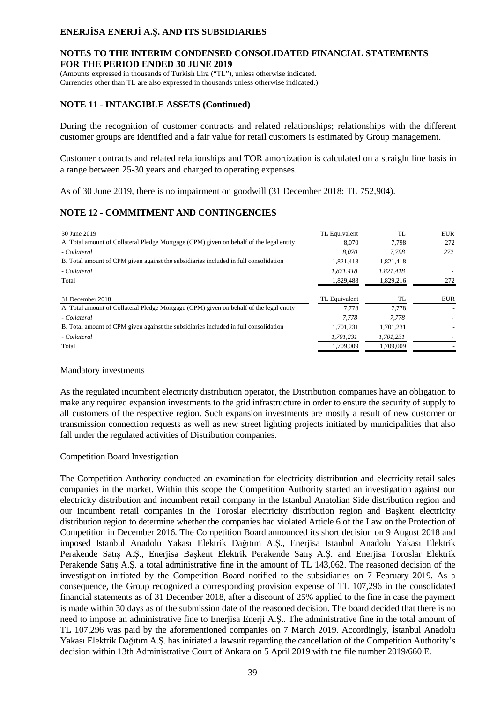### **NOTES TO THE INTERIM CONDENSED CONSOLIDATED FINANCIAL STATEMENTS FOR THE PERIOD ENDED 30 JUNE 2019**

(Amounts expressed in thousands of Turkish Lira ("TL"), unless otherwise indicated.

Currencies other than TL are also expressed in thousands unless otherwise indicated.)

### **NOTE 11 - INTANGIBLE ASSETS (Continued)**

During the recognition of customer contracts and related relationships; relationships with the different customer groups are identified and a fair value for retail customers is estimated by Group management.

Customer contracts and related relationships and TOR amortization is calculated on a straight line basis in a range between 25-30 years and charged to operating expenses.

As of 30 June 2019, there is no impairment on goodwill (31 December 2018: TL 752,904).

# **NOTE 12 - COMMITMENT AND CONTINGENCIES**

| 30 June 2019                                                                            | TL Equivalent | TL        | <b>EUR</b> |
|-----------------------------------------------------------------------------------------|---------------|-----------|------------|
| A. Total amount of Collateral Pledge Mortgage (CPM) given on behalf of the legal entity | 8,070         | 7.798     | 272        |
| - Collateral                                                                            | 8.070         | 7.798     | 272        |
| B. Total amount of CPM given against the subsidiaries included in full consolidation    | 1.821.418     | 1,821,418 |            |
| - Collateral                                                                            | 1,821,418     | 1,821,418 |            |
| Total                                                                                   | 1,829,488     | 1,829,216 | 272        |
|                                                                                         |               |           |            |
| 31 December 2018                                                                        | TL Equivalent | TL        | <b>EUR</b> |
| A. Total amount of Collateral Pledge Mortgage (CPM) given on behalf of the legal entity | 7.778         | 7.778     |            |
| - Collateral                                                                            | 7.778         | 7.778     |            |
| B. Total amount of CPM given against the subsidiaries included in full consolidation    | 1.701.231     | 1.701.231 |            |
| - Collateral                                                                            | 1,701,231     | 1,701,231 |            |
| Total                                                                                   | 1,709,009     | 1,709,009 |            |

### Mandatory investments

As the regulated incumbent electricity distribution operator, the Distribution companies have an obligation to make any required expansion investments to the grid infrastructure in order to ensure the security of supply to all customers of the respective region. Such expansion investments are mostly a result of new customer or transmission connection requests as well as new street lighting projects initiated by municipalities that also fall under the regulated activities of Distribution companies.

### Competition Board Investigation

The Competition Authority conducted an examination for electricity distribution and electricity retail sales companies in the market. Within this scope the Competition Authority started an investigation against our electricity distribution and incumbent retail company in the Istanbul Anatolian Side distribution region and our incumbent retail companies in the Toroslar electricity distribution region and Başkent electricity distribution region to determine whether the companies had violated Article 6 of the Law on the Protection of Competition in December 2016. The Competition Board announced its short decision on 9 August 2018 and imposed Istanbul Anadolu Yakası Elektrik Dağıtım A.Ş., Enerjisa Istanbul Anadolu Yakası Elektrik Perakende Satış A.Ş., Enerjisa Başkent Elektrik Perakende Satış A.Ş. and Enerjisa Toroslar Elektrik Perakende Satış A.Ş. a total administrative fine in the amount of TL 143,062. The reasoned decision of the investigation initiated by the Competition Board notified to the subsidiaries on 7 February 2019. As a consequence, the Group recognized a corresponding provision expense of TL 107,296 in the consolidated financial statements as of 31 December 2018, after a discount of 25% applied to the fine in case the payment is made within 30 days as of the submission date of the reasoned decision. The board decided that there is no need to impose an administrative fine to Enerjisa Enerji A.Ş.. The administrative fine in the total amount of TL 107,296 was paid by the aforementioned companies on 7 March 2019. Accordingly, İstanbul Anadolu Yakası Elektrik Dağıtım A.Ş. has initiated a lawsuit regarding the cancellation of the Competition Authority's decision within 13th Administrative Court of Ankara on 5 April 2019 with the file number 2019/660 E.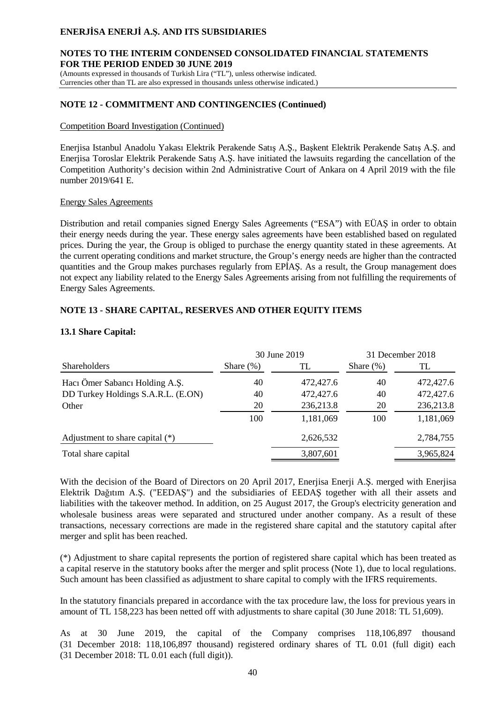### **NOTES TO THE INTERIM CONDENSED CONSOLIDATED FINANCIAL STATEMENTS FOR THE PERIOD ENDED 30 JUNE 2019**

(Amounts expressed in thousands of Turkish Lira ("TL"), unless otherwise indicated. Currencies other than TL are also expressed in thousands unless otherwise indicated.)

### **NOTE 12 - COMMITMENT AND CONTINGENCIES (Continued)**

#### Competition Board Investigation (Continued)

Enerjisa Istanbul Anadolu Yakası Elektrik Perakende Satış A.Ş., Başkent Elektrik Perakende Satış A.Ş. and Enerjisa Toroslar Elektrik Perakende Satış A.Ş. have initiated the lawsuits regarding the cancellation of the Competition Authority's decision within 2nd Administrative Court of Ankara on 4 April 2019 with the file number 2019/641 E.

#### Energy Sales Agreements

Distribution and retail companies signed Energy Sales Agreements ("ESA") with EÜAŞ in order to obtain their energy needs during the year. These energy sales agreements have been established based on regulated prices. During the year, the Group is obliged to purchase the energy quantity stated in these agreements. At the current operating conditions and market structure, the Group's energy needs are higher than the contracted quantities and the Group makes purchases regularly from EPİAŞ. As a result, the Group management does not expect any liability related to the Energy Sales Agreements arising from not fulfilling the requirements of Energy Sales Agreements.

### **NOTE 13 - SHARE CAPITAL, RESERVES AND OTHER EQUITY ITEMS**

### **13.1 Share Capital:**

|                                    | 30 June 2019 |           | 31 December 2018 |           |
|------------------------------------|--------------|-----------|------------------|-----------|
| <b>Shareholders</b>                | Share $(\%)$ | TL        | Share $(\%)$     | TL        |
| Hacı Ömer Sabancı Holding A.Ş.     | 40           | 472,427.6 | 40               | 472,427.6 |
| DD Turkey Holdings S.A.R.L. (E.ON) | 40           | 472,427.6 | 40               | 472,427.6 |
| Other                              | 20           | 236,213.8 | 20               | 236,213.8 |
|                                    | 100          | 1,181,069 | 100              | 1,181,069 |
| Adjustment to share capital $(*)$  |              | 2,626,532 |                  | 2,784,755 |
| Total share capital                |              | 3,807,601 |                  | 3,965,824 |

With the decision of the Board of Directors on 20 April 2017, Enerjisa Enerji A.Ş. merged with Enerjisa Elektrik Dağıtım A.Ş. ("EEDAŞ") and the subsidiaries of EEDAŞ together with all their assets and liabilities with the takeover method. In addition, on 25 August 2017, the Group's electricity generation and wholesale business areas were separated and structured under another company. As a result of these transactions, necessary corrections are made in the registered share capital and the statutory capital after merger and split has been reached.

(\*) Adjustment to share capital represents the portion of registered share capital which has been treated as a capital reserve in the statutory books after the merger and split process (Note 1), due to local regulations. Such amount has been classified as adjustment to share capital to comply with the IFRS requirements.

In the statutory financials prepared in accordance with the tax procedure law, the loss for previous years in amount of TL 158,223 has been netted off with adjustments to share capital (30 June 2018: TL 51,609).

As at 30 June 2019, the capital of the Company comprises 118,106,897 thousand (31 December 2018: 118,106,897 thousand) registered ordinary shares of TL 0.01 (full digit) each (31 December 2018: TL 0.01 each (full digit)).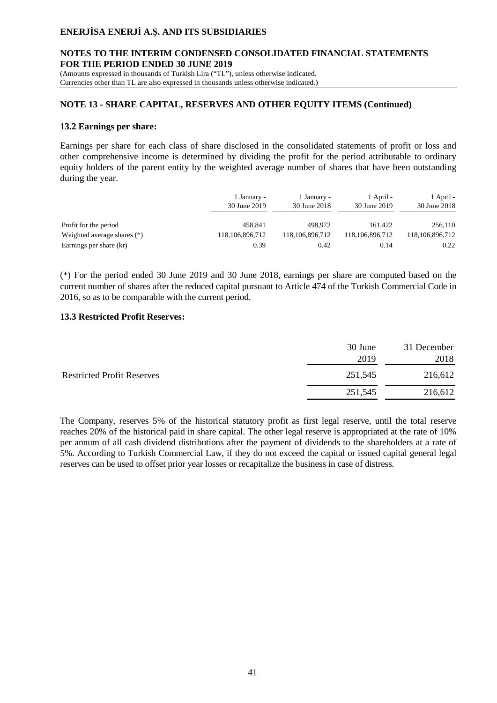### **NOTES TO THE INTERIM CONDENSED CONSOLIDATED FINANCIAL STATEMENTS FOR THE PERIOD ENDED 30 JUNE 2019**

(Amounts expressed in thousands of Turkish Lira ("TL"), unless otherwise indicated. Currencies other than TL are also expressed in thousands unless otherwise indicated.)

#### **NOTE 13 - SHARE CAPITAL, RESERVES AND OTHER EQUITY ITEMS (Continued)**

#### **13.2 Earnings per share:**

Earnings per share for each class of share disclosed in the consolidated statements of profit or loss and other comprehensive income is determined by dividing the profit for the period attributable to ordinary equity holders of the parent entity by the weighted average number of shares that have been outstanding during the year.

|                             | 1 January -<br>30 June 2019 | 1 January -<br>30 June 2018 | 1 April -<br>30 June 2019 | 1 April -<br>30 June 2018 |
|-----------------------------|-----------------------------|-----------------------------|---------------------------|---------------------------|
| Profit for the period       | 458.841                     | 498,972                     | 161.422                   | 256,110                   |
| Weighted average shares (*) | 118, 106, 896, 712          | 118, 106, 896, 712          | 118,106,896,712           | 118,106,896,712           |
| Earnings per share (kr)     | 0.39                        | 0.42                        | 0.14                      | 0.22                      |

(\*) For the period ended 30 June 2019 and 30 June 2018, earnings per share are computed based on the current number of shares after the reduced capital pursuant to Article 474 of the Turkish Commercial Code in 2016, so as to be comparable with the current period.

#### **13.3 Restricted Profit Reserves:**

|                                   | 30 June | 31 December |
|-----------------------------------|---------|-------------|
|                                   | 2019    | 2018        |
| <b>Restricted Profit Reserves</b> | 251,545 | 216,612     |
|                                   | 251,545 | 216,612     |

The Company, reserves 5% of the historical statutory profit as first legal reserve, until the total reserve reaches 20% of the historical paid in share capital. The other legal reserve is appropriated at the rate of 10% per annum of all cash dividend distributions after the payment of dividends to the shareholders at a rate of 5%. According to Turkish Commercial Law, if they do not exceed the capital or issued capital general legal reserves can be used to offset prior year losses or recapitalize the business in case of distress.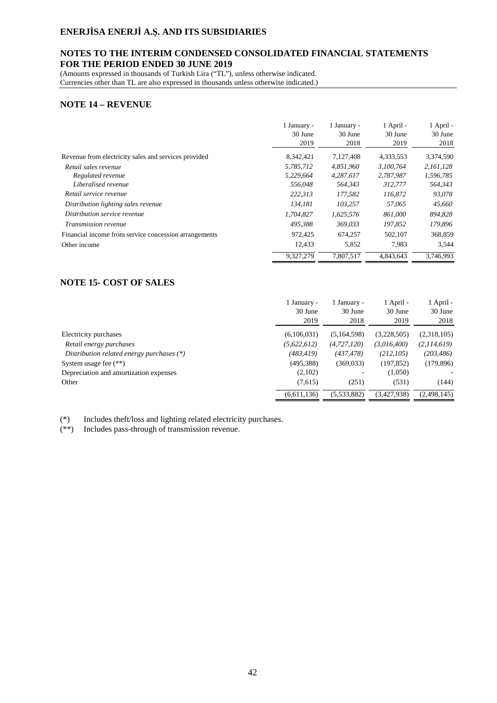### **NOTES TO THE INTERIM CONDENSED CONSOLIDATED FINANCIAL STATEMENTS FOR THE PERIOD ENDED 30 JUNE 2019**

(Amounts expressed in thousands of Turkish Lira ("TL"), unless otherwise indicated. Currencies other than TL are also expressed in thousands unless otherwise indicated.)

#### **NOTE 14 – REVENUE**

|                                                       | 1 January - | 1 January - | 1 April - | 1 April - |
|-------------------------------------------------------|-------------|-------------|-----------|-----------|
|                                                       | 30 June     | 30 June     | 30 June   | 30 June   |
|                                                       | 2019        | 2018        | 2019      | 2018      |
| Revenue from electricity sales and services provided  | 8,342,421   | 7,127,408   | 4,333,553 | 3,374,590 |
| Retail sales revenue                                  | 5,785,712   | 4.851.960   | 3.100.764 | 2.161.128 |
| Regulated revenue                                     | 5,229,664   | 4,287,617   | 2,787,987 | 1,596,785 |
| Liberalised revenue                                   | 556,048     | 564,343     | 312,777   | 564,343   |
| Retail service revenue                                | 222,313     | 177,582     | 116,872   | 93,078    |
| Distribution lighting sales revenue                   | 134,181     | 103.257     | 57,065    | 45,660    |
| Distribution service revenue                          | 1,704,827   | 1,625,576   | 861,000   | 894,828   |
| Transmission revenue                                  | 495.388     | 369,033     | 197,852   | 179,896   |
| Financial income from service concession arrangements | 972.425     | 674.257     | 502.107   | 368,859   |
| Other income                                          | 12,433      | 5,852       | 7.983     | 3,544     |
|                                                       | 9.327.279   | 7.807.517   | 4.843.643 | 3.746.993 |

## **NOTE 15- COST OF SALES**

|                                             | 1 January -<br>30 June<br>2019 | 1 January -<br>30 June<br>2018 | 1 April -<br>30 June<br>2019 | 1 April -<br>30 June<br>2018 |
|---------------------------------------------|--------------------------------|--------------------------------|------------------------------|------------------------------|
|                                             |                                |                                |                              |                              |
| Electricity purchases                       | (6,106,031)                    | (5,164,598)                    | (3,228,505)                  | (2,318,105)                  |
| Retail energy purchases                     | (5,622,612)                    | (4, 727, 120)                  | (3,016,400)                  | (2,114,619)                  |
| Distribution related energy purchases $(*)$ | (483, 419)                     | (437,478)                      | (212, 105)                   | (203, 486)                   |
| System usage fee $(**)$                     | (495,388)                      | (369,033)                      | (197, 852)                   | (179, 896)                   |
| Depreciation and amortization expenses      | (2,102)                        |                                | (1,050)                      |                              |
| Other                                       | (7,615)                        | (251)                          | (531)                        | (144)                        |
|                                             | (6,611,136)                    | (5,533,882)                    | (3,427,938)                  | (2,498,145)                  |

(\*) Includes theft/loss and lighting related electricity purchases.

(\*\*) Includes pass-through of transmission revenue.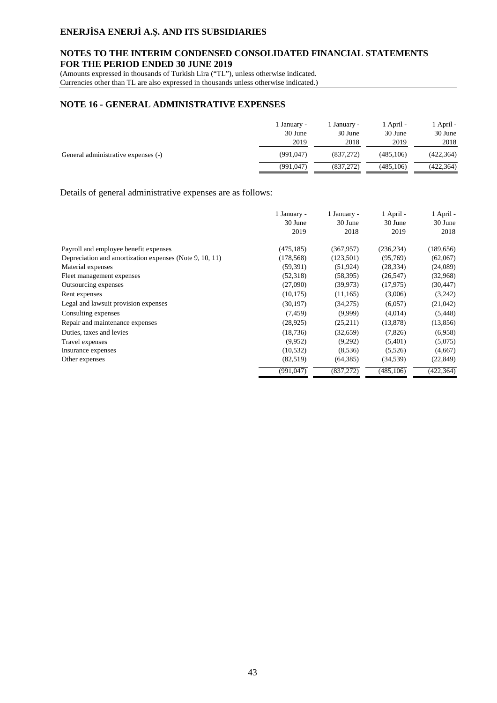### **NOTES TO THE INTERIM CONDENSED CONSOLIDATED FINANCIAL STATEMENTS FOR THE PERIOD ENDED 30 JUNE 2019**

(Amounts expressed in thousands of Turkish Lira ("TL"), unless otherwise indicated.

Currencies other than TL are also expressed in thousands unless otherwise indicated.)

# **NOTE 16 - GENERAL ADMINISTRATIVE EXPENSES**

|                                     | l January -<br>30 June<br>2019 | January -<br>30 June<br>2018 | 1 April -<br>30 June<br>2019 | l April -<br>30 June<br>2018 |
|-------------------------------------|--------------------------------|------------------------------|------------------------------|------------------------------|
| General administrative expenses (-) | (991, 047)                     | (837,272)                    | (485.106)                    | (422, 364)                   |
|                                     | (991, 047)                     | (837,272)                    | (485.106)                    | (422, 364)                   |

#### Details of general administrative expenses are as follows:

|                                                         | 1 January -<br>30 June<br>2019 | 1 January -<br>30 June<br>2018 | 1 April -<br>30 June<br>2019 | 1 April -<br>30 June<br>2018 |
|---------------------------------------------------------|--------------------------------|--------------------------------|------------------------------|------------------------------|
| Payroll and employee benefit expenses                   | (475, 185)                     | (367, 957)                     | (236, 234)                   | (189, 656)                   |
| Depreciation and amortization expenses (Note 9, 10, 11) | (178, 568)                     | (123, 501)                     | (95,769)                     | (62,067)                     |
| Material expenses                                       | (59, 391)                      | (51, 924)                      | (28, 334)                    | (24,089)                     |
| Fleet management expenses                               | (52,318)                       | (58, 395)                      | (26, 547)                    | (32,968)                     |
| Outsourcing expenses                                    | (27,090)                       | (39, 973)                      | (17, 975)                    | (30,447)                     |
| Rent expenses                                           | (10, 175)                      | (11, 165)                      | (3,006)                      | (3,242)                      |
| Legal and lawsuit provision expenses                    | (30, 197)                      | (34,275)                       | (6,057)                      | (21,042)                     |
| Consulting expenses                                     | (7, 459)                       | (9,999)                        | (4,014)                      | (5, 448)                     |
| Repair and maintenance expenses                         | (28, 925)                      | (25,211)                       | (13, 878)                    | (13, 856)                    |
| Duties, taxes and levies                                | (18, 736)                      | (32, 659)                      | (7,826)                      | (6,958)                      |
| Travel expenses                                         | (9,952)                        | (9,292)                        | (5,401)                      | (5,075)                      |
| Insurance expenses                                      | (10, 532)                      | (8,536)                        | (5,526)                      | (4,667)                      |
| Other expenses                                          | (82,519)                       | (64, 385)                      | (34, 539)                    | (22, 849)                    |
|                                                         | (991, 047)                     | (837, 272)                     | (485, 106)                   | (422, 364)                   |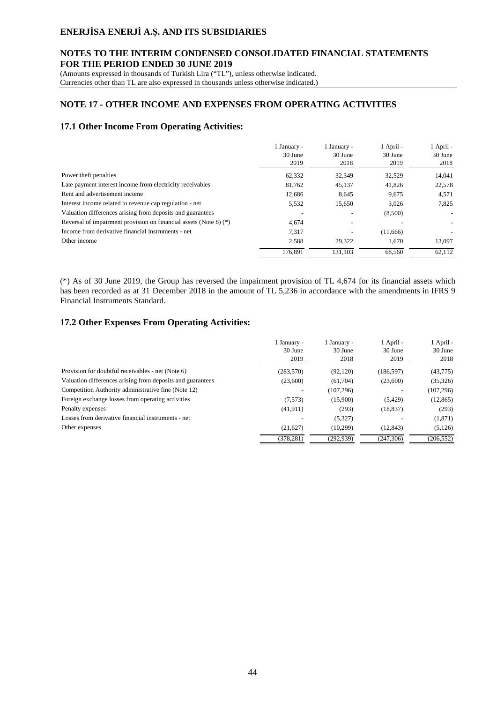### **NOTES TO THE INTERIM CONDENSED CONSOLIDATED FINANCIAL STATEMENTS FOR THE PERIOD ENDED 30 JUNE 2019**

(Amounts expressed in thousands of Turkish Lira ("TL"), unless otherwise indicated.

Currencies other than TL are also expressed in thousands unless otherwise indicated.)

### **NOTE 17 - OTHER INCOME AND EXPENSES FROM OPERATING ACTIVITIES**

#### **17.1 Other Income From Operating Activities:**

| 1 January -<br>30 June<br>2019 | 1 January -<br>30 June<br>2018 | 1 April -<br>30 June<br>2019 | 1 April -<br>30 June<br>2018 |
|--------------------------------|--------------------------------|------------------------------|------------------------------|
| 62,332                         | 32,349                         | 32,529                       | 14,041                       |
| 81,762                         | 45,137                         | 41,826                       | 22,578                       |
| 12.686                         | 8.645                          | 9,675                        | 4,571                        |
| 5,532                          | 15,650                         | 3,026                        | 7,825                        |
|                                |                                | (8,500)                      | $\sim$                       |
| 4.674                          |                                |                              | $\overline{\phantom{a}}$     |
| 7,317                          |                                | (11,666)                     | $\overline{\phantom{a}}$     |
| 2,588                          | 29.322                         | 1.670                        | 13,097                       |
| 176.891                        | 131.103                        | 68.560                       | 62.112                       |
|                                |                                |                              |                              |

(\*) As of 30 June 2019, the Group has reversed the impairment provision of TL 4,674 for its financial assets which has been recorded as at 31 December 2018 in the amount of TL 5,236 in accordance with the amendments in IFRS 9 Financial Instruments Standard.

#### **17.2 Other Expenses From Operating Activities:**

|                                                            | 1 January -<br>30 June<br>2019 | l January -<br>30 June<br>2018 | 1 April -<br>30 June<br>2019 | 1 April -<br>30 June<br>2018 |
|------------------------------------------------------------|--------------------------------|--------------------------------|------------------------------|------------------------------|
| Provision for doubtful receivables - net (Note 6)          | (283, 570)                     | (92, 120)                      | (186, 597)                   | (43, 775)                    |
| Valuation differences arising from deposits and guarantees | (23,600)                       | (61,704)                       | (23,600)                     | (35,326)                     |
| Competition Authority administrative fine (Note 12)        |                                | (107, 296)                     |                              | (107, 296)                   |
| Foreign exchange losses from operating activities          | (7,573)                        | (15,900)                       | (5,429)                      | (12, 865)                    |
| Penalty expenses                                           | (41, 911)                      | (293)                          | (18, 837)                    | (293)                        |
| Losses from derivative financial instruments - net         |                                | (5,327)                        |                              | (1,871)                      |
| Other expenses                                             | (21,627)                       | (10.299)                       | (12.843)                     | (5,126)                      |
|                                                            | (378, 281)                     | (292.939)                      | (247, 306)                   | (206, 552)                   |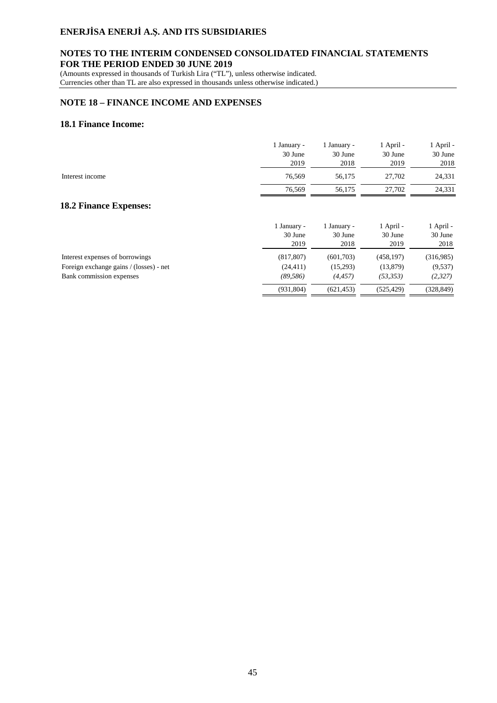### **NOTES TO THE INTERIM CONDENSED CONSOLIDATED FINANCIAL STATEMENTS FOR THE PERIOD ENDED 30 JUNE 2019**

(Amounts expressed in thousands of Turkish Lira ("TL"), unless otherwise indicated. Currencies other than TL are also expressed in thousands unless otherwise indicated.)

### **NOTE 18 – FINANCE INCOME AND EXPENSES**

### **18.1 Finance Income:**

|                                         | 1 January -<br>30 June<br>2019 | 1 January -<br>30 June<br>2018 | 1 April -<br>30 June<br>2019 | 1 April -<br>30 June<br>2018 |
|-----------------------------------------|--------------------------------|--------------------------------|------------------------------|------------------------------|
| Interest income                         | 76,569                         | 56,175                         | 27,702                       | 24,331                       |
|                                         | 76,569                         | 56,175                         | 27,702                       | 24,331                       |
| <b>18.2 Finance Expenses:</b>           |                                |                                |                              |                              |
|                                         | 1 January -<br>30 June<br>2019 | 1 January -<br>30 June<br>2018 | 1 April -<br>30 June<br>2019 | 1 April -<br>30 June<br>2018 |
| Interest expenses of borrowings         | (817, 807)                     | (601,703)                      | (458, 197)                   | (316,985)                    |
| Foreign exchange gains / (losses) - net | (24, 411)                      | (15,293)                       | (13, 879)                    | (9,537)                      |
| Bank commission expenses                | (89, 586)                      | (4, 457)                       | (53, 353)                    | (2,327)                      |
|                                         | (931, 804)                     | (621, 453)                     | (525, 429)                   | (328, 849)                   |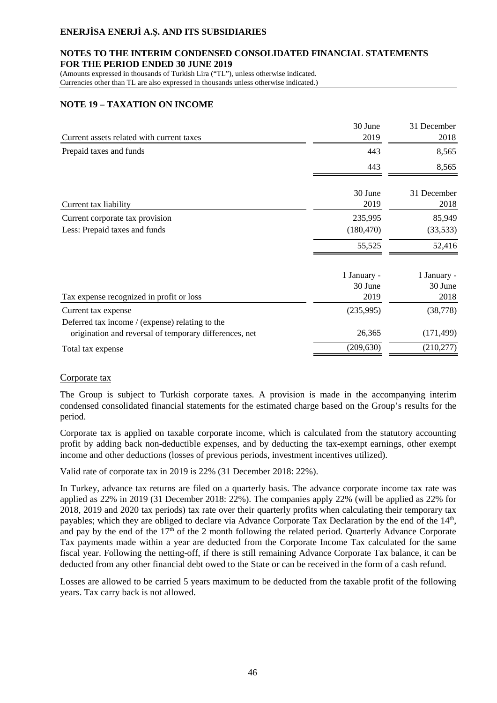#### **NOTES TO THE INTERIM CONDENSED CONSOLIDATED FINANCIAL STATEMENTS FOR THE PERIOD ENDED 30 JUNE 2019**

(Amounts expressed in thousands of Turkish Lira ("TL"), unless otherwise indicated. Currencies other than TL are also expressed in thousands unless otherwise indicated.)

# **NOTE 19 – TAXATION ON INCOME**

| Current assets related with current taxes              | 30 June<br>2019 | 31 December<br>2018 |
|--------------------------------------------------------|-----------------|---------------------|
| Prepaid taxes and funds                                | 443             | 8,565               |
|                                                        |                 |                     |
|                                                        | 443             | 8,565               |
|                                                        | 30 June         | 31 December         |
| Current tax liability                                  | 2019            | 2018                |
| Current corporate tax provision                        | 235,995         | 85,949              |
| Less: Prepaid taxes and funds                          | (180, 470)      | (33,533)            |
|                                                        | 55,525          | 52,416              |
|                                                        | 1 January -     | 1 January -         |
|                                                        | 30 June         | 30 June             |
| Tax expense recognized in profit or loss               | 2019            | 2018                |
| Current tax expense                                    | (235,995)       | (38, 778)           |
| Deferred tax income / (expense) relating to the        |                 |                     |
| origination and reversal of temporary differences, net | 26,365          | (171, 499)          |
| Total tax expense                                      | (209, 630)      | (210, 277)          |

### Corporate tax

The Group is subject to Turkish corporate taxes. A provision is made in the accompanying interim condensed consolidated financial statements for the estimated charge based on the Group's results for the period.

Corporate tax is applied on taxable corporate income, which is calculated from the statutory accounting profit by adding back non-deductible expenses, and by deducting the tax-exempt earnings, other exempt income and other deductions (losses of previous periods, investment incentives utilized).

Valid rate of corporate tax in 2019 is 22% (31 December 2018: 22%).

In Turkey, advance tax returns are filed on a quarterly basis. The advance corporate income tax rate was applied as 22% in 2019 (31 December 2018: 22%). The companies apply 22% (will be applied as 22% for 2018, 2019 and 2020 tax periods) tax rate over their quarterly profits when calculating their temporary tax payables; which they are obliged to declare via Advance Corporate Tax Declaration by the end of the  $14<sup>th</sup>$ , and pay by the end of the  $17<sup>th</sup>$  of the 2 month following the related period. Quarterly Advance Corporate Tax payments made within a year are deducted from the Corporate Income Tax calculated for the same fiscal year. Following the netting-off, if there is still remaining Advance Corporate Tax balance, it can be deducted from any other financial debt owed to the State or can be received in the form of a cash refund.

Losses are allowed to be carried 5 years maximum to be deducted from the taxable profit of the following years. Tax carry back is not allowed.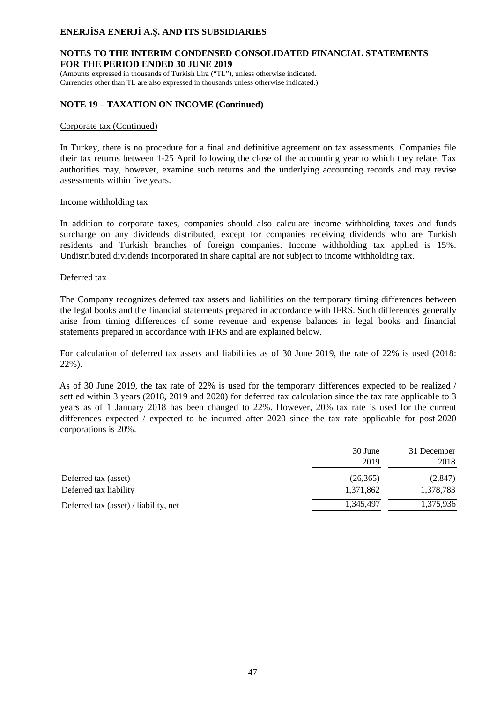### **NOTES TO THE INTERIM CONDENSED CONSOLIDATED FINANCIAL STATEMENTS FOR THE PERIOD ENDED 30 JUNE 2019**

(Amounts expressed in thousands of Turkish Lira ("TL"), unless otherwise indicated. Currencies other than TL are also expressed in thousands unless otherwise indicated.)

### **NOTE 19 – TAXATION ON INCOME (Continued)**

#### Corporate tax (Continued)

In Turkey, there is no procedure for a final and definitive agreement on tax assessments. Companies file their tax returns between 1-25 April following the close of the accounting year to which they relate. Tax authorities may, however, examine such returns and the underlying accounting records and may revise assessments within five years.

#### Income withholding tax

In addition to corporate taxes, companies should also calculate income withholding taxes and funds surcharge on any dividends distributed, except for companies receiving dividends who are Turkish residents and Turkish branches of foreign companies. Income withholding tax applied is 15%. Undistributed dividends incorporated in share capital are not subject to income withholding tax.

#### Deferred tax

The Company recognizes deferred tax assets and liabilities on the temporary timing differences between the legal books and the financial statements prepared in accordance with IFRS. Such differences generally arise from timing differences of some revenue and expense balances in legal books and financial statements prepared in accordance with IFRS and are explained below.

For calculation of deferred tax assets and liabilities as of 30 June 2019, the rate of 22% is used (2018: 22%).

As of 30 June 2019, the tax rate of 22% is used for the temporary differences expected to be realized / settled within 3 years (2018, 2019 and 2020) for deferred tax calculation since the tax rate applicable to 3 years as of 1 January 2018 has been changed to 22%. However, 20% tax rate is used for the current differences expected / expected to be incurred after 2020 since the tax rate applicable for post-2020 corporations is 20%.

|                                       | 30 June   | 31 December |
|---------------------------------------|-----------|-------------|
|                                       | 2019      | 2018        |
| Deferred tax (asset)                  | (26, 365) | (2,847)     |
| Deferred tax liability                | 1,371,862 | 1,378,783   |
| Deferred tax (asset) / liability, net | 1,345,497 | 1,375,936   |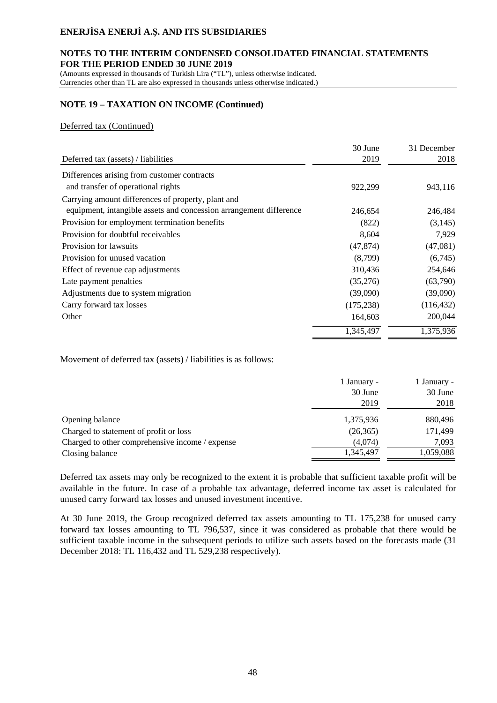#### **NOTES TO THE INTERIM CONDENSED CONSOLIDATED FINANCIAL STATEMENTS FOR THE PERIOD ENDED 30 JUNE 2019**

(Amounts expressed in thousands of Turkish Lira ("TL"), unless otherwise indicated. Currencies other than TL are also expressed in thousands unless otherwise indicated.)

# **NOTE 19 – TAXATION ON INCOME (Continued)**

### Deferred tax (Continued)

|                                                                    | 30 June    | 31 December |
|--------------------------------------------------------------------|------------|-------------|
| Deferred tax (assets) / liabilities                                | 2019       | 2018        |
| Differences arising from customer contracts                        |            |             |
| and transfer of operational rights                                 | 922,299    | 943,116     |
| Carrying amount differences of property, plant and                 |            |             |
| equipment, intangible assets and concession arrangement difference | 246,654    | 246,484     |
| Provision for employment termination benefits                      | (822)      | (3,145)     |
| Provision for doubtful receivables                                 | 8,604      | 7,929       |
| Provision for lawsuits                                             | (47, 874)  | (47,081)    |
| Provision for unused vacation                                      | (8,799)    | (6,745)     |
| Effect of revenue cap adjustments                                  | 310,436    | 254,646     |
| Late payment penalties                                             | (35,276)   | (63,790)    |
| Adjustments due to system migration                                | (39,090)   | (39,090)    |
| Carry forward tax losses                                           | (175, 238) | (116, 432)  |
| Other                                                              | 164,603    | 200,044     |
|                                                                    | 1,345,497  | 1,375,936   |

Movement of deferred tax (assets) / liabilities is as follows:

|                                                 | 1 January - | 1 January - |
|-------------------------------------------------|-------------|-------------|
|                                                 | 30 June     | 30 June     |
|                                                 | 2019        | 2018        |
| Opening balance                                 | 1,375,936   | 880,496     |
| Charged to statement of profit or loss          | (26, 365)   | 171,499     |
| Charged to other comprehensive income / expense | (4,074)     | 7,093       |
| Closing balance                                 | 1,345,497   | 1,059,088   |

Deferred tax assets may only be recognized to the extent it is probable that sufficient taxable profit will be available in the future. In case of a probable tax advantage, deferred income tax asset is calculated for unused carry forward tax losses and unused investment incentive.

At 30 June 2019, the Group recognized deferred tax assets amounting to TL 175,238 for unused carry forward tax losses amounting to TL 796,537, since it was considered as probable that there would be sufficient taxable income in the subsequent periods to utilize such assets based on the forecasts made (31 December 2018: TL 116,432 and TL 529,238 respectively).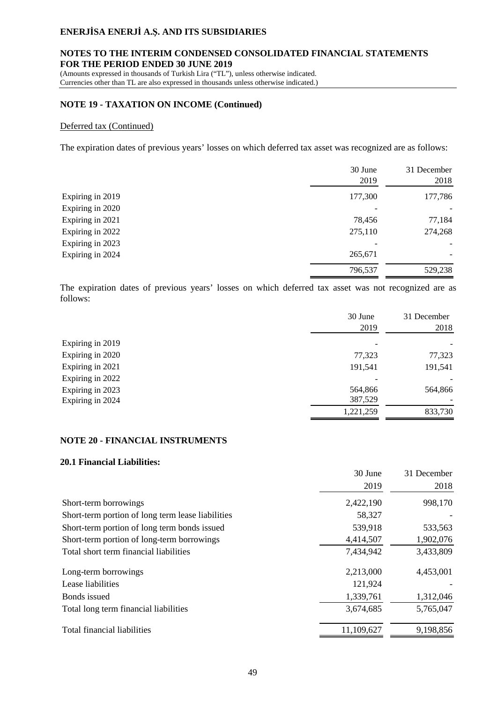### **NOTES TO THE INTERIM CONDENSED CONSOLIDATED FINANCIAL STATEMENTS FOR THE PERIOD ENDED 30 JUNE 2019**

(Amounts expressed in thousands of Turkish Lira ("TL"), unless otherwise indicated. Currencies other than TL are also expressed in thousands unless otherwise indicated.)

### **NOTE 19 - TAXATION ON INCOME (Continued)**

#### Deferred tax (Continued)

The expiration dates of previous years' losses on which deferred tax asset was recognized are as follows:

|                  | 30 June<br>2019 | 31 December<br>2018 |
|------------------|-----------------|---------------------|
| Expiring in 2019 | 177,300         | 177,786             |
| Expiring in 2020 |                 |                     |
| Expiring in 2021 | 78,456          | 77,184              |
| Expiring in 2022 | 275,110         | 274,268             |
| Expiring in 2023 |                 |                     |
| Expiring in 2024 | 265,671         |                     |
|                  | 796,537         | 529,238             |

The expiration dates of previous years' losses on which deferred tax asset was not recognized are as follows:

|                  | 30 June<br>2019 | 31 December<br>2018 |
|------------------|-----------------|---------------------|
| Expiring in 2019 |                 |                     |
| Expiring in 2020 | 77,323          | 77,323              |
| Expiring in 2021 | 191,541         | 191,541             |
| Expiring in 2022 |                 |                     |
| Expiring in 2023 | 564,866         | 564,866             |
| Expiring in 2024 | 387,529         |                     |
|                  | 1,221,259       | 833,730             |
|                  |                 |                     |

#### **NOTE 20 - FINANCIAL INSTRUMENTS**

#### **20.1 Financial Liabilities:**

|                                                   | 30 June<br>2019 | 31 December<br>2018 |
|---------------------------------------------------|-----------------|---------------------|
| Short-term borrowings                             | 2,422,190       | 998,170             |
| Short-term portion of long term lease liabilities | 58,327          |                     |
| Short-term portion of long term bonds issued      | 539,918         | 533,563             |
| Short-term portion of long-term borrowings        | 4,414,507       | 1,902,076           |
| Total short term financial liabilities            | 7,434,942       | 3,433,809           |
| Long-term borrowings                              | 2,213,000       | 4,453,001           |
| Lease liabilities                                 | 121,924         |                     |
| Bonds issued                                      | 1,339,761       | 1,312,046           |
| Total long term financial liabilities             | 3,674,685       | 5,765,047           |
| Total financial liabilities                       | 11,109,627      | 9,198,856           |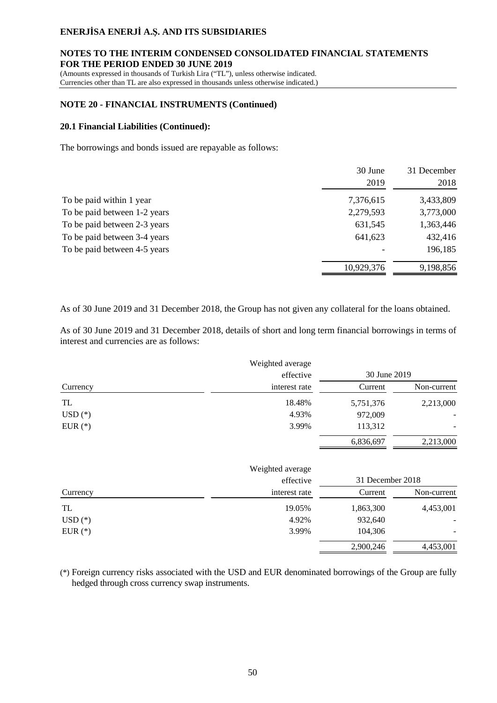### **NOTES TO THE INTERIM CONDENSED CONSOLIDATED FINANCIAL STATEMENTS FOR THE PERIOD ENDED 30 JUNE 2019**

(Amounts expressed in thousands of Turkish Lira ("TL"), unless otherwise indicated. Currencies other than TL are also expressed in thousands unless otherwise indicated.)

### **NOTE 20 - FINANCIAL INSTRUMENTS (Continued)**

#### **20.1 Financial Liabilities (Continued):**

The borrowings and bonds issued are repayable as follows:

|                              | 30 June    | 31 December |
|------------------------------|------------|-------------|
|                              | 2019       | 2018        |
| To be paid within 1 year     | 7,376,615  | 3,433,809   |
| To be paid between 1-2 years | 2,279,593  | 3,773,000   |
| To be paid between 2-3 years | 631,545    | 1,363,446   |
| To be paid between 3-4 years | 641,623    | 432,416     |
| To be paid between 4-5 years |            | 196,185     |
|                              | 10,929,376 | 9,198,856   |

As of 30 June 2019 and 31 December 2018, the Group has not given any collateral for the loans obtained.

As of 30 June 2019 and 31 December 2018, details of short and long term financial borrowings in terms of interest and currencies are as follows:

|           | Weighted average |                  |             |
|-----------|------------------|------------------|-------------|
|           | effective        | 30 June 2019     |             |
| Currency  | interest rate    | Current          | Non-current |
| TL        | 18.48%           | 5,751,376        | 2,213,000   |
| $USD(*)$  | 4.93%            | 972,009          |             |
| EUR $(*)$ | 3.99%            | 113,312          |             |
|           |                  | 6,836,697        | 2,213,000   |
|           | Weighted average |                  |             |
|           | effective        | 31 December 2018 |             |
| Currency  | interest rate    | Current          | Non-current |
| TL        | 19.05%           | 1,863,300        | 4,453,001   |
| $USD(*)$  | 4.92%            | 932,640          |             |
| EUR $(*)$ | 3.99%            | 104,306          |             |
|           |                  | 2,900,246        | 4,453,001   |

(\*) Foreign currency risks associated with the USD and EUR denominated borrowings of the Group are fully hedged through cross currency swap instruments.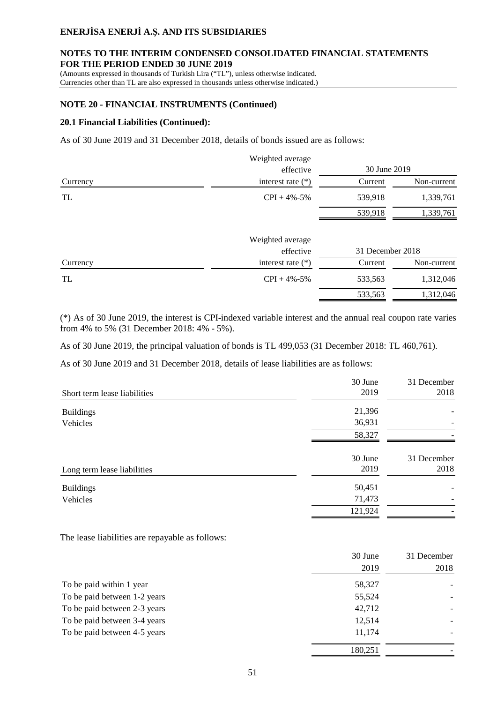#### **NOTES TO THE INTERIM CONDENSED CONSOLIDATED FINANCIAL STATEMENTS FOR THE PERIOD ENDED 30 JUNE 2019**

(Amounts expressed in thousands of Turkish Lira ("TL"), unless otherwise indicated.

Currencies other than TL are also expressed in thousands unless otherwise indicated.)

### **NOTE 20 - FINANCIAL INSTRUMENTS (Continued)**

#### **20.1 Financial Liabilities (Continued):**

As of 30 June 2019 and 31 December 2018, details of bonds issued are as follows:

|          | Weighted average    |                  |             |
|----------|---------------------|------------------|-------------|
|          | effective           | 30 June 2019     |             |
| Currency | interest rate $(*)$ | Current          | Non-current |
| TL       | $CPI + 4\% - 5\%$   | 539,918          | 1,339,761   |
|          |                     | 539,918          | 1,339,761   |
|          | Weighted average    |                  |             |
|          | effective           | 31 December 2018 |             |
| Currency | interest rate $(*)$ | Current          | Non-current |
| TL       | $CPI + 4\% - 5\%$   | 533,563          | 1,312,046   |
|          |                     | 533,563          | 1,312,046   |

(\*) As of 30 June 2019, the interest is CPI-indexed variable interest and the annual real coupon rate varies from 4% to 5% (31 December 2018: 4% - 5%).

As of 30 June 2019, the principal valuation of bonds is TL 499,053 (31 December 2018: TL 460,761).

As of 30 June 2019 and 31 December 2018, details of lease liabilities are as follows:

|                              | 30 June | 31 December |
|------------------------------|---------|-------------|
| Short term lease liabilities | 2019    | 2018        |
| <b>Buildings</b>             | 21,396  |             |
| Vehicles                     | 36,931  |             |
|                              | 58,327  |             |
|                              | 30 June | 31 December |
| Long term lease liabilities  | 2019    | 2018        |
| <b>Buildings</b>             | 50,451  |             |
| Vehicles                     | 71,473  |             |
|                              | 121,924 |             |

The lease liabilities are repayable as follows:

|                              | 30 June | 31 December |
|------------------------------|---------|-------------|
|                              | 2019    | 2018        |
| To be paid within 1 year     | 58,327  |             |
| To be paid between 1-2 years | 55,524  |             |
| To be paid between 2-3 years | 42,712  |             |
| To be paid between 3-4 years | 12,514  |             |
| To be paid between 4-5 years | 11,174  |             |
|                              | 180,251 |             |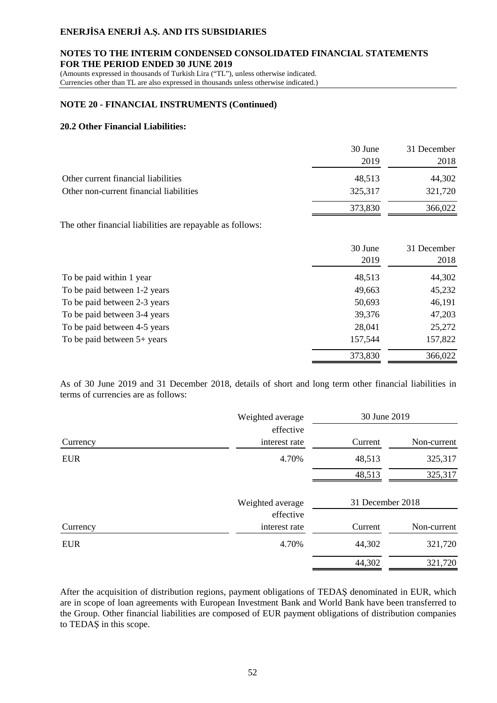#### **NOTES TO THE INTERIM CONDENSED CONSOLIDATED FINANCIAL STATEMENTS FOR THE PERIOD ENDED 30 JUNE 2019**

(Amounts expressed in thousands of Turkish Lira ("TL"), unless otherwise indicated. Currencies other than TL are also expressed in thousands unless otherwise indicated.)

### **NOTE 20 - FINANCIAL INSTRUMENTS (Continued)**

### **20.2 Other Financial Liabilities:**

|                                         | 30 June | 31 December |
|-----------------------------------------|---------|-------------|
|                                         | 2019    | 2018        |
| Other current financial liabilities     | 48,513  | 44,302      |
| Other non-current financial liabilities | 325,317 | 321,720     |
|                                         | 373,830 | 366,022     |

The other financial liabilities are repayable as follows:

|                               | 30 June<br>2019 | 31 December<br>2018 |
|-------------------------------|-----------------|---------------------|
| To be paid within 1 year      | 48,513          | 44,302              |
| To be paid between 1-2 years  | 49,663          | 45,232              |
| To be paid between 2-3 years  | 50,693          | 46,191              |
| To be paid between 3-4 years  | 39,376          | 47,203              |
| To be paid between 4-5 years  | 28,041          | 25,272              |
| To be paid between $5+$ years | 157,544         | 157,822             |
|                               | 373,830         | 366,022             |

As of 30 June 2019 and 31 December 2018, details of short and long term other financial liabilities in terms of currencies are as follows:

|            | Weighted average              | 30 June 2019     |             |
|------------|-------------------------------|------------------|-------------|
| Currency   | effective<br>interest rate    | Current          | Non-current |
| <b>EUR</b> | 4.70%                         | 48,513           | 325,317     |
|            |                               | 48,513           | 325,317     |
|            | Weighted average<br>effective | 31 December 2018 |             |
| Currency   | interest rate                 | Current          | Non-current |
| <b>EUR</b> | 4.70%                         | 44,302           | 321,720     |
|            |                               | 44,302           | 321,720     |

After the acquisition of distribution regions, payment obligations of TEDAŞ denominated in EUR, which are in scope of loan agreements with European Investment Bank and World Bank have been transferred to the Group. Other financial liabilities are composed of EUR payment obligations of distribution companies to TEDAŞ in this scope.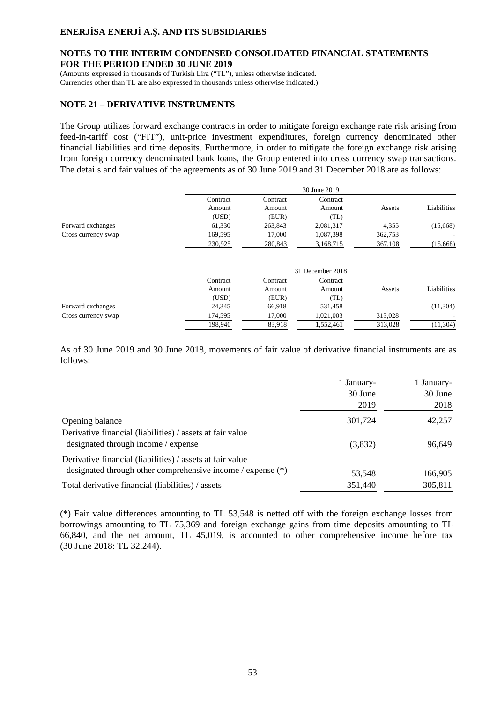#### **NOTES TO THE INTERIM CONDENSED CONSOLIDATED FINANCIAL STATEMENTS FOR THE PERIOD ENDED 30 JUNE 2019**

(Amounts expressed in thousands of Turkish Lira ("TL"), unless otherwise indicated.

Currencies other than TL are also expressed in thousands unless otherwise indicated.)

#### **NOTE 21 – DERIVATIVE INSTRUMENTS**

The Group utilizes forward exchange contracts in order to mitigate foreign exchange rate risk arising from feed-in-tariff cost ("FIT"), unit-price investment expenditures, foreign currency denominated other financial liabilities and time deposits. Furthermore, in order to mitigate the foreign exchange risk arising from foreign currency denominated bank loans, the Group entered into cross currency swap transactions. The details and fair values of the agreements as of 30 June 2019 and 31 December 2018 are as follows:

|                     |          |          | 30 June 2019     |         |             |
|---------------------|----------|----------|------------------|---------|-------------|
|                     | Contract | Contract | Contract         |         |             |
|                     | Amount   | Amount   | Amount           | Assets  | Liabilities |
|                     | (USD)    | (EUR)    | (TL)             |         |             |
| Forward exchanges   | 61,330   | 263,843  | 2,081,317        | 4,355   | (15,668)    |
| Cross currency swap | 169,595  | 17,000   | 1,087,398        | 362,753 |             |
|                     | 230,925  | 280,843  | 3,168,715        | 367,108 | (15,668)    |
|                     |          |          | 31 December 2018 |         |             |
|                     | Contract | Contract | Contract         |         |             |
|                     | Amount   | Amount   | Amount           | Assets  | Liabilities |
|                     | (USD)    | (EUR)    | (TL)             |         |             |
| Forward exchanges   | 24,345   | 66,918   | 531,458          |         | (11, 304)   |
| Cross currency swap | 174,595  | 17,000   | 1,021,003        | 313,028 |             |
|                     | 198.940  | 83,918   | 1,552,461        | 313,028 | (11, 304)   |

As of 30 June 2019 and 30 June 2018, movements of fair value of derivative financial instruments are as follows:

|                                                                                                                            | 1 January-<br>30 June<br>2019 | 1 January-<br>30 June<br>2018 |
|----------------------------------------------------------------------------------------------------------------------------|-------------------------------|-------------------------------|
| Opening balance                                                                                                            | 301,724                       | 42,257                        |
| Derivative financial (liabilities) / assets at fair value<br>designated through income / expense                           | (3,832)                       | 96,649                        |
| Derivative financial (liabilities) / assets at fair value<br>designated through other comprehensive income / expense $(*)$ | 53,548                        | 166,905                       |
| Total derivative financial (liabilities) / assets                                                                          | 351.440                       | 305,811                       |

(\*) Fair value differences amounting to TL 53,548 is netted off with the foreign exchange losses from borrowings amounting to TL 75,369 and foreign exchange gains from time deposits amounting to TL 66,840, and the net amount, TL 45,019, is accounted to other comprehensive income before tax (30 June 2018: TL 32,244).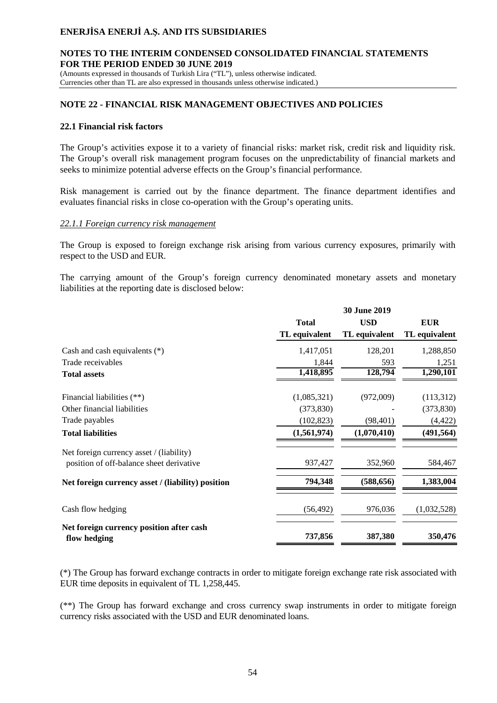### **NOTES TO THE INTERIM CONDENSED CONSOLIDATED FINANCIAL STATEMENTS FOR THE PERIOD ENDED 30 JUNE 2019**

(Amounts expressed in thousands of Turkish Lira ("TL"), unless otherwise indicated. Currencies other than TL are also expressed in thousands unless otherwise indicated.)

### **NOTE 22 - FINANCIAL RISK MANAGEMENT OBJECTIVES AND POLICIES**

#### **22.1 Financial risk factors**

The Group's activities expose it to a variety of financial risks: market risk, credit risk and liquidity risk. The Group's overall risk management program focuses on the unpredictability of financial markets and seeks to minimize potential adverse effects on the Group's financial performance.

Risk management is carried out by the finance department. The finance department identifies and evaluates financial risks in close co-operation with the Group's operating units.

#### *22.1.1 Foreign currency risk management*

The Group is exposed to foreign exchange risk arising from various currency exposures, primarily with respect to the USD and EUR.

The carrying amount of the Group's foreign currency denominated monetary assets and monetary liabilities at the reporting date is disclosed below:

|                                                                                      | 30 June 2019  |               |               |
|--------------------------------------------------------------------------------------|---------------|---------------|---------------|
|                                                                                      | <b>Total</b>  | <b>USD</b>    | <b>EUR</b>    |
|                                                                                      | TL equivalent | TL equivalent | TL equivalent |
| Cash and cash equivalents $(*)$                                                      | 1,417,051     | 128,201       | 1,288,850     |
| Trade receivables                                                                    | 1,844         | 593           | 1,251         |
| <b>Total assets</b>                                                                  | 1,418,895     | 128,794       | 1,290,101     |
| Financial liabilities (**)                                                           | (1,085,321)   | (972,009)     | (113,312)     |
| Other financial liabilities                                                          | (373, 830)    |               | (373, 830)    |
| Trade payables                                                                       | (102, 823)    | (98, 401)     | (4, 422)      |
| <b>Total liabilities</b>                                                             | (1,561,974)   | (1,070,410)   | (491, 564)    |
| Net foreign currency asset / (liability)<br>position of off-balance sheet derivative | 937,427       | 352,960       | 584,467       |
| Net foreign currency asset / (liability) position                                    | 794,348       | (588, 656)    | 1,383,004     |
| Cash flow hedging                                                                    | (56, 492)     | 976,036       | (1,032,528)   |
| Net foreign currency position after cash<br>flow hedging                             | 737,856       | 387,380       | 350,476       |

(\*) The Group has forward exchange contracts in order to mitigate foreign exchange rate risk associated with EUR time deposits in equivalent of TL 1,258,445.

(\*\*) The Group has forward exchange and cross currency swap instruments in order to mitigate foreign currency risks associated with the USD and EUR denominated loans.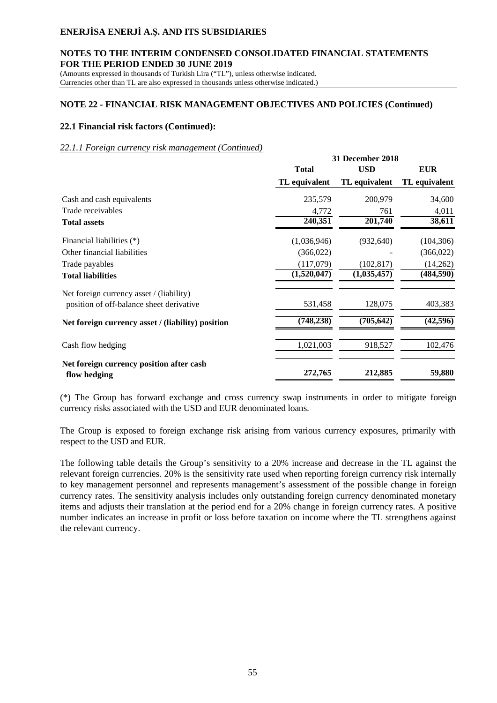#### **NOTES TO THE INTERIM CONDENSED CONSOLIDATED FINANCIAL STATEMENTS FOR THE PERIOD ENDED 30 JUNE 2019**

(Amounts expressed in thousands of Turkish Lira ("TL"), unless otherwise indicated. Currencies other than TL are also expressed in thousands unless otherwise indicated.)

### **NOTE 22 - FINANCIAL RISK MANAGEMENT OBJECTIVES AND POLICIES (Continued)**

### **22.1 Financial risk factors (Continued):**

#### *22.1.1 Foreign currency risk management (Continued)*

|                                                          | <b>31 December 2018</b>    |               |                        |  |
|----------------------------------------------------------|----------------------------|---------------|------------------------|--|
|                                                          | <b>Total</b><br><b>USD</b> |               | <b>EUR</b>             |  |
|                                                          | TL equivalent              | TL equivalent | TL equivalent          |  |
| Cash and cash equivalents                                | 235,579                    | 200,979       | 34,600                 |  |
| Trade receivables                                        | 4,772                      | 761           | 4,011                  |  |
| <b>Total assets</b>                                      | 240,351                    | 201,740       | 38,611                 |  |
| Financial liabilities (*)                                | (1,036,946)                | (932, 640)    | (104, 306)             |  |
| Other financial liabilities                              | (366, 022)                 |               | (366, 022)             |  |
| Trade payables                                           | (117,079)                  | (102, 817)    | (14,262)               |  |
| <b>Total liabilities</b>                                 | (1,520,047)                | (1,035,457)   | $\overline{(484,590)}$ |  |
| Net foreign currency asset / (liability)                 |                            |               |                        |  |
| position of off-balance sheet derivative                 | 531,458                    | 128,075       | 403,383                |  |
| Net foreign currency asset / (liability) position        | (748, 238)                 | (705, 642)    | (42, 596)              |  |
| Cash flow hedging                                        | 1,021,003                  | 918,527       | 102,476                |  |
| Net foreign currency position after cash<br>flow hedging | 272,765                    | 212,885       | 59,880                 |  |

(\*) The Group has forward exchange and cross currency swap instruments in order to mitigate foreign currency risks associated with the USD and EUR denominated loans.

The Group is exposed to foreign exchange risk arising from various currency exposures, primarily with respect to the USD and EUR.

The following table details the Group's sensitivity to a 20% increase and decrease in the TL against the relevant foreign currencies. 20% is the sensitivity rate used when reporting foreign currency risk internally to key management personnel and represents management's assessment of the possible change in foreign currency rates. The sensitivity analysis includes only outstanding foreign currency denominated monetary items and adjusts their translation at the period end for a 20% change in foreign currency rates. A positive number indicates an increase in profit or loss before taxation on income where the TL strengthens against the relevant currency.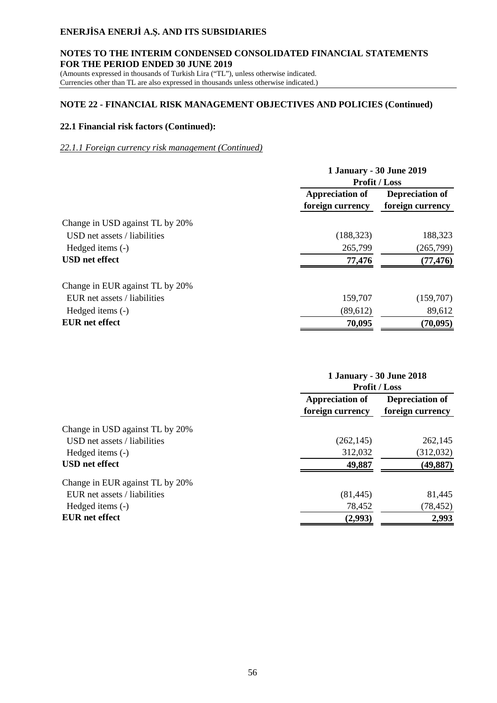### **NOTES TO THE INTERIM CONDENSED CONSOLIDATED FINANCIAL STATEMENTS FOR THE PERIOD ENDED 30 JUNE 2019**

(Amounts expressed in thousands of Turkish Lira ("TL"), unless otherwise indicated. Currencies other than TL are also expressed in thousands unless otherwise indicated.)

# **NOTE 22 - FINANCIAL RISK MANAGEMENT OBJECTIVES AND POLICIES (Continued)**

### **22.1 Financial risk factors (Continued):**

### *22.1.1 Foreign currency risk management (Continued)*

|                                 | <b>1 January - 30 June 2019</b><br><b>Profit / Loss</b> |                                     |  |
|---------------------------------|---------------------------------------------------------|-------------------------------------|--|
|                                 | <b>Appreciation of</b><br>foreign currency              | Depreciation of<br>foreign currency |  |
| Change in USD against TL by 20% |                                                         |                                     |  |
| USD net assets / liabilities    | (188, 323)                                              | 188,323                             |  |
| Hedged items (-)                | 265,799                                                 | (265, 799)                          |  |
| <b>USD</b> net effect           | 77,476                                                  | (77, 476)                           |  |
| Change in EUR against TL by 20% |                                                         |                                     |  |
| EUR net assets / liabilities    | 159,707                                                 | (159,707)                           |  |
| Hedged items (-)                | (89,612)                                                | 89,612                              |  |
| <b>EUR</b> net effect           | 70,095                                                  | (70, 095)                           |  |

|                                 | <b>1 January - 30 June 2018</b><br><b>Profit / Loss</b> |                                     |  |
|---------------------------------|---------------------------------------------------------|-------------------------------------|--|
|                                 | <b>Appreciation of</b><br>foreign currency              | Depreciation of<br>foreign currency |  |
| Change in USD against TL by 20% |                                                         |                                     |  |
| USD net assets / liabilities    | (262, 145)                                              | 262,145                             |  |
| Hedged items (-)                | 312,032                                                 | (312,032)                           |  |
| <b>USD</b> net effect           | 49,887                                                  | (49, 887)                           |  |
| Change in EUR against TL by 20% |                                                         |                                     |  |
| EUR net assets / liabilities    | (81, 445)                                               | 81,445                              |  |
| Hedged items (-)                | 78,452                                                  | (78, 452)                           |  |
| <b>EUR</b> net effect           | (2,993)                                                 | 2,993                               |  |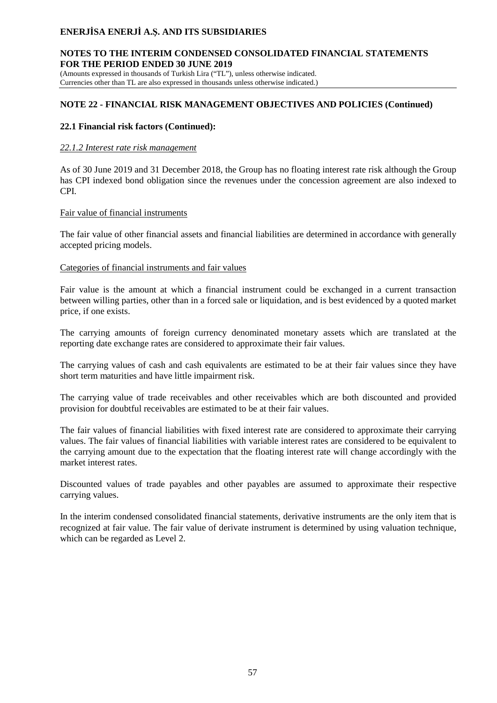### **NOTES TO THE INTERIM CONDENSED CONSOLIDATED FINANCIAL STATEMENTS FOR THE PERIOD ENDED 30 JUNE 2019**

(Amounts expressed in thousands of Turkish Lira ("TL"), unless otherwise indicated. Currencies other than TL are also expressed in thousands unless otherwise indicated.)

# **NOTE 22 - FINANCIAL RISK MANAGEMENT OBJECTIVES AND POLICIES (Continued)**

### **22.1 Financial risk factors (Continued):**

### *22.1.2 Interest rate risk management*

As of 30 June 2019 and 31 December 2018, the Group has no floating interest rate risk although the Group has CPI indexed bond obligation since the revenues under the concession agreement are also indexed to CPI.

### Fair value of financial instruments

The fair value of other financial assets and financial liabilities are determined in accordance with generally accepted pricing models.

### Categories of financial instruments and fair values

Fair value is the amount at which a financial instrument could be exchanged in a current transaction between willing parties, other than in a forced sale or liquidation, and is best evidenced by a quoted market price, if one exists.

The carrying amounts of foreign currency denominated monetary assets which are translated at the reporting date exchange rates are considered to approximate their fair values.

The carrying values of cash and cash equivalents are estimated to be at their fair values since they have short term maturities and have little impairment risk.

The carrying value of trade receivables and other receivables which are both discounted and provided provision for doubtful receivables are estimated to be at their fair values.

The fair values of financial liabilities with fixed interest rate are considered to approximate their carrying values. The fair values of financial liabilities with variable interest rates are considered to be equivalent to the carrying amount due to the expectation that the floating interest rate will change accordingly with the market interest rates.

Discounted values of trade payables and other payables are assumed to approximate their respective carrying values.

In the interim condensed consolidated financial statements, derivative instruments are the only item that is recognized at fair value. The fair value of derivate instrument is determined by using valuation technique, which can be regarded as Level 2.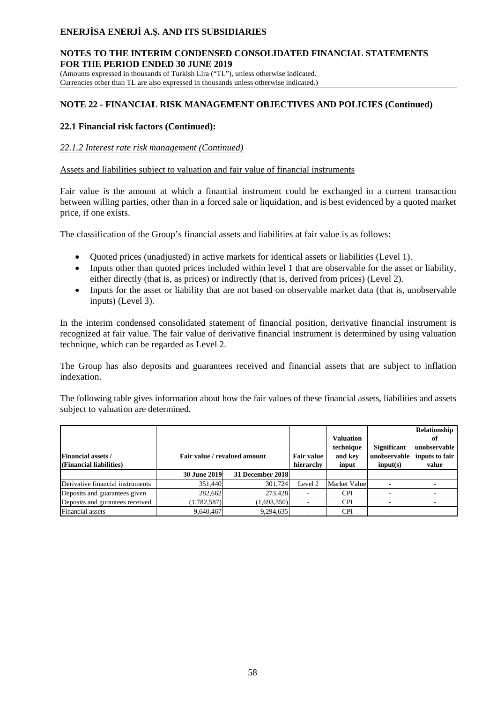#### **NOTES TO THE INTERIM CONDENSED CONSOLIDATED FINANCIAL STATEMENTS FOR THE PERIOD ENDED 30 JUNE 2019**

(Amounts expressed in thousands of Turkish Lira ("TL"), unless otherwise indicated. Currencies other than TL are also expressed in thousands unless otherwise indicated.)

# **NOTE 22 - FINANCIAL RISK MANAGEMENT OBJECTIVES AND POLICIES (Continued)**

### **22.1 Financial risk factors (Continued):**

### *22.1.2 Interest rate risk management (Continued)*

### Assets and liabilities subject to valuation and fair value of financial instruments

Fair value is the amount at which a financial instrument could be exchanged in a current transaction between willing parties, other than in a forced sale or liquidation, and is best evidenced by a quoted market price, if one exists.

The classification of the Group's financial assets and liabilities at fair value is as follows:

- · Quoted prices (unadjusted) in active markets for identical assets or liabilities (Level 1).
- · Inputs other than quoted prices included within level 1 that are observable for the asset or liability, either directly (that is, as prices) or indirectly (that is, derived from prices) (Level 2).
- Inputs for the asset or liability that are not based on observable market data (that is, unobservable inputs) (Level 3).

In the interim condensed consolidated statement of financial position, derivative financial instrument is recognized at fair value. The fair value of derivative financial instrument is determined by using valuation technique, which can be regarded as Level 2.

The Group has also deposits and guarantees received and financial assets that are subject to inflation indexation.

The following table gives information about how the fair values of these financial assets, liabilities and assets subject to valuation are determined.

| <b>Financial assets /</b><br>(Financial liabilities) |                     | Fair value / revalued amount | <b>Fair value</b><br>hierarchy | <b>Valuation</b><br>technique<br>and key<br>input | <b>Significant</b><br>unobservable  <br>input(s) | Relationship<br>оt<br>unobservable<br>inputs to fair<br>value |
|------------------------------------------------------|---------------------|------------------------------|--------------------------------|---------------------------------------------------|--------------------------------------------------|---------------------------------------------------------------|
|                                                      | <b>30 June 2019</b> | 31 December 2018             |                                |                                                   |                                                  |                                                               |
| Derivative financial instruments                     | 351,440             | 301.724                      | Level 2                        | Market Value                                      |                                                  |                                                               |
| Deposits and guarantees given                        | 282.662             | 273.428                      |                                | <b>CPI</b>                                        |                                                  |                                                               |
| Deposits and gurantees received                      | (1,782,587)         | (1,693,350)                  |                                | <b>CPI</b>                                        |                                                  |                                                               |
| Financial assets                                     | 9.640.467           | 9,294,635                    |                                | <b>CPI</b>                                        |                                                  |                                                               |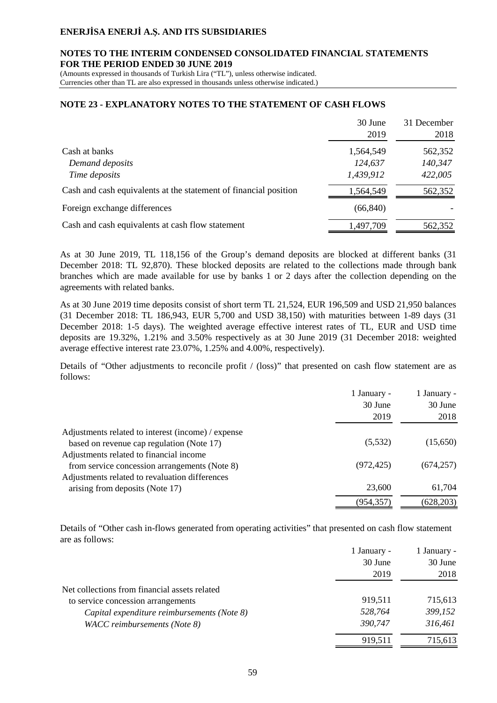#### **NOTES TO THE INTERIM CONDENSED CONSOLIDATED FINANCIAL STATEMENTS FOR THE PERIOD ENDED 30 JUNE 2019**

(Amounts expressed in thousands of Turkish Lira ("TL"), unless otherwise indicated. Currencies other than TL are also expressed in thousands unless otherwise indicated.)

#### **NOTE 23 - EXPLANATORY NOTES TO THE STATEMENT OF CASH FLOWS**

|                                                                  | 30 June<br>2019 | 31 December<br>2018 |
|------------------------------------------------------------------|-----------------|---------------------|
| Cash at banks                                                    | 1,564,549       | 562,352             |
| Demand deposits                                                  | 124,637         | 140,347             |
| Time deposits                                                    | 1,439,912       | 422,005             |
| Cash and cash equivalents at the statement of financial position | 1,564,549       | 562,352             |
| Foreign exchange differences                                     | (66, 840)       |                     |
| Cash and cash equivalents at cash flow statement                 | 1,497,709       | 562,352             |

As at 30 June 2019, TL 118,156 of the Group's demand deposits are blocked at different banks (31 December 2018: TL 92,870). These blocked deposits are related to the collections made through bank branches which are made available for use by banks 1 or 2 days after the collection depending on the agreements with related banks.

As at 30 June 2019 time deposits consist of short term TL 21,524, EUR 196,509 and USD 21,950 balances (31 December 2018: TL 186,943, EUR 5,700 and USD 38,150) with maturities between 1-89 days (31 December 2018: 1-5 days). The weighted average effective interest rates of TL, EUR and USD time deposits are 19.32%, 1.21% and 3.50% respectively as at 30 June 2019 (31 December 2018: weighted average effective interest rate 23.07%, 1.25% and 4.00%, respectively).

Details of "Other adjustments to reconcile profit / (loss)" that presented on cash flow statement are as follows:

|                                                    | 1 January - | 1 January - |
|----------------------------------------------------|-------------|-------------|
|                                                    | 30 June     | 30 June     |
|                                                    | 2019        | 2018        |
| Adjustments related to interest (income) / expense |             |             |
| based on revenue cap regulation (Note 17)          | (5,532)     | (15,650)    |
| Adjustments related to financial income            |             |             |
| from service concession arrangements (Note 8)      | (972, 425)  | (674, 257)  |
| Adjustments related to revaluation differences     |             |             |
| arising from deposits (Note 17)                    | 23,600      | 61,704      |
|                                                    | (954, 357)  | (628, 203)  |

Details of "Other cash in-flows generated from operating activities" that presented on cash flow statement are as follows:

|                                               | 1 January - | 1 January - |
|-----------------------------------------------|-------------|-------------|
|                                               | 30 June     | 30 June     |
|                                               | 2019        | 2018        |
| Net collections from financial assets related |             |             |
| to service concession arrangements            | 919.511     | 715,613     |
| Capital expenditure reimbursements (Note 8)   | 528,764     | 399,152     |
| WACC reimbursements (Note 8)                  | 390,747     | 316,461     |
|                                               | 919,511     | 715,613     |